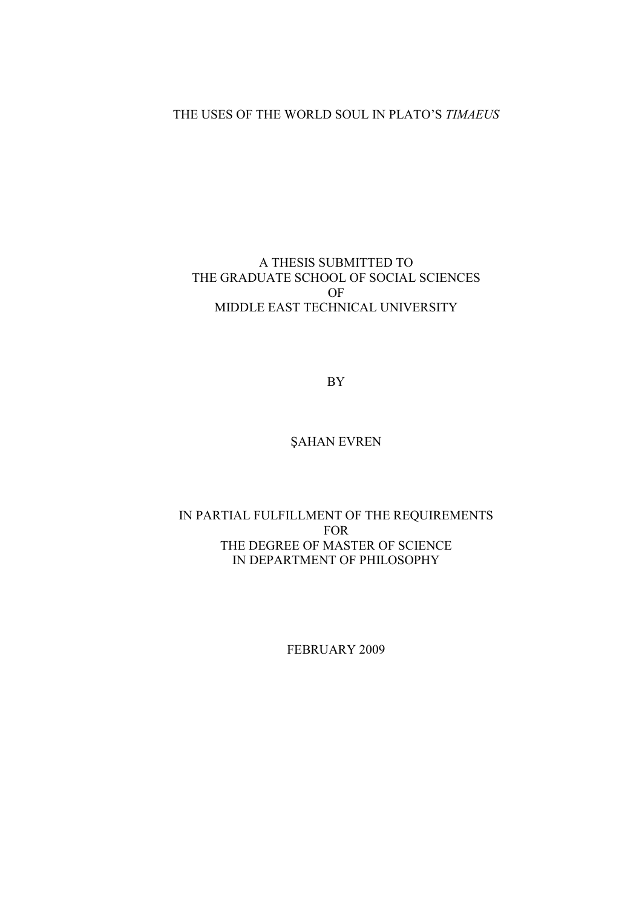# THE USES OF THE WORLD SOUL IN PLATO'S *TIMAEUS*

## A THESIS SUBMITTED TO THE GRADUATE SCHOOL OF SOCIAL SCIENCES OF MIDDLE EAST TECHNICAL UNIVERSITY

BY

# ŞAHAN EVREN

# IN PARTIAL FULFILLMENT OF THE REQUIREMENTS FOR THE DEGREE OF MASTER OF SCIENCE IN DEPARTMENT OF PHILOSOPHY

FEBRUARY 2009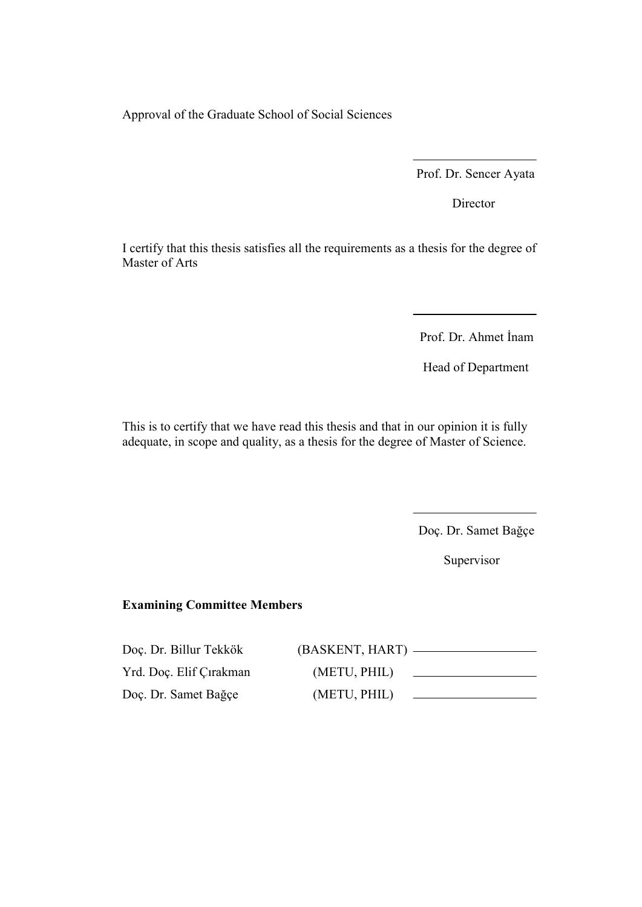Approval of the Graduate School of Social Sciences

Prof. Dr. Sencer Ayata

Director

I certify that this thesis satisfies all the requirements as a thesis for the degree of Master of Arts

Prof. Dr. Ahmet İnam

Head of Department

This is to certify that we have read this thesis and that in our opinion it is fully adequate, in scope and quality, as a thesis for the degree of Master of Science.

Doç. Dr. Samet Bağçe

Supervisor

## **Examining Committee Members**

| Doç. Dr. Billur Tekkök  | (BASKENT, HART) |
|-------------------------|-----------------|
| Yrd. Doç. Elif Çırakman | (METU, PHIL)    |
| Doç. Dr. Samet Bağçe    | (METU, PHIL)    |

| (BASKENT, HART) - |  |
|-------------------|--|
| (METU, PHIL)      |  |
| (METU, PHIL)      |  |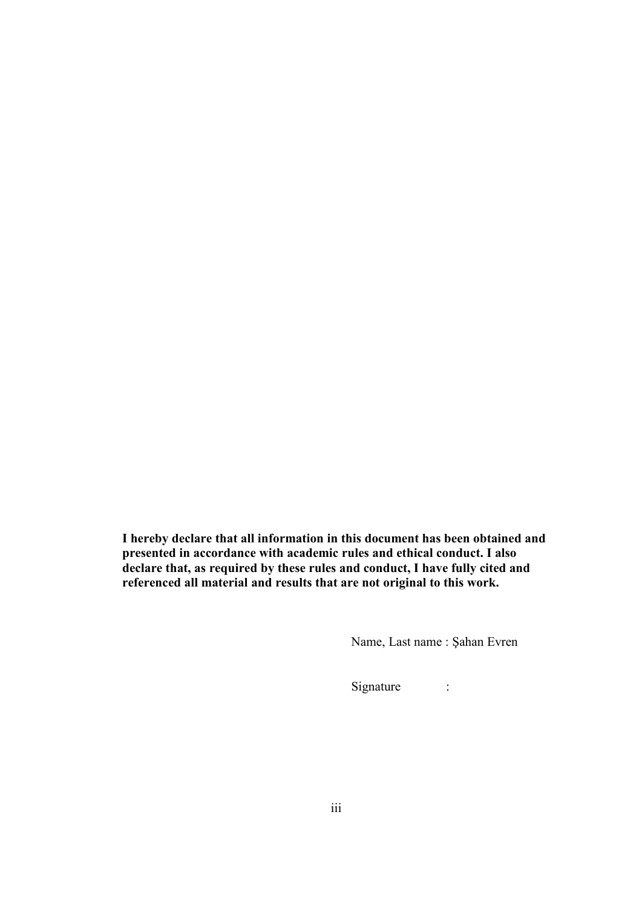**I hereby declare that all information in this document has been obtained and presented in accordance with academic rules and ethical conduct. I also declare that, as required by these rules and conduct, I have fully cited and referenced all material and results that are not original to this work.** 

Name, Last name : Şahan Evren

Signature :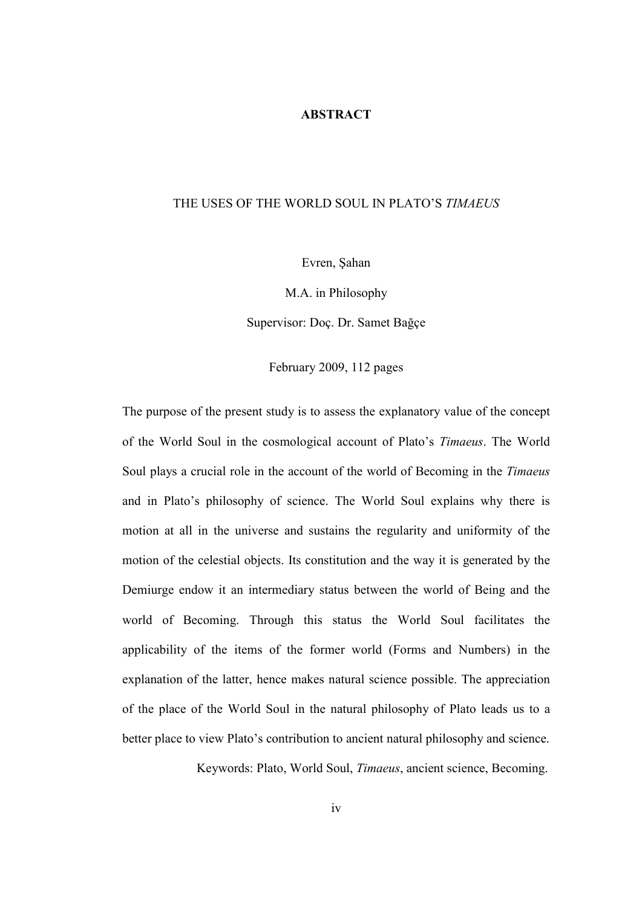## **ABSTRACT**

#### THE USES OF THE WORLD SOUL IN PLATO'S *TIMAEUS*

Evren, Şahan

M.A. in Philosophy

Supervisor: Doç. Dr. Samet Bağçe

February 2009, 112 pages

The purpose of the present study is to assess the explanatory value of the concept of the World Soul in the cosmological account of Plato's *Timaeus*. The World Soul plays a crucial role in the account of the world of Becoming in the *Timaeus* and in Plato's philosophy of science. The World Soul explains why there is motion at all in the universe and sustains the regularity and uniformity of the motion of the celestial objects. Its constitution and the way it is generated by the Demiurge endow it an intermediary status between the world of Being and the world of Becoming. Through this status the World Soul facilitates the applicability of the items of the former world (Forms and Numbers) in the explanation of the latter, hence makes natural science possible. The appreciation of the place of the World Soul in the natural philosophy of Plato leads us to a better place to view Plato's contribution to ancient natural philosophy and science.

Keywords: Plato, World Soul, *Timaeus*, ancient science, Becoming.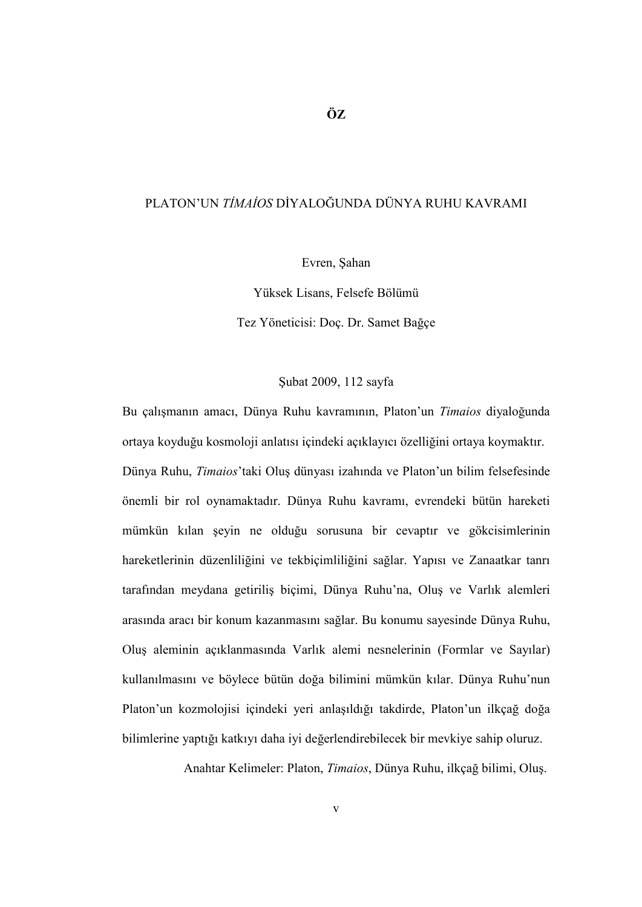## PLATON'UN *TİMAİOS* DİYALOĞUNDA DÜNYA RUHU KAVRAMI

Evren, Şahan

Yüksek Lisans, Felsefe Bölümü Tez Yöneticisi: Doç. Dr. Samet Bağçe

#### Şubat 2009, 112 sayfa

Bu çalışmanın amacı, Dünya Ruhu kavramının, Platon'un *Timaios* diyaloğunda ortaya koyduğu kosmoloji anlatısı içindeki açıklayıcı özelliğini ortaya koymaktır. Dünya Ruhu, *Timaios*'taki Oluş dünyası izahında ve Platon'un bilim felsefesinde önemli bir rol oynamaktadır. Dünya Ruhu kavramı, evrendeki bütün hareketi mümkün kılan şeyin ne olduğu sorusuna bir cevaptır ve gökcisimlerinin hareketlerinin düzenliliğini ve tekbiçimliliğini sağlar. Yapısı ve Zanaatkar tanrı tarafından meydana getiriliş biçimi, Dünya Ruhu'na, Oluş ve Varlık alemleri arasında aracı bir konum kazanmasını sağlar. Bu konumu sayesinde Dünya Ruhu, Oluş aleminin açıklanmasında Varlık alemi nesnelerinin (Formlar ve Sayılar) kullanılmasını ve böylece bütün doğa bilimini mümkün kılar. Dünya Ruhu'nun Platon'un kozmolojisi içindeki yeri anlaşıldığı takdirde, Platon'un ilkçağ doğa bilimlerine yaptığı katkıyı daha iyi değerlendirebilecek bir mevkiye sahip oluruz.

Anahtar Kelimeler: Platon, *Timaios*, Dünya Ruhu, ilkçağ bilimi, Oluş.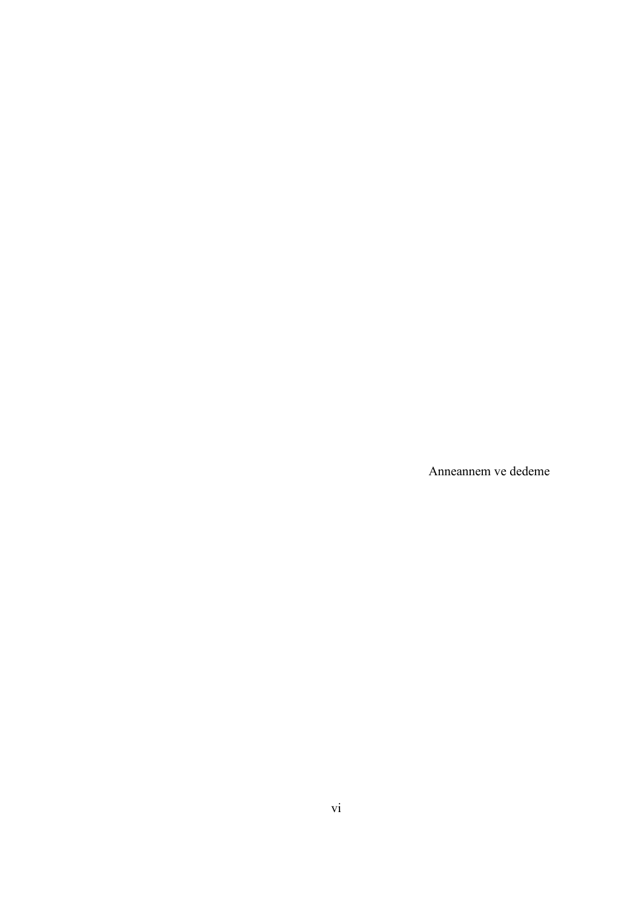Anneannem ve dedeme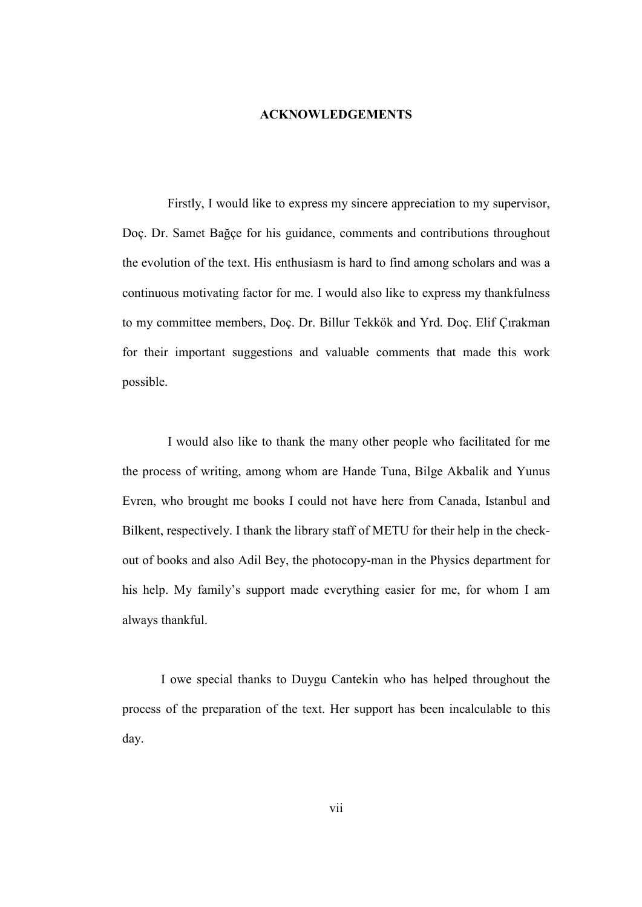### **ACKNOWLEDGEMENTS**

 Firstly, I would like to express my sincere appreciation to my supervisor, Doç. Dr. Samet Bağçe for his guidance, comments and contributions throughout the evolution of the text. His enthusiasm is hard to find among scholars and was a continuous motivating factor for me. I would also like to express my thankfulness to my committee members, Doç. Dr. Billur Tekkök and Yrd. Doç. Elif Çırakman for their important suggestions and valuable comments that made this work possible.

 I would also like to thank the many other people who facilitated for me the process of writing, among whom are Hande Tuna, Bilge Akbalik and Yunus Evren, who brought me books I could not have here from Canada, Istanbul and Bilkent, respectively. I thank the library staff of METU for their help in the checkout of books and also Adil Bey, the photocopy-man in the Physics department for his help. My family's support made everything easier for me, for whom I am always thankful.

I owe special thanks to Duygu Cantekin who has helped throughout the process of the preparation of the text. Her support has been incalculable to this day.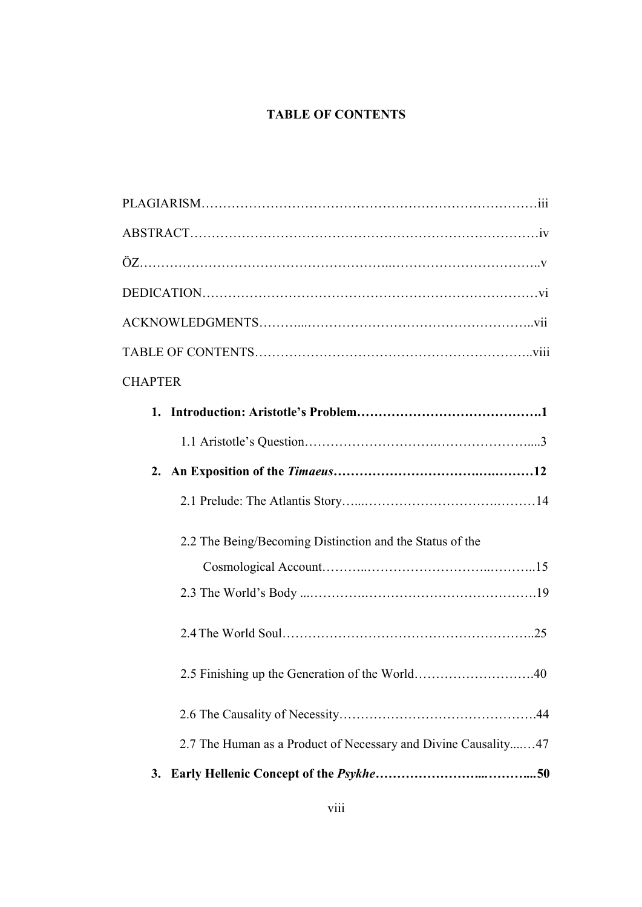# **TABLE OF CONTENTS**

| <b>CHAPTER</b>                                                 |
|----------------------------------------------------------------|
|                                                                |
|                                                                |
|                                                                |
|                                                                |
| 2.2 The Being/Becoming Distinction and the Status of the       |
|                                                                |
|                                                                |
|                                                                |
| 2.5 Finishing up the Generation of the World<br>. 40           |
|                                                                |
| 2.7 The Human as a Product of Necessary and Divine Causality47 |
|                                                                |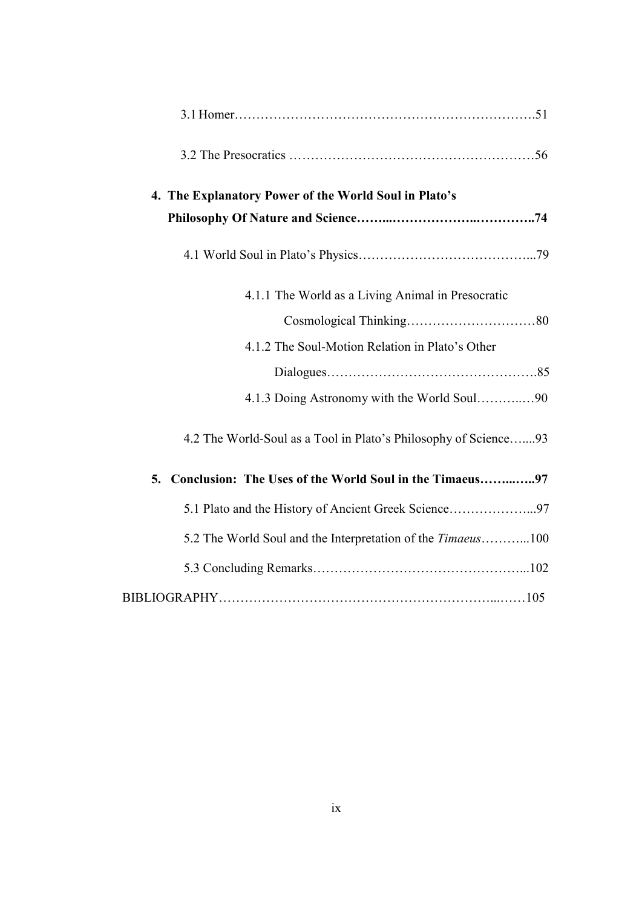| 4. The Explanatory Power of the World Soul in Plato's           |
|-----------------------------------------------------------------|
|                                                                 |
|                                                                 |
| 4.1.1 The World as a Living Animal in Presocratic               |
|                                                                 |
| 4.1.2 The Soul-Motion Relation in Plato's Other                 |
|                                                                 |
|                                                                 |
| 4.2 The World-Soul as a Tool in Plato's Philosophy of Science93 |
| 5. Conclusion: The Uses of the World Soul in the Timaeus97      |
| 5.1 Plato and the History of Ancient Greek Science97            |
| 5.2 The World Soul and the Interpretation of the Timaeus100     |
|                                                                 |
|                                                                 |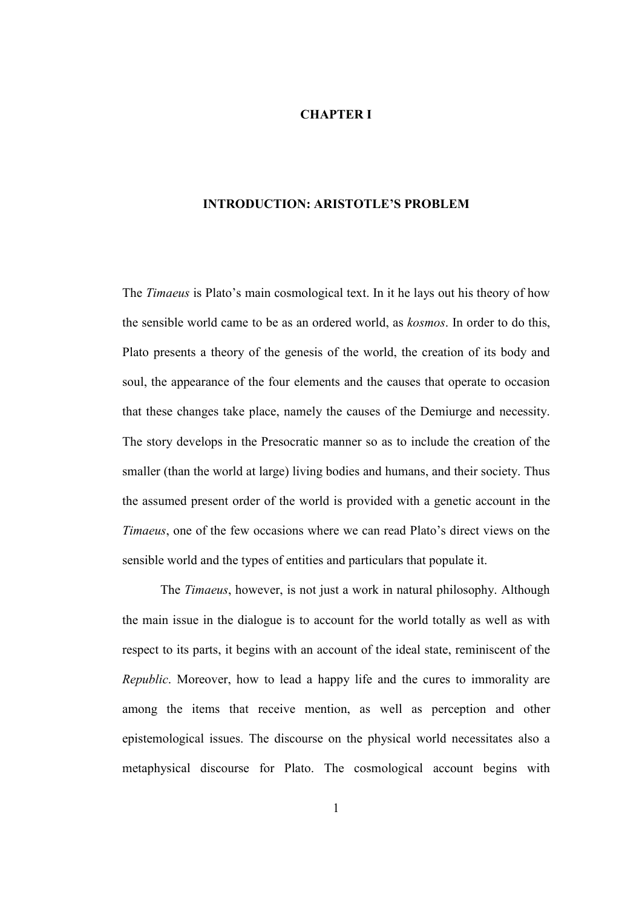## **CHAPTER I**

#### **INTRODUCTION: ARISTOTLE'S PROBLEM**

The *Timaeus* is Plato's main cosmological text. In it he lays out his theory of how the sensible world came to be as an ordered world, as *kosmos*. In order to do this, Plato presents a theory of the genesis of the world, the creation of its body and soul, the appearance of the four elements and the causes that operate to occasion that these changes take place, namely the causes of the Demiurge and necessity. The story develops in the Presocratic manner so as to include the creation of the smaller (than the world at large) living bodies and humans, and their society. Thus the assumed present order of the world is provided with a genetic account in the *Timaeus*, one of the few occasions where we can read Plato's direct views on the sensible world and the types of entities and particulars that populate it.

 The *Timaeus*, however, is not just a work in natural philosophy. Although the main issue in the dialogue is to account for the world totally as well as with respect to its parts, it begins with an account of the ideal state, reminiscent of the *Republic*. Moreover, how to lead a happy life and the cures to immorality are among the items that receive mention, as well as perception and other epistemological issues. The discourse on the physical world necessitates also a metaphysical discourse for Plato. The cosmological account begins with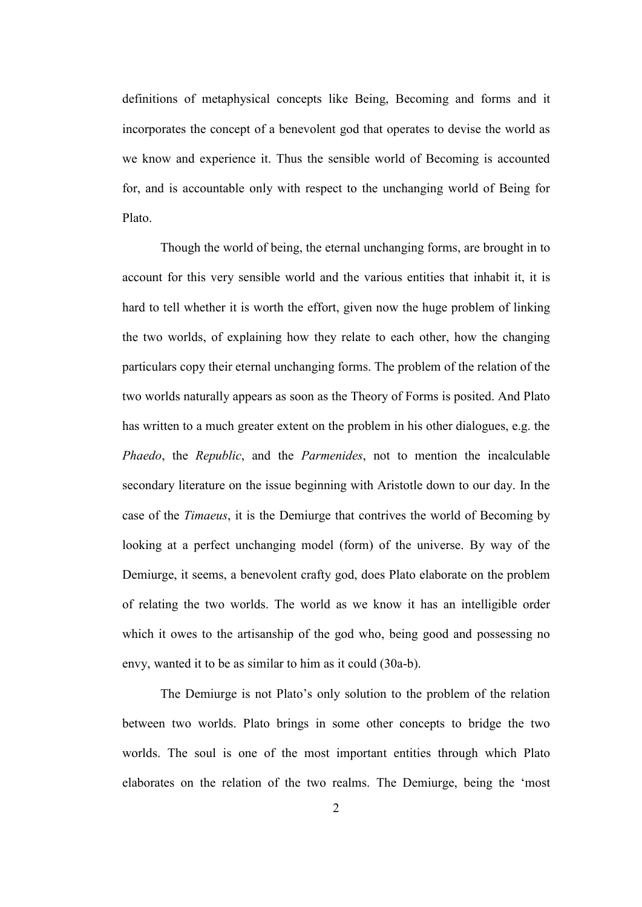definitions of metaphysical concepts like Being, Becoming and forms and it incorporates the concept of a benevolent god that operates to devise the world as we know and experience it. Thus the sensible world of Becoming is accounted for, and is accountable only with respect to the unchanging world of Being for Plato.

 Though the world of being, the eternal unchanging forms, are brought in to account for this very sensible world and the various entities that inhabit it, it is hard to tell whether it is worth the effort, given now the huge problem of linking the two worlds, of explaining how they relate to each other, how the changing particulars copy their eternal unchanging forms. The problem of the relation of the two worlds naturally appears as soon as the Theory of Forms is posited. And Plato has written to a much greater extent on the problem in his other dialogues, e.g. the *Phaedo*, the *Republic*, and the *Parmenides*, not to mention the incalculable secondary literature on the issue beginning with Aristotle down to our day. In the case of the *Timaeus*, it is the Demiurge that contrives the world of Becoming by looking at a perfect unchanging model (form) of the universe. By way of the Demiurge, it seems, a benevolent crafty god, does Plato elaborate on the problem of relating the two worlds. The world as we know it has an intelligible order which it owes to the artisanship of the god who, being good and possessing no envy, wanted it to be as similar to him as it could (30a-b).

 The Demiurge is not Plato's only solution to the problem of the relation between two worlds. Plato brings in some other concepts to bridge the two worlds. The soul is one of the most important entities through which Plato elaborates on the relation of the two realms. The Demiurge, being the 'most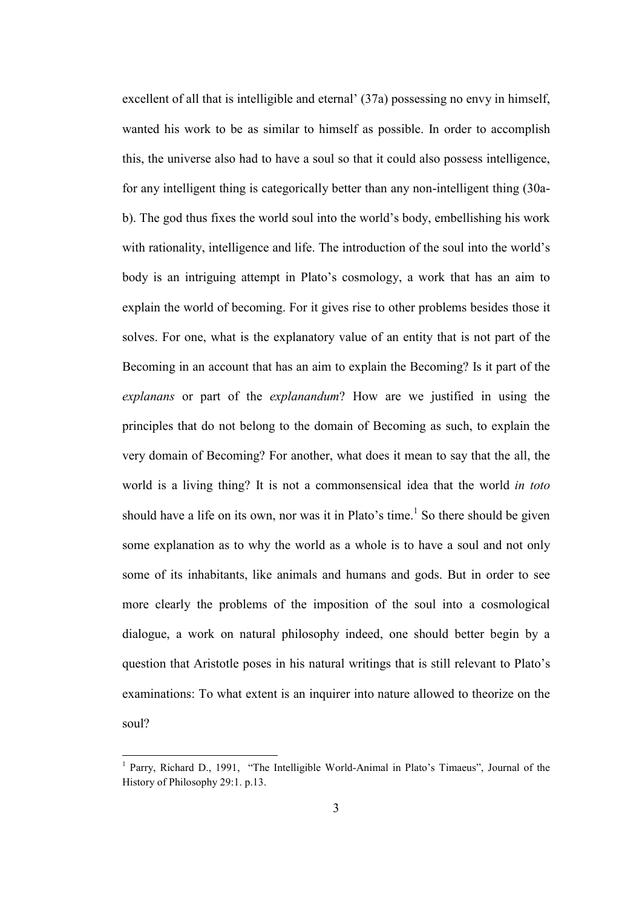excellent of all that is intelligible and eternal' (37a) possessing no envy in himself, wanted his work to be as similar to himself as possible. In order to accomplish this, the universe also had to have a soul so that it could also possess intelligence, for any intelligent thing is categorically better than any non-intelligent thing (30ab). The god thus fixes the world soul into the world's body, embellishing his work with rationality, intelligence and life. The introduction of the soul into the world's body is an intriguing attempt in Plato's cosmology, a work that has an aim to explain the world of becoming. For it gives rise to other problems besides those it solves. For one, what is the explanatory value of an entity that is not part of the Becoming in an account that has an aim to explain the Becoming? Is it part of the *explanans* or part of the *explanandum*? How are we justified in using the principles that do not belong to the domain of Becoming as such, to explain the very domain of Becoming? For another, what does it mean to say that the all, the world is a living thing? It is not a commonsensical idea that the world *in toto* should have a life on its own, nor was it in Plato's time.<sup>1</sup> So there should be given some explanation as to why the world as a whole is to have a soul and not only some of its inhabitants, like animals and humans and gods. But in order to see more clearly the problems of the imposition of the soul into a cosmological dialogue, a work on natural philosophy indeed, one should better begin by a question that Aristotle poses in his natural writings that is still relevant to Plato's examinations: To what extent is an inquirer into nature allowed to theorize on the soul?

 1 Parry, Richard D., 1991, "The Intelligible World-Animal in Plato's Timaeus", Journal of the History of Philosophy 29:1. p.13.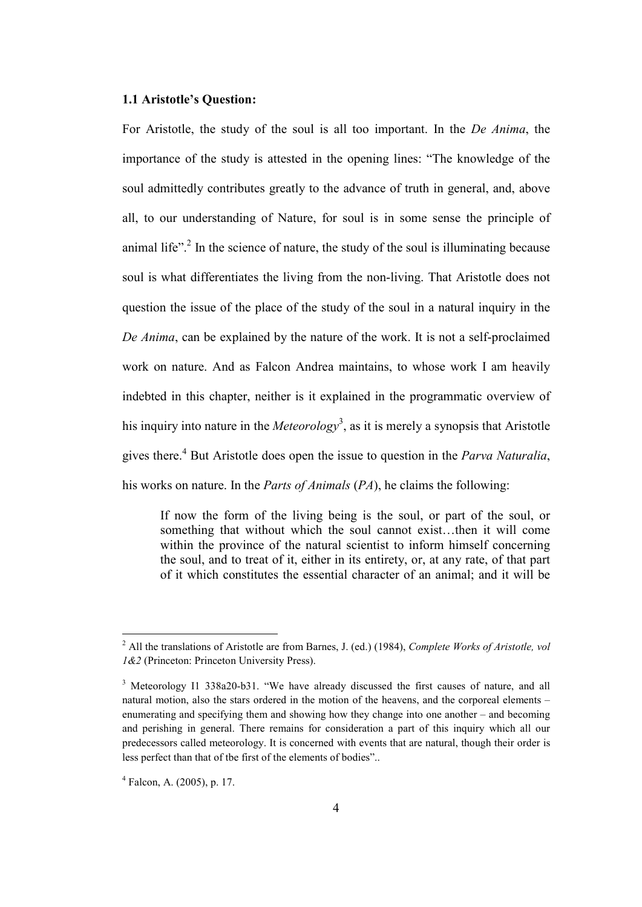#### **1.1 Aristotle's Question:**

For Aristotle, the study of the soul is all too important. In the *De Anima*, the importance of the study is attested in the opening lines: "The knowledge of the soul admittedly contributes greatly to the advance of truth in general, and, above all, to our understanding of Nature, for soul is in some sense the principle of animal life".<sup>2</sup> In the science of nature, the study of the soul is illuminating because soul is what differentiates the living from the non-living. That Aristotle does not question the issue of the place of the study of the soul in a natural inquiry in the *De Anima*, can be explained by the nature of the work. It is not a self-proclaimed work on nature. And as Falcon Andrea maintains, to whose work I am heavily indebted in this chapter, neither is it explained in the programmatic overview of his inquiry into nature in the *Meteorology*<sup>3</sup> , as it is merely a synopsis that Aristotle gives there.<sup>4</sup> But Aristotle does open the issue to question in the *Parva Naturalia*, his works on nature. In the *Parts of Animals* (*PA*), he claims the following:

If now the form of the living being is the soul, or part of the soul, or something that without which the soul cannot exist…then it will come within the province of the natural scientist to inform himself concerning the soul, and to treat of it, either in its entirety, or, at any rate, of that part of it which constitutes the essential character of an animal; and it will be

 2 All the translations of Aristotle are from Barnes, J. (ed.) (1984), *Complete Works of Aristotle, vol 1&2* (Princeton: Princeton University Press).

<sup>&</sup>lt;sup>3</sup> Meteorology I1 338a20-b31. "We have already discussed the first causes of nature, and all natural motion, also the stars ordered in the motion of the heavens, and the corporeal elements – enumerating and specifying them and showing how they change into one another – and becoming and perishing in general. There remains for consideration a part of this inquiry which all our predecessors called meteorology. It is concerned with events that are natural, though their order is less perfect than that of tbe first of the elements of bodies"..

<sup>4</sup> Falcon, A. (2005), p. 17.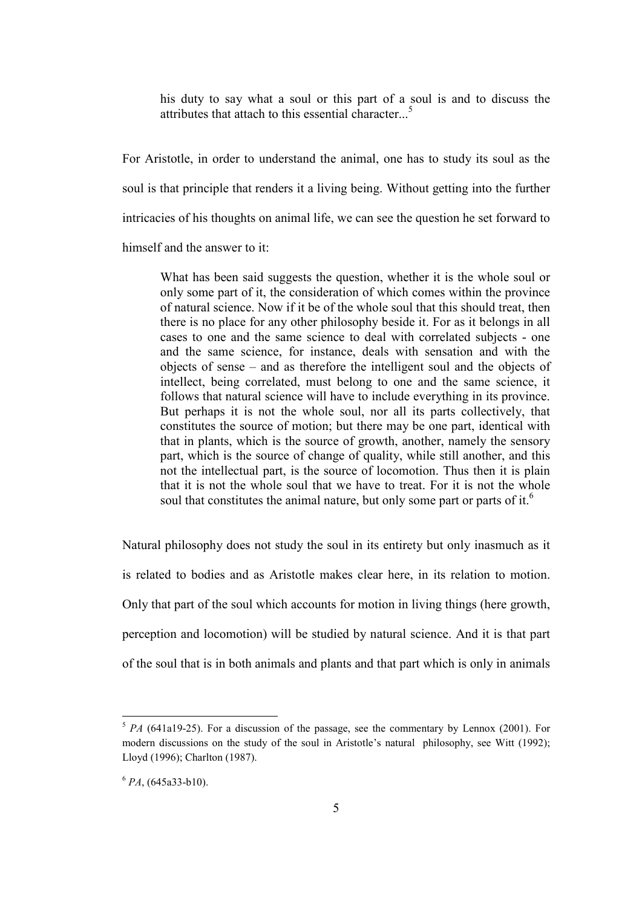his duty to say what a soul or this part of a soul is and to discuss the attributes that attach to this essential character...<sup>5</sup>

For Aristotle, in order to understand the animal, one has to study its soul as the soul is that principle that renders it a living being. Without getting into the further intricacies of his thoughts on animal life, we can see the question he set forward to himself and the answer to it:

What has been said suggests the question, whether it is the whole soul or only some part of it, the consideration of which comes within the province of natural science. Now if it be of the whole soul that this should treat, then there is no place for any other philosophy beside it. For as it belongs in all cases to one and the same science to deal with correlated subjects - one and the same science, for instance, deals with sensation and with the objects of sense – and as therefore the intelligent soul and the objects of intellect, being correlated, must belong to one and the same science, it follows that natural science will have to include everything in its province. But perhaps it is not the whole soul, nor all its parts collectively, that constitutes the source of motion; but there may be one part, identical with that in plants, which is the source of growth, another, namely the sensory part, which is the source of change of quality, while still another, and this not the intellectual part, is the source of locomotion. Thus then it is plain that it is not the whole soul that we have to treat. For it is not the whole soul that constitutes the animal nature, but only some part or parts of it.<sup>6</sup>

Natural philosophy does not study the soul in its entirety but only inasmuch as it is related to bodies and as Aristotle makes clear here, in its relation to motion. Only that part of the soul which accounts for motion in living things (here growth, perception and locomotion) will be studied by natural science. And it is that part of the soul that is in both animals and plants and that part which is only in animals

<sup>&</sup>lt;sup>5</sup> *PA* (641a19-25). For a discussion of the passage, see the commentary by Lennox (2001). For modern discussions on the study of the soul in Aristotle's natural philosophy, see Witt (1992); Lloyd (1996); Charlton (1987).

 $6$  *PA*, (645a33-b10).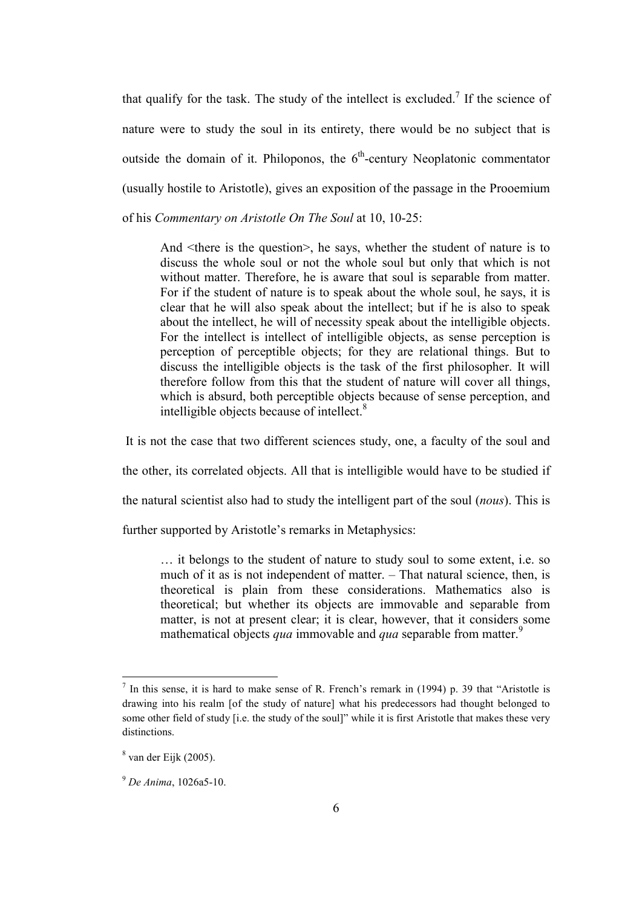that qualify for the task. The study of the intellect is excluded.<sup>7</sup> If the science of nature were to study the soul in its entirety, there would be no subject that is outside the domain of it. Philoponos, the  $6<sup>th</sup>$ -century Neoplatonic commentator (usually hostile to Aristotle), gives an exposition of the passage in the Prooemium of his *Commentary on Aristotle On The Soul* at 10, 10-25:

And <there is the question>, he says, whether the student of nature is to discuss the whole soul or not the whole soul but only that which is not without matter. Therefore, he is aware that soul is separable from matter. For if the student of nature is to speak about the whole soul, he says, it is clear that he will also speak about the intellect; but if he is also to speak about the intellect, he will of necessity speak about the intelligible objects. For the intellect is intellect of intelligible objects, as sense perception is perception of perceptible objects; for they are relational things. But to discuss the intelligible objects is the task of the first philosopher. It will therefore follow from this that the student of nature will cover all things, which is absurd, both perceptible objects because of sense perception, and intelligible objects because of intellect.<sup>8</sup>

It is not the case that two different sciences study, one, a faculty of the soul and

the other, its correlated objects. All that is intelligible would have to be studied if

the natural scientist also had to study the intelligent part of the soul (*nous*). This is

further supported by Aristotle's remarks in Metaphysics:

… it belongs to the student of nature to study soul to some extent, i.e. so much of it as is not independent of matter. – That natural science, then, is theoretical is plain from these considerations. Mathematics also is theoretical; but whether its objects are immovable and separable from matter, is not at present clear; it is clear, however, that it considers some mathematical objects *qua* immovable and *qua* separable from matter.<sup>9</sup>

<sup>&</sup>lt;sup>7</sup> In this sense, it is hard to make sense of R. French's remark in (1994) p. 39 that "Aristotle is drawing into his realm [of the study of nature] what his predecessors had thought belonged to some other field of study [i.e. the study of the soul]" while it is first Aristotle that makes these very distinctions.

 $8$  van der Eijk (2005).

<sup>9</sup> *De Anima*, 1026a5-10.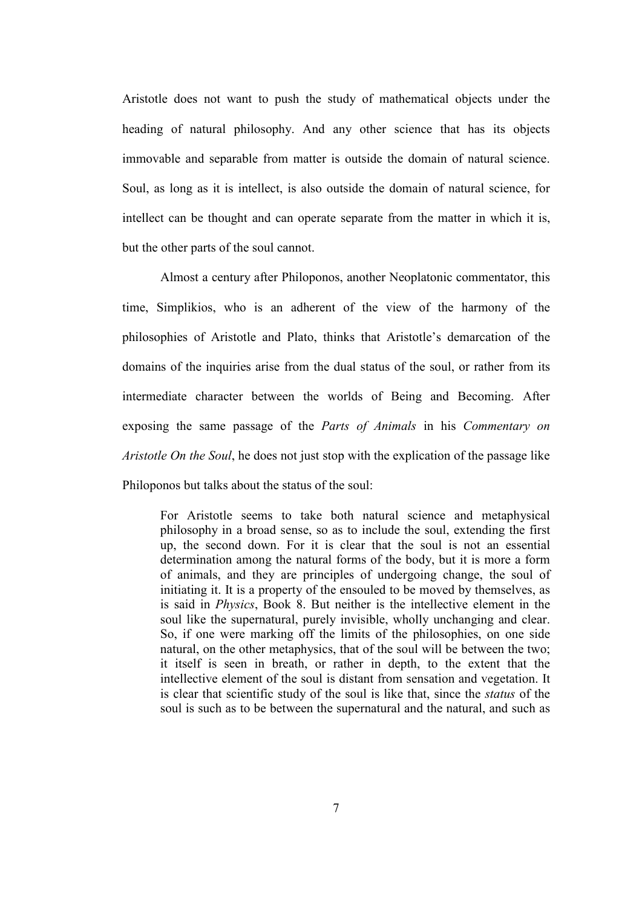Aristotle does not want to push the study of mathematical objects under the heading of natural philosophy. And any other science that has its objects immovable and separable from matter is outside the domain of natural science. Soul, as long as it is intellect, is also outside the domain of natural science, for intellect can be thought and can operate separate from the matter in which it is, but the other parts of the soul cannot.

 Almost a century after Philoponos, another Neoplatonic commentator, this time, Simplikios, who is an adherent of the view of the harmony of the philosophies of Aristotle and Plato, thinks that Aristotle's demarcation of the domains of the inquiries arise from the dual status of the soul, or rather from its intermediate character between the worlds of Being and Becoming. After exposing the same passage of the *Parts of Animals* in his *Commentary on Aristotle On the Soul*, he does not just stop with the explication of the passage like Philoponos but talks about the status of the soul:

For Aristotle seems to take both natural science and metaphysical philosophy in a broad sense, so as to include the soul, extending the first up, the second down. For it is clear that the soul is not an essential determination among the natural forms of the body, but it is more a form of animals, and they are principles of undergoing change, the soul of initiating it. It is a property of the ensouled to be moved by themselves, as is said in *Physics*, Book 8. But neither is the intellective element in the soul like the supernatural, purely invisible, wholly unchanging and clear. So, if one were marking off the limits of the philosophies, on one side natural, on the other metaphysics, that of the soul will be between the two; it itself is seen in breath, or rather in depth, to the extent that the intellective element of the soul is distant from sensation and vegetation. It is clear that scientific study of the soul is like that, since the *status* of the soul is such as to be between the supernatural and the natural, and such as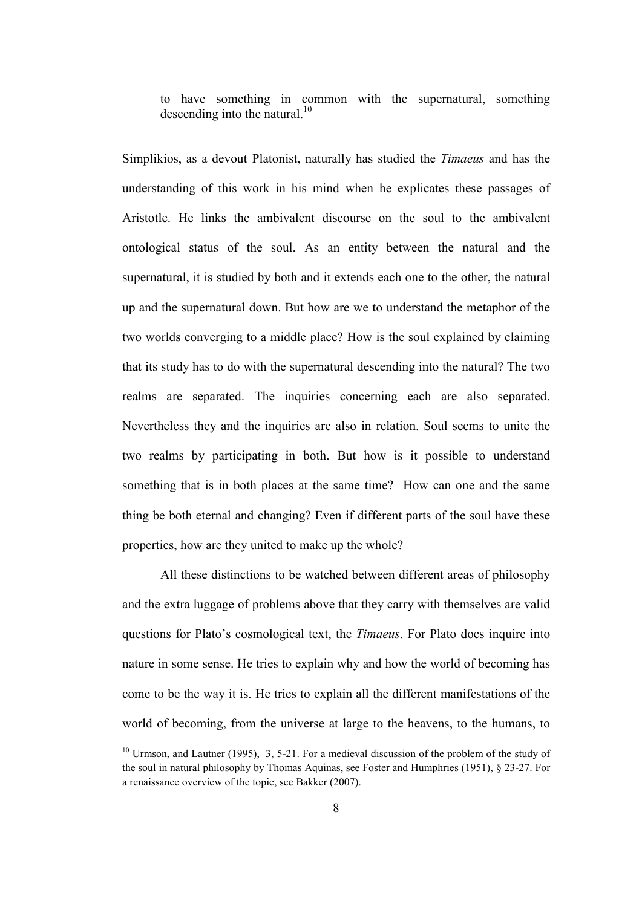to have something in common with the supernatural, something descending into the natural. $^{10}$ 

Simplikios, as a devout Platonist, naturally has studied the *Timaeus* and has the understanding of this work in his mind when he explicates these passages of Aristotle. He links the ambivalent discourse on the soul to the ambivalent ontological status of the soul. As an entity between the natural and the supernatural, it is studied by both and it extends each one to the other, the natural up and the supernatural down. But how are we to understand the metaphor of the two worlds converging to a middle place? How is the soul explained by claiming that its study has to do with the supernatural descending into the natural? The two realms are separated. The inquiries concerning each are also separated. Nevertheless they and the inquiries are also in relation. Soul seems to unite the two realms by participating in both. But how is it possible to understand something that is in both places at the same time? How can one and the same thing be both eternal and changing? Even if different parts of the soul have these properties, how are they united to make up the whole?

 All these distinctions to be watched between different areas of philosophy and the extra luggage of problems above that they carry with themselves are valid questions for Plato's cosmological text, the *Timaeus*. For Plato does inquire into nature in some sense. He tries to explain why and how the world of becoming has come to be the way it is. He tries to explain all the different manifestations of the world of becoming, from the universe at large to the heavens, to the humans, to

<sup>&</sup>lt;sup>10</sup> Urmson, and Lautner (1995), 3, 5-21. For a medieval discussion of the problem of the study of the soul in natural philosophy by Thomas Aquinas, see Foster and Humphries (1951), § 23-27. For a renaissance overview of the topic, see Bakker (2007).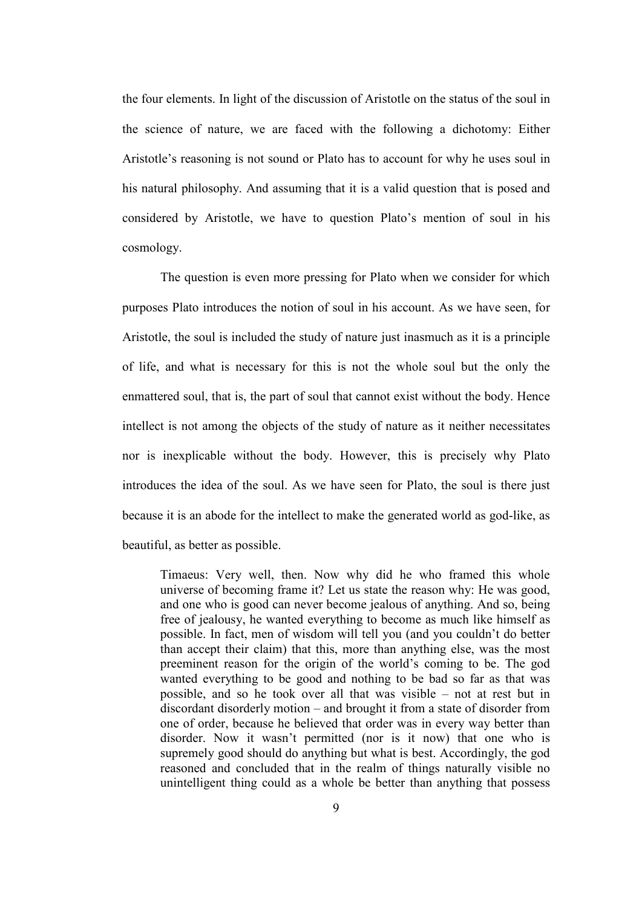the four elements. In light of the discussion of Aristotle on the status of the soul in the science of nature, we are faced with the following a dichotomy: Either Aristotle's reasoning is not sound or Plato has to account for why he uses soul in his natural philosophy. And assuming that it is a valid question that is posed and considered by Aristotle, we have to question Plato's mention of soul in his cosmology.

 The question is even more pressing for Plato when we consider for which purposes Plato introduces the notion of soul in his account. As we have seen, for Aristotle, the soul is included the study of nature just inasmuch as it is a principle of life, and what is necessary for this is not the whole soul but the only the enmattered soul, that is, the part of soul that cannot exist without the body. Hence intellect is not among the objects of the study of nature as it neither necessitates nor is inexplicable without the body. However, this is precisely why Plato introduces the idea of the soul. As we have seen for Plato, the soul is there just because it is an abode for the intellect to make the generated world as god-like, as beautiful, as better as possible.

Timaeus: Very well, then. Now why did he who framed this whole universe of becoming frame it? Let us state the reason why: He was good, and one who is good can never become jealous of anything. And so, being free of jealousy, he wanted everything to become as much like himself as possible. In fact, men of wisdom will tell you (and you couldn't do better than accept their claim) that this, more than anything else, was the most preeminent reason for the origin of the world's coming to be. The god wanted everything to be good and nothing to be bad so far as that was possible, and so he took over all that was visible – not at rest but in discordant disorderly motion – and brought it from a state of disorder from one of order, because he believed that order was in every way better than disorder. Now it wasn't permitted (nor is it now) that one who is supremely good should do anything but what is best. Accordingly, the god reasoned and concluded that in the realm of things naturally visible no unintelligent thing could as a whole be better than anything that possess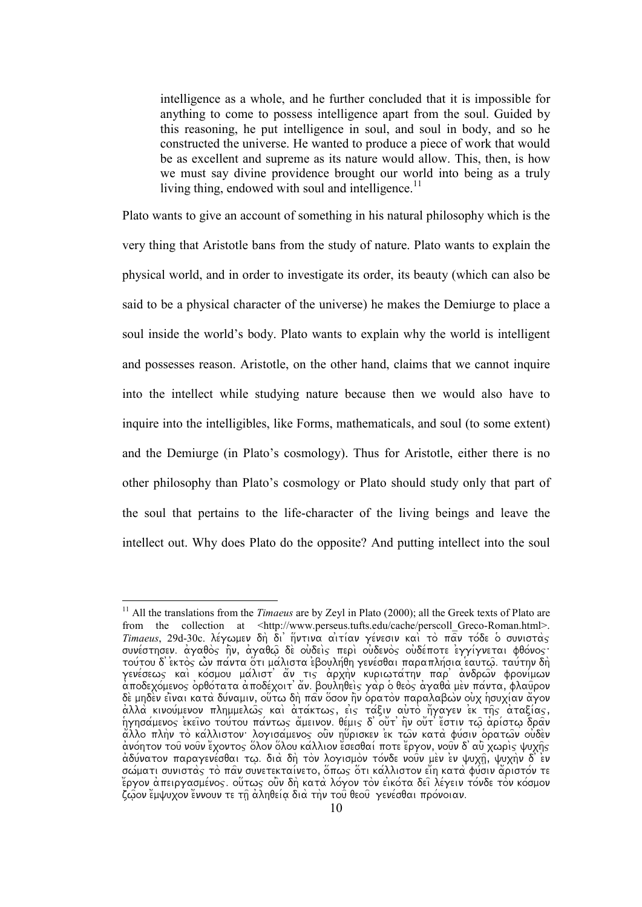intelligence as a whole, and he further concluded that it is impossible for anything to come to possess intelligence apart from the soul. Guided by this reasoning, he put intelligence in soul, and soul in body, and so he constructed the universe. He wanted to produce a piece of work that would be as excellent and supreme as its nature would allow. This, then, is how we must say divine providence brought our world into being as a truly living thing, endowed with soul and intelligence. $11$ 

Plato wants to give an account of something in his natural philosophy which is the very thing that Aristotle bans from the study of nature. Plato wants to explain the physical world, and in order to investigate its order, its beauty (which can also be said to be a physical character of the universe) he makes the Demiurge to place a soul inside the world's body. Plato wants to explain why the world is intelligent and possesses reason. Aristotle, on the other hand, claims that we cannot inquire into the intellect while studying nature because then we would also have to inquire into the intelligibles, like Forms, mathematicals, and soul (to some extent) and the Demiurge (in Plato's cosmology). Thus for Aristotle, either there is no other philosophy than Plato's cosmology or Plato should study only that part of the soul that pertains to the life-character of the living beings and leave the intellect out. Why does Plato do the opposite? And putting intellect into the soul

<sup>&</sup>lt;sup>11</sup> All the translations from the *Timaeus* are by Zeyl in Plato (2000); all the Greek texts of Plato are from the collection at <http://www.perseus.tufts.edu/cache/perscoll Greco-Roman.html>. *Timaeus*, 29d-30c. λέγωμεν δη δι' ήντινα αιτίαν γένεσιν και το παν τόδε ο συνιστας *sune/sthsen. a)gaqo\j h)=n, a)gaqw=| de\ ou)dei\j peri\ ou)deno\j ou)de/pote e)ggi/gnetai fqo/noj: τ*ούτου δ' εκτός ών πάντα ότι μάλιστα εβουλήθη γενέσθαι παραπλήσια εαυτώ. ταύτην δη *gene/sewj kai\ ko/smou ma/list' a)/n tij a)rxh\n kuriwta/thn par' a)ndrw=n froni/mwn*   $\alpha$ ποδεχόμενος ὀρθότατα αποδέχοιτ' αν. βουληθεὶς γὰρ ὁ θεὸς ἀγαθὰ μὲν πάντα, φλαῦρον *de\ mhde\n ei)=nai kata\ du/namin, ou(/tw dh\ pa=n o(/son h)=n o(rato\n paralabw\n ou)x h(suxi/an a)/gon a)lla\ kinou/menon plhmmelw=j kai\ a)ta/ktwj, ei)j ta/cin au)to\ h)/gagen e)k th=j a)taci/aj, hγησάμενος εκείνο τούτου πάντως ἄμεινον. θέμις δ' ούτ' ήν ούτ' έστιν τω αρίστω δραν a)/llo plh\n to\ ka/lliston: logisa/menoj ou)=n hu(/risken e)k tw=n kata\ fu/sin o(ratw=n ou)de\n a)no/hton tou= nou=n e)/xontoj o(/lon o(/lou ka/llion e)/sesqai/ pote e)/rgon, nou=n d' au)= xwri\j yuxh=j a)du/naton paragene/sqai tw|. dia\ dh\ to\n logismo\n to/nde nou=n me\n e)n yuxh=|, yuxh\n d' e)n sw/mati sunista\j to\ pa=n sunetektai/neto, o(/pwj o(/ti ka/lliston ei)/h kata\ fu/sin a)/risto/n te e)/rgon a)peirgasme/noj. ou(/twj ou)=n dh\ kata\ lo/gon to\n ei)ko/ta dei= le/gein to/nde to\n ko/smon*  ζωον έμψυχον έννουν τε τη αληθεία δια την του θεου γενέσθαι πρόνοιαν.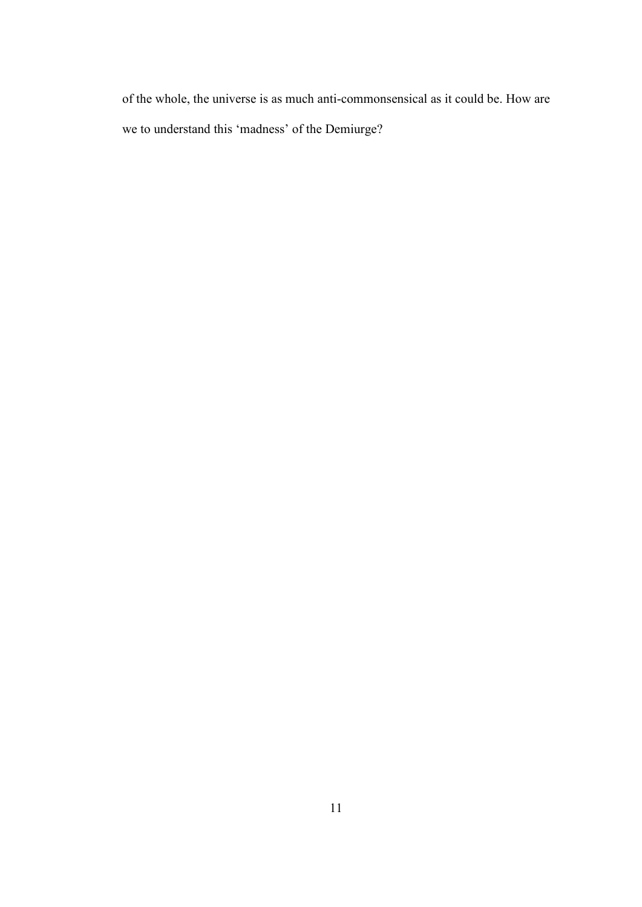of the whole, the universe is as much anti-commonsensical as it could be. How are we to understand this 'madness' of the Demiurge?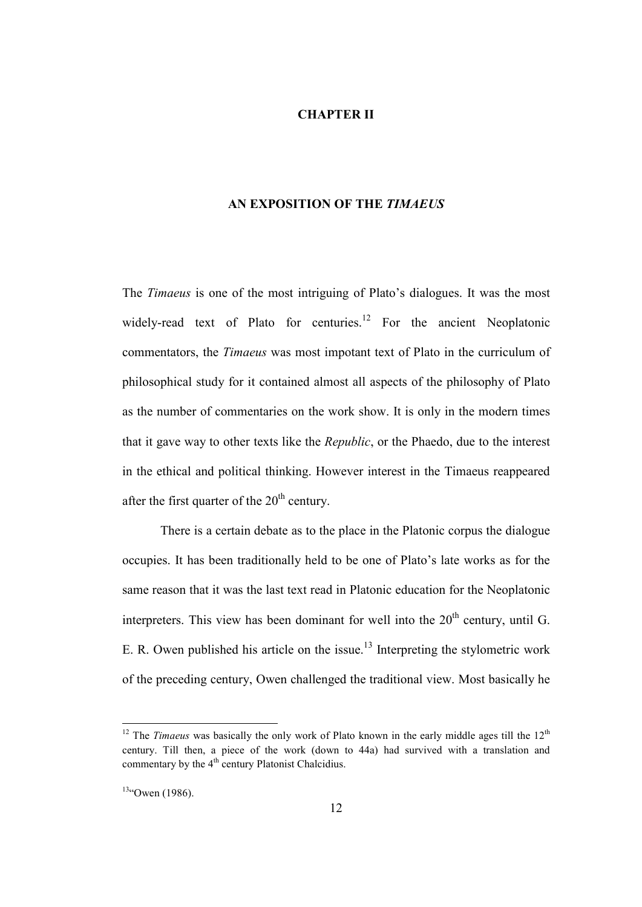## **CHAPTER II**

#### **AN EXPOSITION OF THE** *TIMAEUS*

The *Timaeus* is one of the most intriguing of Plato's dialogues. It was the most widely-read text of Plato for centuries.<sup>12</sup> For the ancient Neoplatonic commentators, the *Timaeus* was most impotant text of Plato in the curriculum of philosophical study for it contained almost all aspects of the philosophy of Plato as the number of commentaries on the work show. It is only in the modern times that it gave way to other texts like the *Republic*, or the Phaedo, due to the interest in the ethical and political thinking. However interest in the Timaeus reappeared after the first quarter of the  $20<sup>th</sup>$  century.

There is a certain debate as to the place in the Platonic corpus the dialogue occupies. It has been traditionally held to be one of Plato's late works as for the same reason that it was the last text read in Platonic education for the Neoplatonic interpreters. This view has been dominant for well into the  $20<sup>th</sup>$  century, until G. E. R. Owen published his article on the issue.<sup>13</sup> Interpreting the stylometric work of the preceding century, Owen challenged the traditional view. Most basically he

<sup>&</sup>lt;sup>12</sup> The *Timaeus* was basically the only work of Plato known in the early middle ages till the  $12<sup>th</sup>$ century. Till then, a piece of the work (down to 44a) had survived with a translation and commentary by the  $4<sup>th</sup>$  century Platonist Chalcidius.

 $13^{13}$  Owen (1986).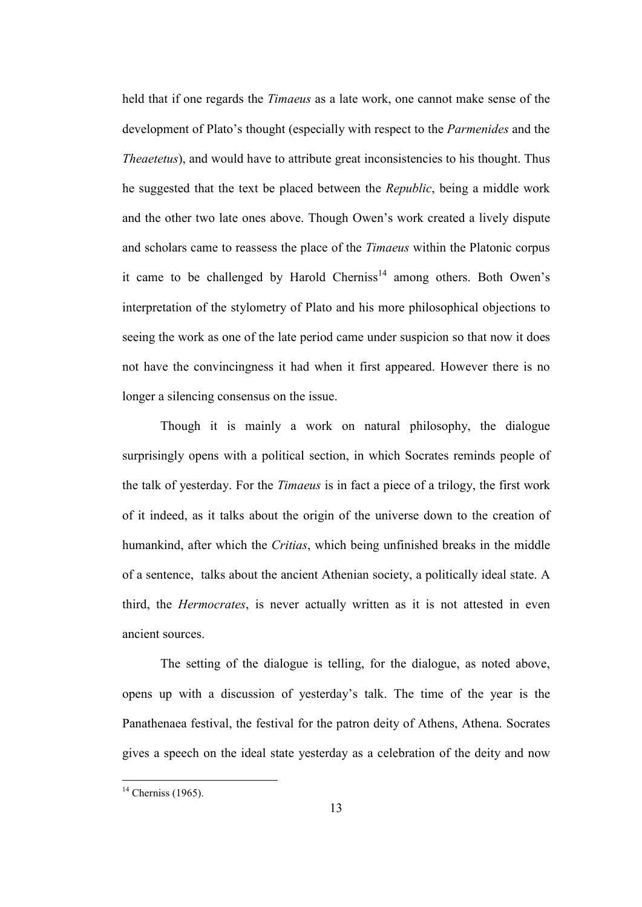held that if one regards the *Timaeus* as a late work, one cannot make sense of the development of Plato's thought (especially with respect to the *Parmenides* and the *Theaetetus*), and would have to attribute great inconsistencies to his thought. Thus he suggested that the text be placed between the *Republic*, being a middle work and the other two late ones above. Though Owen's work created a lively dispute and scholars came to reassess the place of the *Timaeus* within the Platonic corpus it came to be challenged by Harold Cherniss<sup>14</sup> among others. Both Owen's interpretation of the stylometry of Plato and his more philosophical objections to seeing the work as one of the late period came under suspicion so that now it does not have the convincingness it had when it first appeared. However there is no longer a silencing consensus on the issue.

Though it is mainly a work on natural philosophy, the dialogue surprisingly opens with a political section, in which Socrates reminds people of the talk of yesterday. For the *Timaeus* is in fact a piece of a trilogy, the first work of it indeed, as it talks about the origin of the universe down to the creation of humankind, after which the *Critias*, which being unfinished breaks in the middle of a sentence, talks about the ancient Athenian society, a politically ideal state. A third, the *Hermocrates*, is never actually written as it is not attested in even ancient sources.

The setting of the dialogue is telling, for the dialogue, as noted above, opens up with a discussion of yesterday's talk. The time of the year is the Panathenaea festival, the festival for the patron deity of Athens, Athena. Socrates gives a speech on the ideal state yesterday as a celebration of the deity and now

 $14$  Cherniss (1965).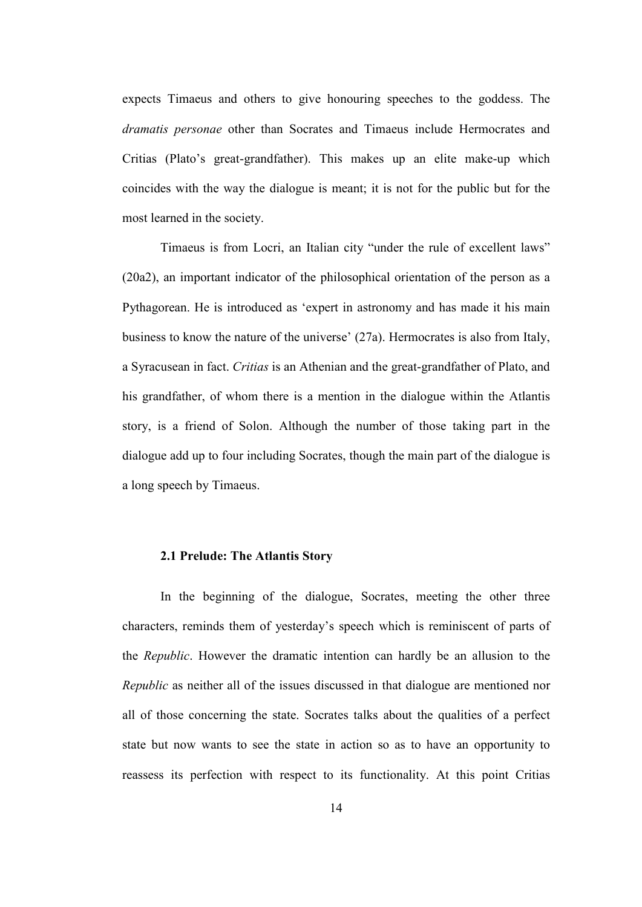expects Timaeus and others to give honouring speeches to the goddess. The *dramatis personae* other than Socrates and Timaeus include Hermocrates and Critias (Plato's great-grandfather). This makes up an elite make-up which coincides with the way the dialogue is meant; it is not for the public but for the most learned in the society.

Timaeus is from Locri, an Italian city "under the rule of excellent laws" (20a2), an important indicator of the philosophical orientation of the person as a Pythagorean. He is introduced as 'expert in astronomy and has made it his main business to know the nature of the universe' (27a). Hermocrates is also from Italy, a Syracusean in fact. *Critias* is an Athenian and the great-grandfather of Plato, and his grandfather, of whom there is a mention in the dialogue within the Atlantis story, is a friend of Solon. Although the number of those taking part in the dialogue add up to four including Socrates, though the main part of the dialogue is a long speech by Timaeus.

#### **2.1 Prelude: The Atlantis Story**

In the beginning of the dialogue, Socrates, meeting the other three characters, reminds them of yesterday's speech which is reminiscent of parts of the *Republic*. However the dramatic intention can hardly be an allusion to the *Republic* as neither all of the issues discussed in that dialogue are mentioned nor all of those concerning the state. Socrates talks about the qualities of a perfect state but now wants to see the state in action so as to have an opportunity to reassess its perfection with respect to its functionality. At this point Critias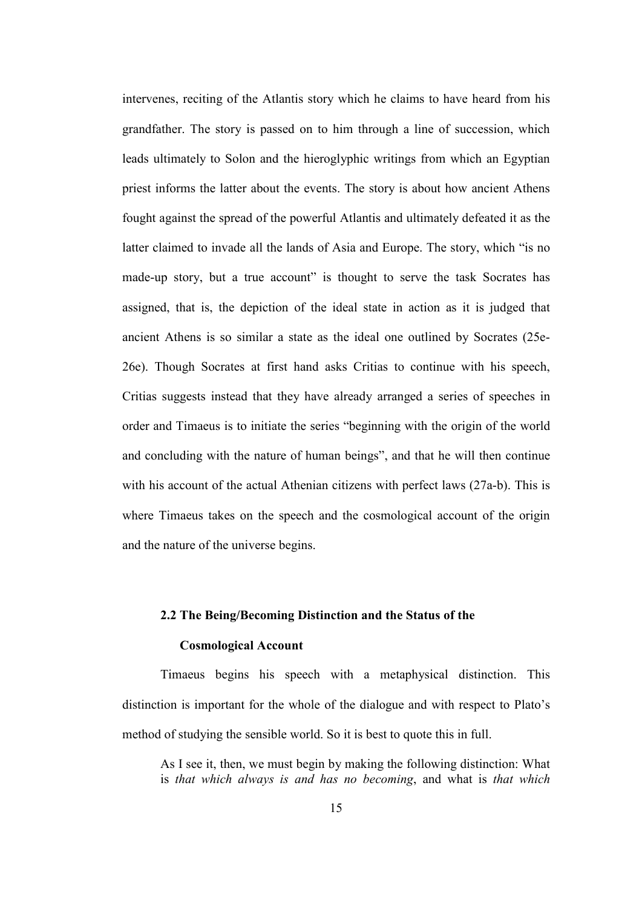intervenes, reciting of the Atlantis story which he claims to have heard from his grandfather. The story is passed on to him through a line of succession, which leads ultimately to Solon and the hieroglyphic writings from which an Egyptian priest informs the latter about the events. The story is about how ancient Athens fought against the spread of the powerful Atlantis and ultimately defeated it as the latter claimed to invade all the lands of Asia and Europe. The story, which "is no made-up story, but a true account" is thought to serve the task Socrates has assigned, that is, the depiction of the ideal state in action as it is judged that ancient Athens is so similar a state as the ideal one outlined by Socrates (25e-26e). Though Socrates at first hand asks Critias to continue with his speech, Critias suggests instead that they have already arranged a series of speeches in order and Timaeus is to initiate the series "beginning with the origin of the world and concluding with the nature of human beings", and that he will then continue with his account of the actual Athenian citizens with perfect laws (27a-b). This is where Timaeus takes on the speech and the cosmological account of the origin and the nature of the universe begins.

### **2.2 The Being/Becoming Distinction and the Status of the**

## **Cosmological Account**

Timaeus begins his speech with a metaphysical distinction. This distinction is important for the whole of the dialogue and with respect to Plato's method of studying the sensible world. So it is best to quote this in full.

As I see it, then, we must begin by making the following distinction: What is *that which always is and has no becoming*, and what is *that which*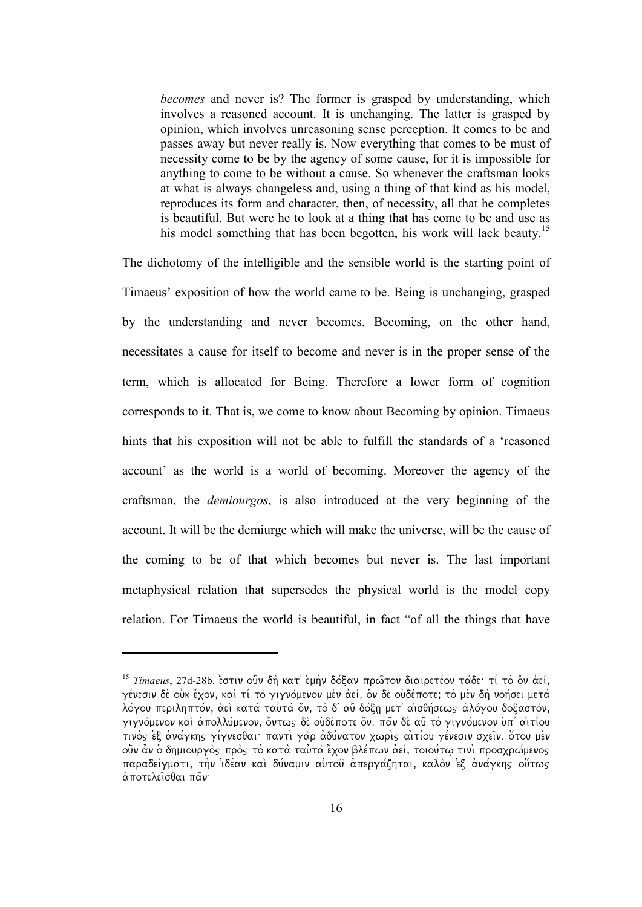*becomes* and never is? The former is grasped by understanding, which involves a reasoned account. It is unchanging. The latter is grasped by opinion, which involves unreasoning sense perception. It comes to be and passes away but never really is. Now everything that comes to be must of necessity come to be by the agency of some cause, for it is impossible for anything to come to be without a cause. So whenever the craftsman looks at what is always changeless and, using a thing of that kind as his model, reproduces its form and character, then, of necessity, all that he completes is beautiful. But were he to look at a thing that has come to be and use as his model something that has been begotten, his work will lack beauty.<sup>15</sup>

The dichotomy of the intelligible and the sensible world is the starting point of Timaeus' exposition of how the world came to be. Being is unchanging, grasped by the understanding and never becomes. Becoming, on the other hand, necessitates a cause for itself to become and never is in the proper sense of the term, which is allocated for Being. Therefore a lower form of cognition corresponds to it. That is, we come to know about Becoming by opinion. Timaeus hints that his exposition will not be able to fulfill the standards of a 'reasoned account' as the world is a world of becoming. Moreover the agency of the craftsman, the *demiourgos*, is also introduced at the very beginning of the account. It will be the demiurge which will make the universe, will be the cause of the coming to be of that which becomes but never is. The last important metaphysical relation that supersedes the physical world is the model copy relation. For Timaeus the world is beautiful, in fact "of all the things that have

<sup>15</sup> *Timaeus, 27*d-28b. <sup>2</sup>στιν ούν δη κατ' εμην δόξαν πρωτον διαιρετέον τάδε· τί το όν αεί, *ge/nesin de\ ou)k e)/xon, kai\ ti/ to\ gigno/menon me\n a)ei/, o)\n de\ ou)de/pote; to\ me\n dh\ noh/sei meta\*  λόγου περιληπτόν, άει κατα ταυτα όν, το δ' αυ δόξη μετ' αισθήσεως αλόγου δοξαστόν, *gigno/menon kai\ a)pollu/menon, o)/ntwj de\ ou)de/pote o)/n. pa=n de\ au)= to\ gigno/menon u(p' ai)ti/ou τιν*ός εξ ανάγκης γίγνεσθαι· παντι γαρ αδύνατον χωρις αιτίου γένεσιν σχειν. ότου μεν *ou)=n a)\n o( dhmiourgo\j pro\j to\ kata\ tau)ta\ e)/xon ble/pwn a)ei/, toiou/tw| tini\ prosxrw/menoj παραδείγματι, την ιδέαν και δύναμιν αυτου απεργαζηται, καλον εξ ανάγκης ούτως*  $\alpha$ ποτελεισθαι παν<sup>.</sup>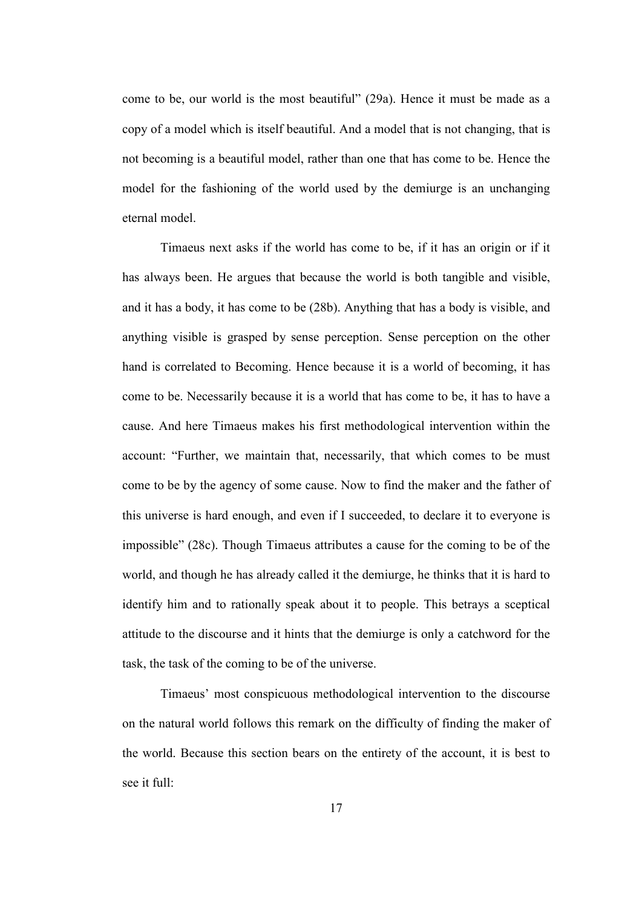come to be, our world is the most beautiful" (29a). Hence it must be made as a copy of a model which is itself beautiful. And a model that is not changing, that is not becoming is a beautiful model, rather than one that has come to be. Hence the model for the fashioning of the world used by the demiurge is an unchanging eternal model.

 Timaeus next asks if the world has come to be, if it has an origin or if it has always been. He argues that because the world is both tangible and visible, and it has a body, it has come to be (28b). Anything that has a body is visible, and anything visible is grasped by sense perception. Sense perception on the other hand is correlated to Becoming. Hence because it is a world of becoming, it has come to be. Necessarily because it is a world that has come to be, it has to have a cause. And here Timaeus makes his first methodological intervention within the account: "Further, we maintain that, necessarily, that which comes to be must come to be by the agency of some cause. Now to find the maker and the father of this universe is hard enough, and even if I succeeded, to declare it to everyone is impossible" (28c). Though Timaeus attributes a cause for the coming to be of the world, and though he has already called it the demiurge, he thinks that it is hard to identify him and to rationally speak about it to people. This betrays a sceptical attitude to the discourse and it hints that the demiurge is only a catchword for the task, the task of the coming to be of the universe.

 Timaeus' most conspicuous methodological intervention to the discourse on the natural world follows this remark on the difficulty of finding the maker of the world. Because this section bears on the entirety of the account, it is best to see it full: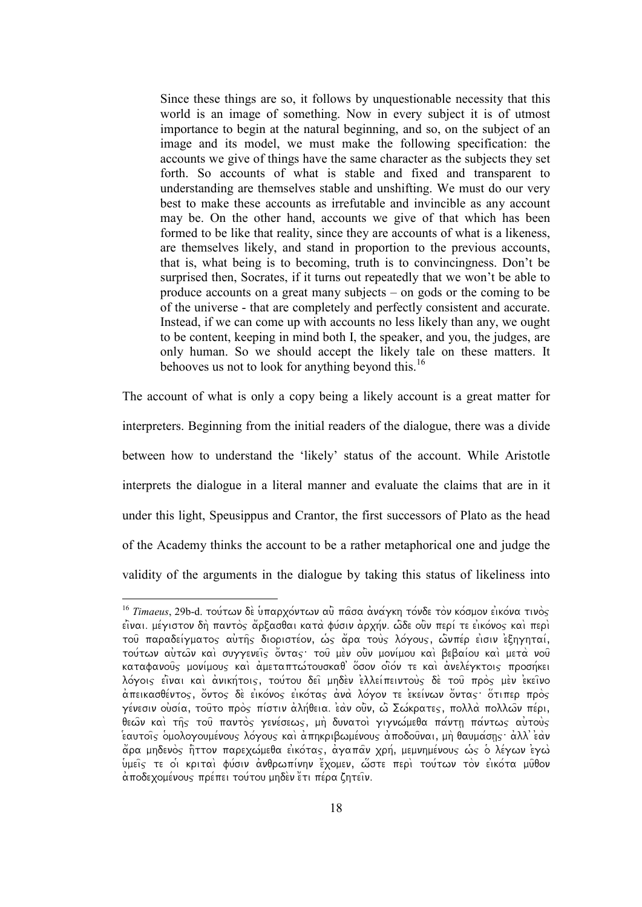Since these things are so, it follows by unquestionable necessity that this world is an image of something. Now in every subject it is of utmost importance to begin at the natural beginning, and so, on the subject of an image and its model, we must make the following specification: the accounts we give of things have the same character as the subjects they set forth. So accounts of what is stable and fixed and transparent to understanding are themselves stable and unshifting. We must do our very best to make these accounts as irrefutable and invincible as any account may be. On the other hand, accounts we give of that which has been formed to be like that reality, since they are accounts of what is a likeness, are themselves likely, and stand in proportion to the previous accounts, that is, what being is to becoming, truth is to convincingness. Don't be surprised then, Socrates, if it turns out repeatedly that we won't be able to produce accounts on a great many subjects – on gods or the coming to be of the universe - that are completely and perfectly consistent and accurate. Instead, if we can come up with accounts no less likely than any, we ought to be content, keeping in mind both I, the speaker, and you, the judges, are only human. So we should accept the likely tale on these matters. It behooves us not to look for anything beyond this.<sup>16</sup>

The account of what is only a copy being a likely account is a great matter for interpreters. Beginning from the initial readers of the dialogue, there was a divide between how to understand the 'likely' status of the account. While Aristotle interprets the dialogue in a literal manner and evaluate the claims that are in it under this light, Speusippus and Crantor, the first successors of Plato as the head of the Academy thinks the account to be a rather metaphorical one and judge the validity of the arguments in the dialogue by taking this status of likeliness into

<sup>&</sup>lt;sup>16</sup> *Timaeus*, 29b-d. τούτων δε υπαρχόντων αυ πασα ανάγκη τόνδε τον κόσμον εικόνα τινος *ei)=nai. me/giston dh\ panto\j a)/rcasqai kata\ fu/sin a)rxh/n. w(=de ou)=n peri/ te ei)ko/noj kai\ peri\*  τού παραδείγματος αυτής διοριστέον, ώς άρα τους λόγους, ώνπέρ εισιν εξηγηταί, *τούτων αυτών και συγγενεις όντας του μεν ούν μονίμου και βεβαίου και μετά νου* καταφανούς μονίμους και αμεταπτωτουσκαθ' όσον οιον τε και ανελέγκτοις προσήκει *lo/goij ei)=nai kai\ a)nikh/toij, tou/tou dei= mhde\n e)llei/peintou\j de\ tou= pro\j me\n e)kei=no a)peikasqe/ntoj, o)/ntoj de\ ei)ko/noj ei)ko/taj a)na\ lo/gon te e)kei/nwn o)/ntaj: o(/tiper pro\j*  γένεσιν ουσία, τούτο προς πίστιν αλήθεια. εαν ούν, ω Σωκρατες, πολλα πολλων πέρι, *qew=n kai\ th=j tou= panto\j gene/sewj, mh\ dunatoi\ gignw/meqa pa/nth| pa/ntwj au)tou\j e(autoi=j o(mologoume/nouj lo/gouj kai\ a)phkribwme/nouj a)podou=nai, mh\ qauma/sh|j: a)ll' e)a\n a)/ra mhdeno\j h(=tton parexw/meqa ei)ko/taj, a)gapa=n xrh/, memnhme/nouj w(j o( le/gwn e)gw\ u(mei=j te oi( kritai\ fu/sin a)nqrwpi/nhn e)/xomen, w(/ste peri\ tou/twn to\n ei)ko/ta mu=qon a)podexome/nouj pre/pei tou/tou mhde\n e)/ti pe/ra zhtei=n.*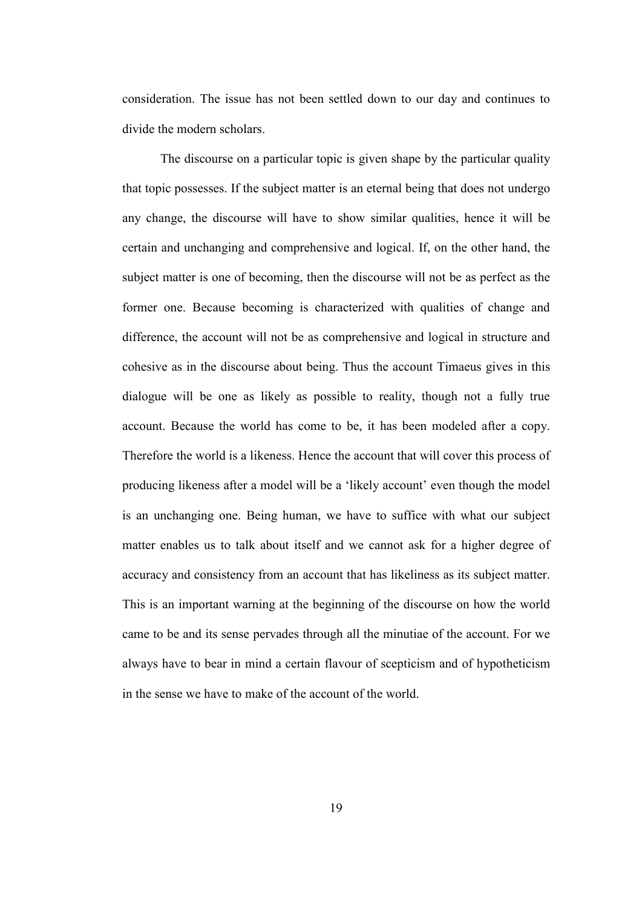consideration. The issue has not been settled down to our day and continues to divide the modern scholars.

 The discourse on a particular topic is given shape by the particular quality that topic possesses. If the subject matter is an eternal being that does not undergo any change, the discourse will have to show similar qualities, hence it will be certain and unchanging and comprehensive and logical. If, on the other hand, the subject matter is one of becoming, then the discourse will not be as perfect as the former one. Because becoming is characterized with qualities of change and difference, the account will not be as comprehensive and logical in structure and cohesive as in the discourse about being. Thus the account Timaeus gives in this dialogue will be one as likely as possible to reality, though not a fully true account. Because the world has come to be, it has been modeled after a copy. Therefore the world is a likeness. Hence the account that will cover this process of producing likeness after a model will be a 'likely account' even though the model is an unchanging one. Being human, we have to suffice with what our subject matter enables us to talk about itself and we cannot ask for a higher degree of accuracy and consistency from an account that has likeliness as its subject matter. This is an important warning at the beginning of the discourse on how the world came to be and its sense pervades through all the minutiae of the account. For we always have to bear in mind a certain flavour of scepticism and of hypotheticism in the sense we have to make of the account of the world.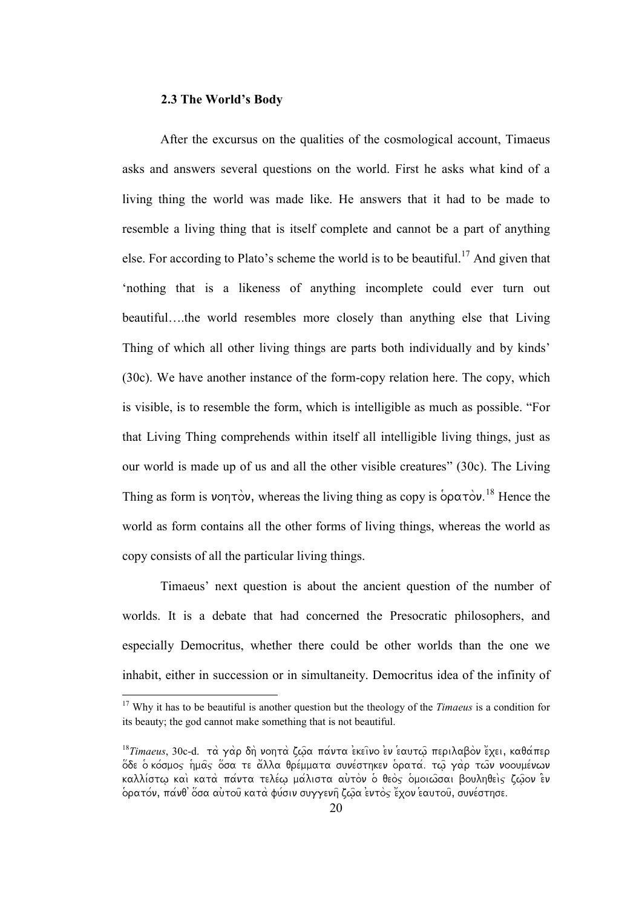### **2.3 The World's Body**

 $\overline{a}$ 

After the excursus on the qualities of the cosmological account, Timaeus asks and answers several questions on the world. First he asks what kind of a living thing the world was made like. He answers that it had to be made to resemble a living thing that is itself complete and cannot be a part of anything else. For according to Plato's scheme the world is to be beautiful.<sup>17</sup> And given that 'nothing that is a likeness of anything incomplete could ever turn out beautiful….the world resembles more closely than anything else that Living Thing of which all other living things are parts both individually and by kinds' (30c). We have another instance of the form-copy relation here. The copy, which is visible, is to resemble the form, which is intelligible as much as possible. "For that Living Thing comprehends within itself all intelligible living things, just as our world is made up of us and all the other visible creatures" (30c). The Living Thing as form is vontow, whereas the living thing as copy is  $\delta \rho \alpha \tau \delta \nu$ .<sup>18</sup> Hence the world as form contains all the other forms of living things, whereas the world as copy consists of all the particular living things.

 Timaeus' next question is about the ancient question of the number of worlds. It is a debate that had concerned the Presocratic philosophers, and especially Democritus, whether there could be other worlds than the one we inhabit, either in succession or in simultaneity. Democritus idea of the infinity of

<sup>17</sup> Why it has to be beautiful is another question but the theology of the *Timaeus* is a condition for its beauty; the god cannot make something that is not beautiful.

<sup>18</sup>*Timaeus*, 30c-d. *τ*ά γάρ δή νοητά ζώα πάντα εκείνο εν εαυτώ περιλαβόν έχει, καθάπερ *o(/de o( ko/smoj h(ma=j o(/sa te a)/lla qre/mmata sune/sthken o(rata/. tw=| ga\r tw=n nooume/nwn kalli/stw| kai\ kata\ pa/nta tele/w| ma/lista au)to\n o( qeo\j o(moiw=sai boulhqei\j zw=|on e(\n o(rato/n, pa/nq' o(/sa au)tou= kata\ fu/sin suggenh= zw=|a e)nto\j e)/xon e(autou=, sune/sthse.*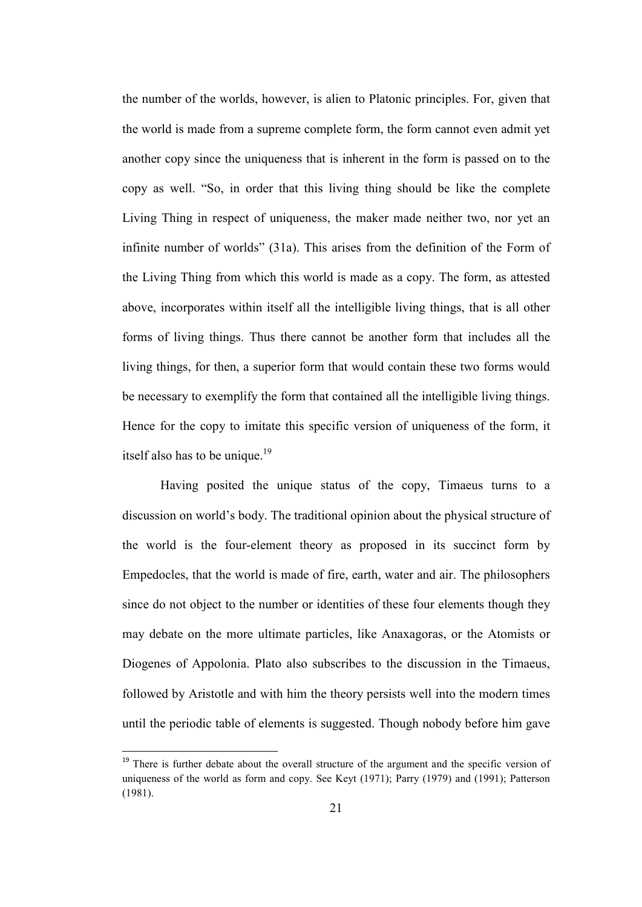the number of the worlds, however, is alien to Platonic principles. For, given that the world is made from a supreme complete form, the form cannot even admit yet another copy since the uniqueness that is inherent in the form is passed on to the copy as well. "So, in order that this living thing should be like the complete Living Thing in respect of uniqueness, the maker made neither two, nor yet an infinite number of worlds" (31a). This arises from the definition of the Form of the Living Thing from which this world is made as a copy. The form, as attested above, incorporates within itself all the intelligible living things, that is all other forms of living things. Thus there cannot be another form that includes all the living things, for then, a superior form that would contain these two forms would be necessary to exemplify the form that contained all the intelligible living things. Hence for the copy to imitate this specific version of uniqueness of the form, it itself also has to be unique.<sup>19</sup>

Having posited the unique status of the copy, Timaeus turns to a discussion on world's body. The traditional opinion about the physical structure of the world is the four-element theory as proposed in its succinct form by Empedocles, that the world is made of fire, earth, water and air. The philosophers since do not object to the number or identities of these four elements though they may debate on the more ultimate particles, like Anaxagoras, or the Atomists or Diogenes of Appolonia. Plato also subscribes to the discussion in the Timaeus, followed by Aristotle and with him the theory persists well into the modern times until the periodic table of elements is suggested. Though nobody before him gave

<sup>&</sup>lt;sup>19</sup> There is further debate about the overall structure of the argument and the specific version of uniqueness of the world as form and copy. See Keyt (1971); Parry (1979) and (1991); Patterson (1981).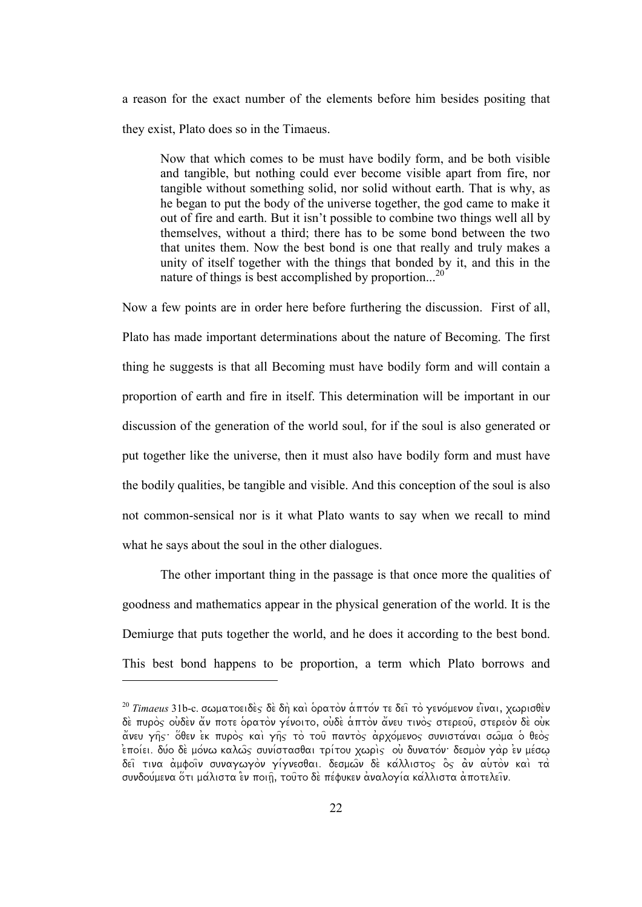a reason for the exact number of the elements before him besides positing that they exist, Plato does so in the Timaeus.

Now that which comes to be must have bodily form, and be both visible and tangible, but nothing could ever become visible apart from fire, nor tangible without something solid, nor solid without earth. That is why, as he began to put the body of the universe together, the god came to make it out of fire and earth. But it isn't possible to combine two things well all by themselves, without a third; there has to be some bond between the two that unites them. Now the best bond is one that really and truly makes a unity of itself together with the things that bonded by it, and this in the nature of things is best accomplished by proportion...<sup>20</sup>

Now a few points are in order here before furthering the discussion. First of all, Plato has made important determinations about the nature of Becoming. The first thing he suggests is that all Becoming must have bodily form and will contain a proportion of earth and fire in itself. This determination will be important in our discussion of the generation of the world soul, for if the soul is also generated or put together like the universe, then it must also have bodily form and must have the bodily qualities, be tangible and visible. And this conception of the soul is also not common-sensical nor is it what Plato wants to say when we recall to mind what he says about the soul in the other dialogues.

 The other important thing in the passage is that once more the qualities of goodness and mathematics appear in the physical generation of the world. It is the Demiurge that puts together the world, and he does it according to the best bond. This best bond happens to be proportion, a term which Plato borrows and

<sup>&</sup>lt;sup>20</sup> *Timaeus* 31b-c. σωματοειδές δέ δή και ορατον απτόν τε δει το γενόμενον είναι, χωρισθεν *de\ puro\j ou)de\n a)/n pote o(rato\n ge/noito, ou)de\ a(pto\n a)/neu tino\j stereou=, stereo\n de\ ou)k a)/neu gh=j: o(/qen e)k puro\j kai\ gh=j to\ tou= panto\j a)rxo/menoj sunista/nai sw=ma o( qeo\j e)poi/ei. du/o de\ mo/nw kalw=j suni/stasqai tri/tou xwri\j ou) dunato/n: desmo\n ga\r e)n me/sw|*  δει τινα αμφοιν συναγωγον γίγνεσθαι. δεσμων δε καλλιστος ος αν αυτον και τα *sundou/mena o(/ti ma/lista e(\n poih=|, tou=to de\ pe/fuken a)nalogi/a ka/llista a)potelei=n.*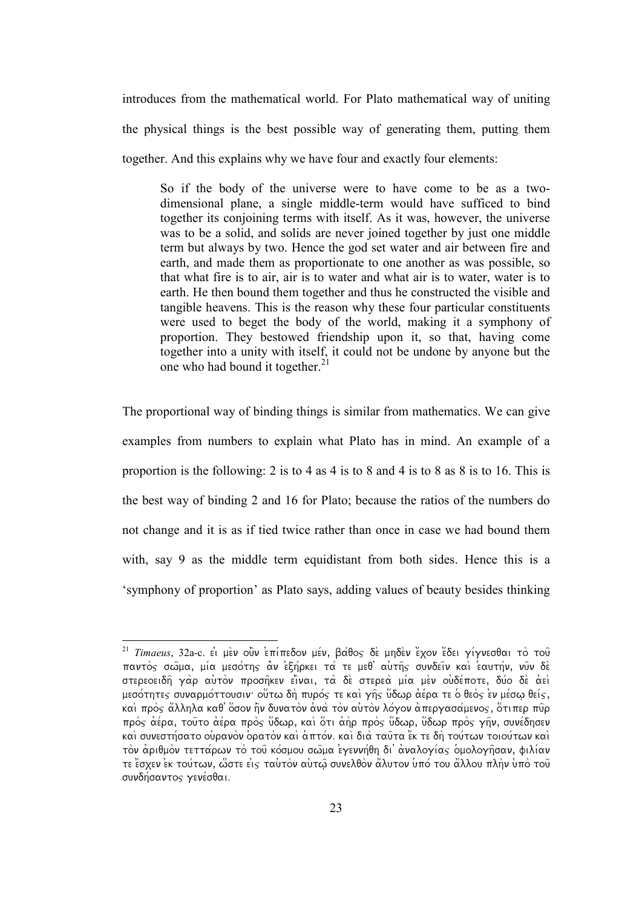introduces from the mathematical world. For Plato mathematical way of uniting the physical things is the best possible way of generating them, putting them together. And this explains why we have four and exactly four elements:

So if the body of the universe were to have come to be as a twodimensional plane, a single middle-term would have sufficed to bind together its conjoining terms with itself. As it was, however, the universe was to be a solid, and solids are never joined together by just one middle term but always by two. Hence the god set water and air between fire and earth, and made them as proportionate to one another as was possible, so that what fire is to air, air is to water and what air is to water, water is to earth. He then bound them together and thus he constructed the visible and tangible heavens. This is the reason why these four particular constituents were used to beget the body of the world, making it a symphony of proportion. They bestowed friendship upon it, so that, having come together into a unity with itself, it could not be undone by anyone but the one who had bound it together.<sup>21</sup>

The proportional way of binding things is similar from mathematics. We can give examples from numbers to explain what Plato has in mind. An example of a proportion is the following: 2 is to 4 as 4 is to 8 and 4 is to 8 as 8 is to 16. This is the best way of binding 2 and 16 for Plato; because the ratios of the numbers do not change and it is as if tied twice rather than once in case we had bound them with, say 9 as the middle term equidistant from both sides. Hence this is a 'symphony of proportion' as Plato says, adding values of beauty besides thinking

<sup>&</sup>lt;sup>21</sup> *Timaeus,* 32a-c. εἰ μὲν οὖν ἐπίπεδον μέν, βάθος δὲ μηδὲν ἔχον ἔδει γίγνεσθαι τὸ τοῦ *παντός σώμα, μία μεσότης αν εξήρκει τα τε μεθ' αυτής συνδειν και εαυτήν, νυν δε stereoeidh= ga\r au)to\n prosh=ken ei)=nai, ta\ de\ sterea\ mi/a me\n ou)de/pote, du/o de\ a)ei\ meso/thtej sunarmo/ttousin: ou(/tw dh\ puro/j te kai\ gh=j u(/dwr a)e/ra te o( qeo\j e)n me/sw| qei/j, k*αι προς άλληλα καθ' όσον ην δυνατον ανα τον αυτον λόγον απεργασάμενος, ότιπερ πυρ *πρ*ός αέρα, τούτο αέρα πρός ύδωρ, και ότι αηρ πρός ύδωρ, ύδωρ πρός γην, συνέδησεν *kai\ sunesth/sato ou)rano\n o(rato\n kai\ a(pto/n. kai\ dia\ tau=ta e)/k te dh\ tou/twn toiou/twn kai\ to\n a)riqmo\n tetta/rwn to\ tou= ko/smou sw=ma e)gennh/qh di' a)nalogi/aj o(mologh=san, fili/an τε* έσχεν εκ τούτων, ώστε εις ταυτον αυτώ συνελθον άλυτον υπό του άλλου πλην υπό του *sundh/santoj gene/sqai.*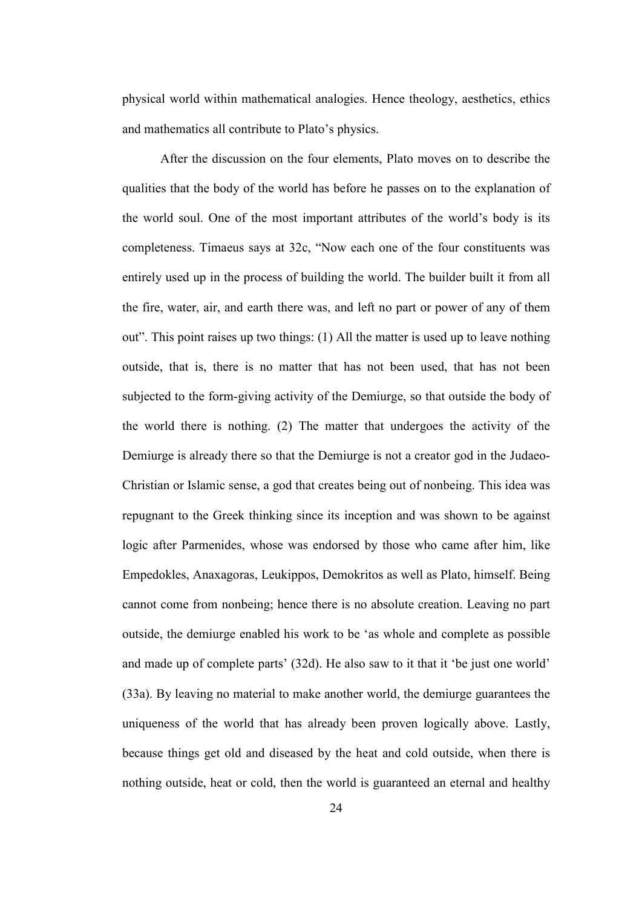physical world within mathematical analogies. Hence theology, aesthetics, ethics and mathematics all contribute to Plato's physics.

 After the discussion on the four elements, Plato moves on to describe the qualities that the body of the world has before he passes on to the explanation of the world soul. One of the most important attributes of the world's body is its completeness. Timaeus says at 32c, "Now each one of the four constituents was entirely used up in the process of building the world. The builder built it from all the fire, water, air, and earth there was, and left no part or power of any of them out". This point raises up two things: (1) All the matter is used up to leave nothing outside, that is, there is no matter that has not been used, that has not been subjected to the form-giving activity of the Demiurge, so that outside the body of the world there is nothing. (2) The matter that undergoes the activity of the Demiurge is already there so that the Demiurge is not a creator god in the Judaeo-Christian or Islamic sense, a god that creates being out of nonbeing. This idea was repugnant to the Greek thinking since its inception and was shown to be against logic after Parmenides, whose was endorsed by those who came after him, like Empedokles, Anaxagoras, Leukippos, Demokritos as well as Plato, himself. Being cannot come from nonbeing; hence there is no absolute creation. Leaving no part outside, the demiurge enabled his work to be 'as whole and complete as possible and made up of complete parts' (32d). He also saw to it that it 'be just one world' (33a). By leaving no material to make another world, the demiurge guarantees the uniqueness of the world that has already been proven logically above. Lastly, because things get old and diseased by the heat and cold outside, when there is nothing outside, heat or cold, then the world is guaranteed an eternal and healthy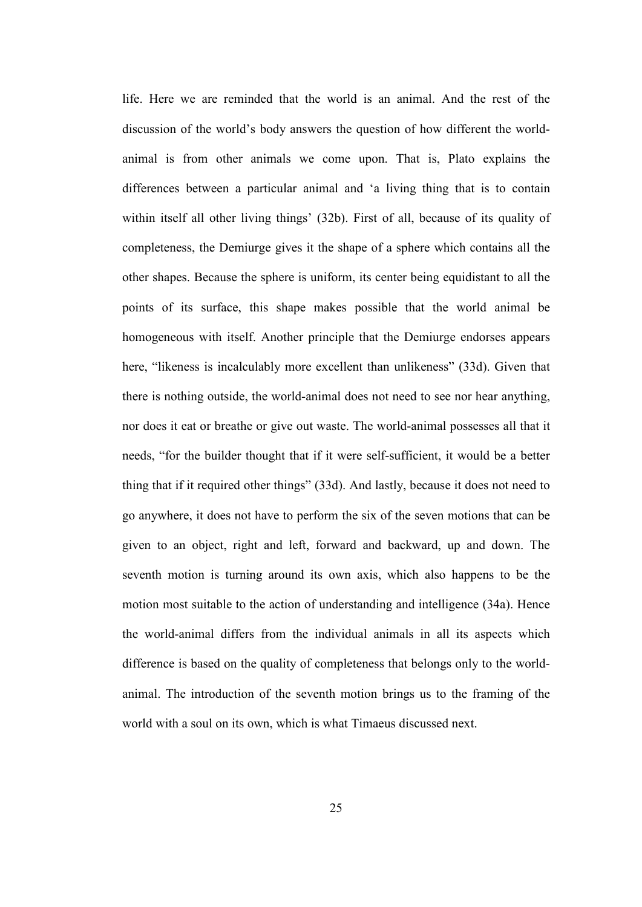life. Here we are reminded that the world is an animal. And the rest of the discussion of the world's body answers the question of how different the worldanimal is from other animals we come upon. That is, Plato explains the differences between a particular animal and 'a living thing that is to contain within itself all other living things' (32b). First of all, because of its quality of completeness, the Demiurge gives it the shape of a sphere which contains all the other shapes. Because the sphere is uniform, its center being equidistant to all the points of its surface, this shape makes possible that the world animal be homogeneous with itself. Another principle that the Demiurge endorses appears here, "likeness is incalculably more excellent than unlikeness" (33d). Given that there is nothing outside, the world-animal does not need to see nor hear anything, nor does it eat or breathe or give out waste. The world-animal possesses all that it needs, "for the builder thought that if it were self-sufficient, it would be a better thing that if it required other things" (33d). And lastly, because it does not need to go anywhere, it does not have to perform the six of the seven motions that can be given to an object, right and left, forward and backward, up and down. The seventh motion is turning around its own axis, which also happens to be the motion most suitable to the action of understanding and intelligence (34a). Hence the world-animal differs from the individual animals in all its aspects which difference is based on the quality of completeness that belongs only to the worldanimal. The introduction of the seventh motion brings us to the framing of the world with a soul on its own, which is what Timaeus discussed next.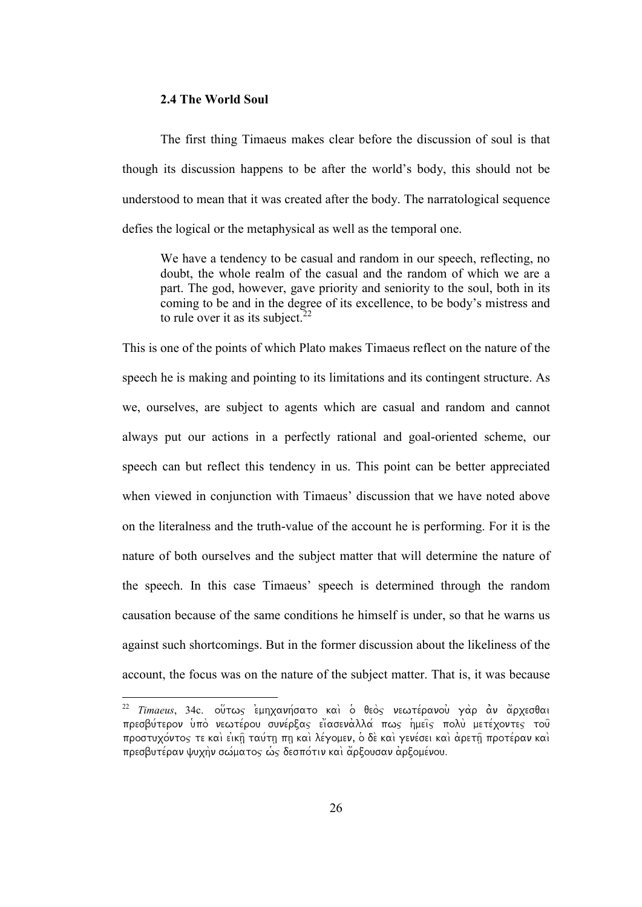#### **2.4 The World Soul**

 $\overline{a}$ 

 The first thing Timaeus makes clear before the discussion of soul is that though its discussion happens to be after the world's body, this should not be understood to mean that it was created after the body. The narratological sequence defies the logical or the metaphysical as well as the temporal one.

We have a tendency to be casual and random in our speech, reflecting, no doubt, the whole realm of the casual and the random of which we are a part. The god, however, gave priority and seniority to the soul, both in its coming to be and in the degree of its excellence, to be body's mistress and to rule over it as its subject.<sup>22</sup>

This is one of the points of which Plato makes Timaeus reflect on the nature of the speech he is making and pointing to its limitations and its contingent structure. As we, ourselves, are subject to agents which are casual and random and cannot always put our actions in a perfectly rational and goal-oriented scheme, our speech can but reflect this tendency in us. This point can be better appreciated when viewed in conjunction with Timaeus' discussion that we have noted above on the literalness and the truth-value of the account he is performing. For it is the nature of both ourselves and the subject matter that will determine the nature of the speech. In this case Timaeus' speech is determined through the random causation because of the same conditions he himself is under, so that he warns us against such shortcomings. But in the former discussion about the likeliness of the account, the focus was on the nature of the subject matter. That is, it was because

<sup>&</sup>lt;sup>22</sup> *Timaeus,* 34c. οὕτως ἐμηχανήσατο καὶ ὁ θεὸς νεωτέρανοὐ γὰρ ἀν ἄρχεσθαι *πρεσβύτερον υπό νεωτέρου συνέρξας είασενάλλά πως ημείς πολύ μετέχοντες του* prostuxovtos τε και εική ταύτη πη και λέγομεν, ο δε και γενέσει και αρετή προτέραν και *πρεσβυτέραν ψυχὴν σώματος ως δεσπότιν και ἄρξουσαν αρξομένου.*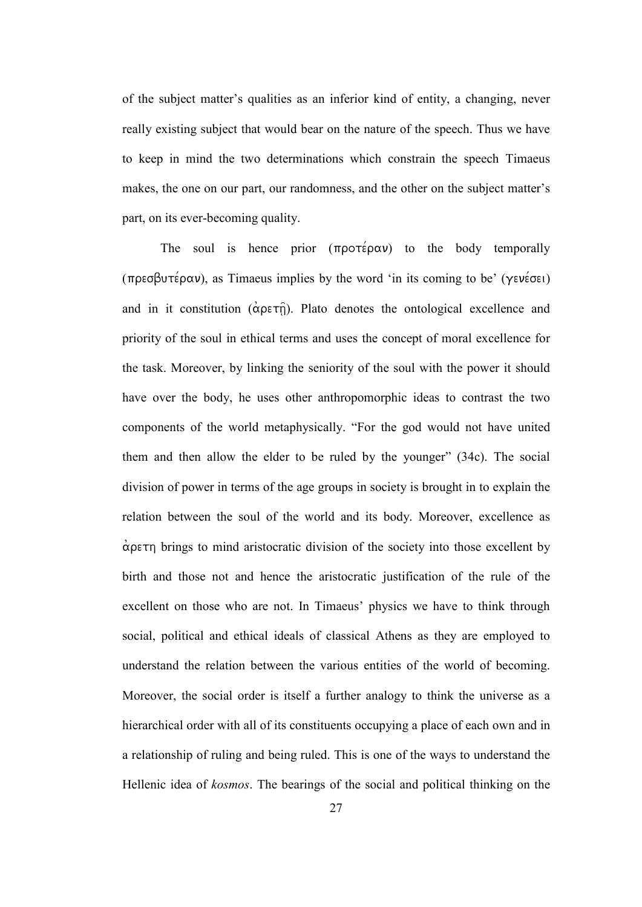of the subject matter's qualities as an inferior kind of entity, a changing, never really existing subject that would bear on the nature of the speech. Thus we have to keep in mind the two determinations which constrain the speech Timaeus makes, the one on our part, our randomness, and the other on the subject matter's part, on its ever-becoming quality.

The soul is hence prior  $(\pi \rho \circ \pi \circ \rho \circ \psi)$  to the body temporally (*presbute/ran*), as Timaeus implies by the word 'in its coming to be' (*gene/sei*) and in it constitution  $(\alpha \rho \epsilon \tau \hat{n})$ . Plato denotes the ontological excellence and priority of the soul in ethical terms and uses the concept of moral excellence for the task. Moreover, by linking the seniority of the soul with the power it should have over the body, he uses other anthropomorphic ideas to contrast the two components of the world metaphysically. "For the god would not have united them and then allow the elder to be ruled by the younger" (34c). The social division of power in terms of the age groups in society is brought in to explain the relation between the soul of the world and its body. Moreover, excellence as  $\alpha$ <sup>o</sup>  $\alpha$ <sup>2</sup>  $\alpha$ <sup>2</sup>  $\alpha$ <sup>2</sup>  $\alpha$ <sup>2</sup>  $\alpha$ <sup>2</sup>  $\alpha$ <sup>2</sup>  $\alpha$ <sup>2</sup>  $\alpha$ <sup>2</sup>  $\alpha$ <sup>2</sup>  $\alpha$ <sup>2</sup>  $\alpha$ <sup>2</sup>  $\alpha$ <sup>2</sup>  $\alpha$ <sup>2</sup>  $\alpha$ <sup>2</sup>  $\alpha$ <sup>2</sup>  $\alpha$ <sup>2</sup>  $\alpha$ <sup>2</sup>  $\alpha$ <sup>2</sup>  $\alpha$ <sup>2</sup>  $\alpha$ <sup>2</sup>  $\alpha$ <sup>2</sup>  $\alpha$ <sup>2</sup>  $\alpha$ <sup>2</sup>  $\alpha$ <sup>2</sup>  $\alpha$ <sup>2</sup>  $\alpha$ <sup>2</sup>  $\alpha$ <sup></sup> birth and those not and hence the aristocratic justification of the rule of the excellent on those who are not. In Timaeus' physics we have to think through social, political and ethical ideals of classical Athens as they are employed to understand the relation between the various entities of the world of becoming. Moreover, the social order is itself a further analogy to think the universe as a hierarchical order with all of its constituents occupying a place of each own and in a relationship of ruling and being ruled. This is one of the ways to understand the Hellenic idea of *kosmos*. The bearings of the social and political thinking on the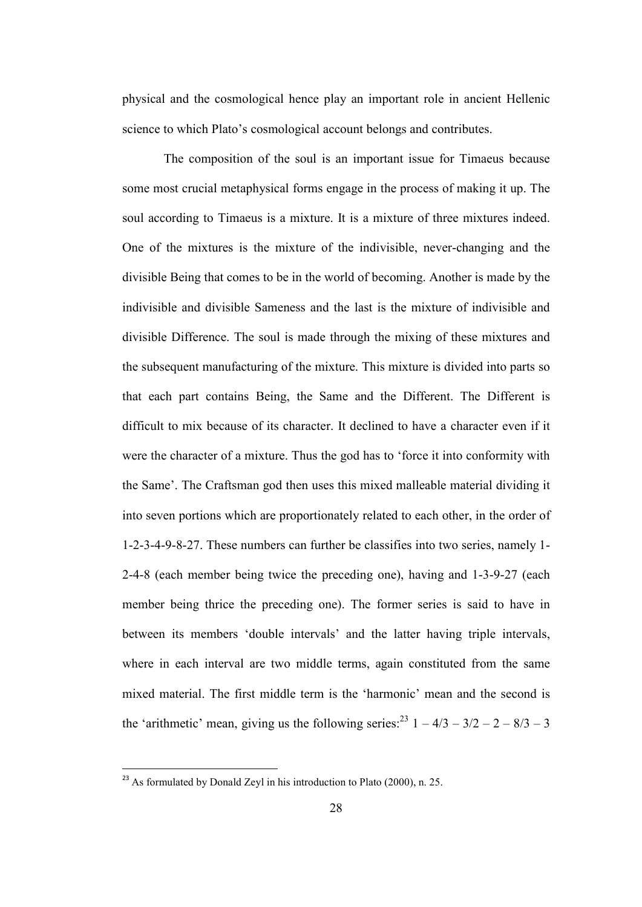physical and the cosmological hence play an important role in ancient Hellenic science to which Plato's cosmological account belongs and contributes.

 The composition of the soul is an important issue for Timaeus because some most crucial metaphysical forms engage in the process of making it up. The soul according to Timaeus is a mixture. It is a mixture of three mixtures indeed. One of the mixtures is the mixture of the indivisible, never-changing and the divisible Being that comes to be in the world of becoming. Another is made by the indivisible and divisible Sameness and the last is the mixture of indivisible and divisible Difference. The soul is made through the mixing of these mixtures and the subsequent manufacturing of the mixture. This mixture is divided into parts so that each part contains Being, the Same and the Different. The Different is difficult to mix because of its character. It declined to have a character even if it were the character of a mixture. Thus the god has to 'force it into conformity with the Same'. The Craftsman god then uses this mixed malleable material dividing it into seven portions which are proportionately related to each other, in the order of 1-2-3-4-9-8-27. These numbers can further be classifies into two series, namely 1- 2-4-8 (each member being twice the preceding one), having and 1-3-9-27 (each member being thrice the preceding one). The former series is said to have in between its members 'double intervals' and the latter having triple intervals, where in each interval are two middle terms, again constituted from the same mixed material. The first middle term is the 'harmonic' mean and the second is the 'arithmetic' mean, giving us the following series:<sup>23</sup>  $1 - 4/3 - 3/2 - 2 - 8/3 - 3$ 

 $^{23}$  As formulated by Donald Zeyl in his introduction to Plato (2000), n. 25.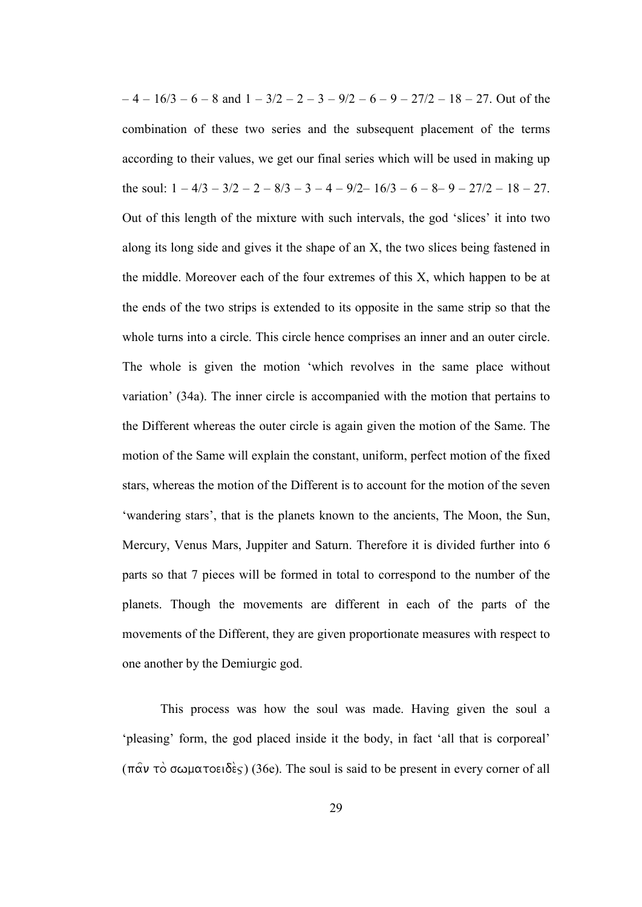$-4 - 16/3 - 6 - 8$  and  $1 - 3/2 - 2 - 3 - 9/2 - 6 - 9 - 27/2 - 18 - 27$ . Out of the combination of these two series and the subsequent placement of the terms according to their values, we get our final series which will be used in making up the soul:  $1 - 4/3 - 3/2 - 2 - 8/3 - 3 - 4 - 9/2 - 16/3 - 6 - 8 - 9 - 27/2 - 18 - 27$ . Out of this length of the mixture with such intervals, the god 'slices' it into two along its long side and gives it the shape of an X, the two slices being fastened in the middle. Moreover each of the four extremes of this X, which happen to be at the ends of the two strips is extended to its opposite in the same strip so that the whole turns into a circle. This circle hence comprises an inner and an outer circle. The whole is given the motion 'which revolves in the same place without variation' (34a). The inner circle is accompanied with the motion that pertains to the Different whereas the outer circle is again given the motion of the Same. The motion of the Same will explain the constant, uniform, perfect motion of the fixed stars, whereas the motion of the Different is to account for the motion of the seven 'wandering stars', that is the planets known to the ancients, The Moon, the Sun, Mercury, Venus Mars, Juppiter and Saturn. Therefore it is divided further into 6 parts so that 7 pieces will be formed in total to correspond to the number of the planets. Though the movements are different in each of the parts of the movements of the Different, they are given proportionate measures with respect to one another by the Demiurgic god.

 This process was how the soul was made. Having given the soul a 'pleasing' form, the god placed inside it the body, in fact 'all that is corporeal'  $(\pi \hat{\alpha} \nu \hat{\alpha})$   $\sigma \omega \mu \alpha \tau$  o  $\delta \hat{\epsilon}$  (36e). The soul is said to be present in every corner of all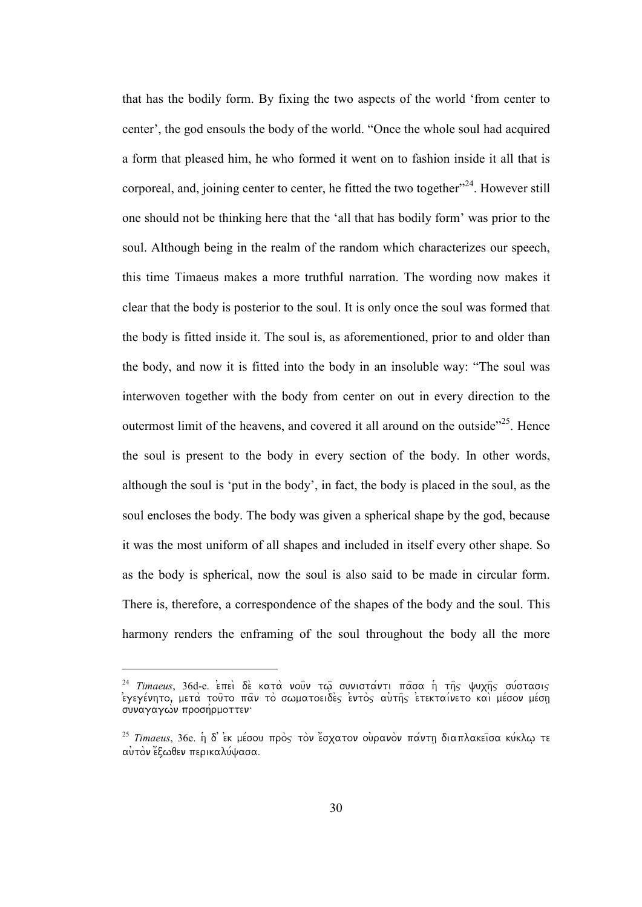that has the bodily form. By fixing the two aspects of the world 'from center to center', the god ensouls the body of the world. "Once the whole soul had acquired a form that pleased him, he who formed it went on to fashion inside it all that is corporeal, and, joining center to center, he fitted the two together $"^{24}$ . However still one should not be thinking here that the 'all that has bodily form' was prior to the soul. Although being in the realm of the random which characterizes our speech, this time Timaeus makes a more truthful narration. The wording now makes it clear that the body is posterior to the soul. It is only once the soul was formed that the body is fitted inside it. The soul is, as aforementioned, prior to and older than the body, and now it is fitted into the body in an insoluble way: "The soul was interwoven together with the body from center on out in every direction to the outermost limit of the heavens, and covered it all around on the outside $^{325}$ . Hence the soul is present to the body in every section of the body. In other words, although the soul is 'put in the body', in fact, the body is placed in the soul, as the soul encloses the body. The body was given a spherical shape by the god, because it was the most uniform of all shapes and included in itself every other shape. So as the body is spherical, now the soul is also said to be made in circular form. There is, therefore, a correspondence of the shapes of the body and the soul. This harmony renders the enframing of the soul throughout the body all the more

<sup>&</sup>lt;sup>24</sup> *Timaeus*, 36d-e. ἐπεὶ δὲ κατὰ νοῦν τῳ συνιστάντι πάσα ἡ τῆς ψυχῆς σύστασις *e)gege/nhto, meta\ tou=to pa=n to\ swmatoeide\j e)nto\j au)th=j e)tektai/neto kai\ me/son me/sh| sunagagw\n prosh/rmotten:* 

<sup>&</sup>lt;sup>25</sup> *Timaeus*, 36e. η δ' εκ μέσου πρός τον έσχατον ουρανον πάντη διαπλακείσα κύκλω τε *au)to\n e)/cwqen perikalu/yasa.*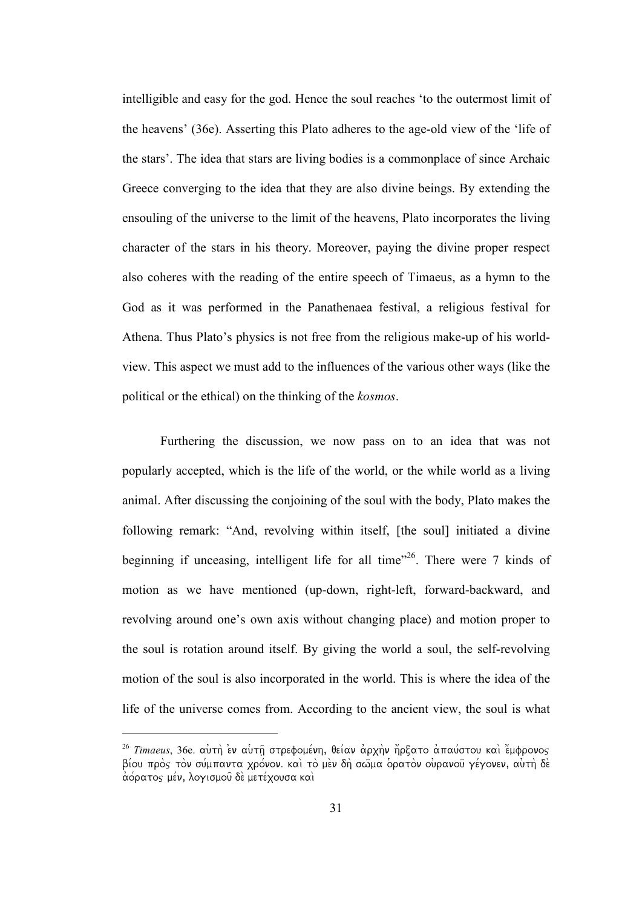intelligible and easy for the god. Hence the soul reaches 'to the outermost limit of the heavens' (36e). Asserting this Plato adheres to the age-old view of the 'life of the stars'. The idea that stars are living bodies is a commonplace of since Archaic Greece converging to the idea that they are also divine beings. By extending the ensouling of the universe to the limit of the heavens, Plato incorporates the living character of the stars in his theory. Moreover, paying the divine proper respect also coheres with the reading of the entire speech of Timaeus, as a hymn to the God as it was performed in the Panathenaea festival, a religious festival for Athena. Thus Plato's physics is not free from the religious make-up of his worldview. This aspect we must add to the influences of the various other ways (like the political or the ethical) on the thinking of the *kosmos*.

 Furthering the discussion, we now pass on to an idea that was not popularly accepted, which is the life of the world, or the while world as a living animal. After discussing the conjoining of the soul with the body, Plato makes the following remark: "And, revolving within itself, [the soul] initiated a divine beginning if unceasing, intelligent life for all time $^{226}$ . There were 7 kinds of motion as we have mentioned (up-down, right-left, forward-backward, and revolving around one's own axis without changing place) and motion proper to the soul is rotation around itself. By giving the world a soul, the self-revolving motion of the soul is also incorporated in the world. This is where the idea of the life of the universe comes from. According to the ancient view, the soul is what

<sup>&</sup>lt;sup>26</sup> *Timaeus*, 36e. αυτή εν αυτή στρεφομένη, θείαν αρχήν ἤρξατο απαύστου και έμφρονος *βίου πρ*ός τον σύμπαντα χρόνον. και το μεν δη σωμα ορατον ουρανου γέγονεν, αυτη δε *a)o/ratoj me/n, logismou= de\ mete/xousa kai\*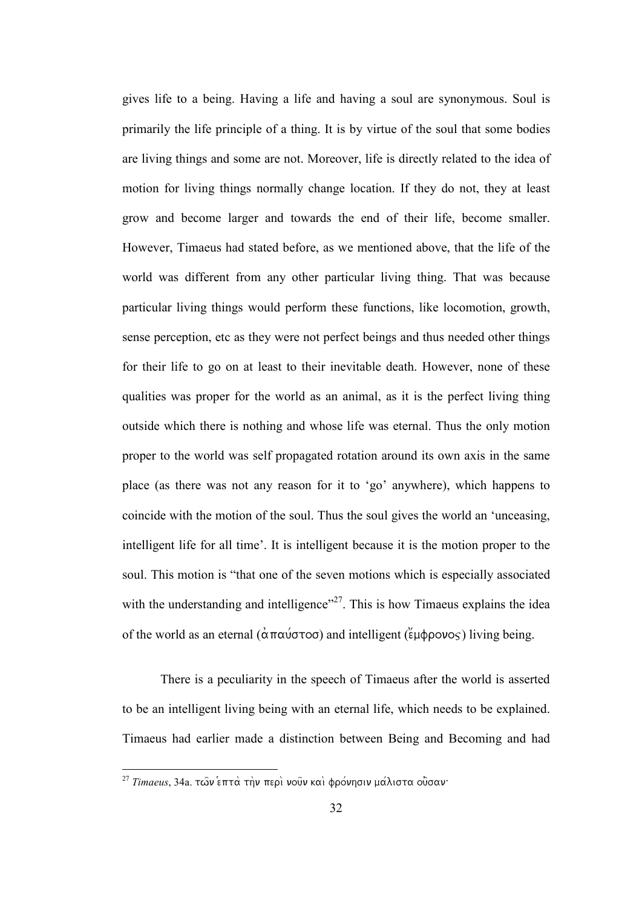gives life to a being. Having a life and having a soul are synonymous. Soul is primarily the life principle of a thing. It is by virtue of the soul that some bodies are living things and some are not. Moreover, life is directly related to the idea of motion for living things normally change location. If they do not, they at least grow and become larger and towards the end of their life, become smaller. However, Timaeus had stated before, as we mentioned above, that the life of the world was different from any other particular living thing. That was because particular living things would perform these functions, like locomotion, growth, sense perception, etc as they were not perfect beings and thus needed other things for their life to go on at least to their inevitable death. However, none of these qualities was proper for the world as an animal, as it is the perfect living thing outside which there is nothing and whose life was eternal. Thus the only motion proper to the world was self propagated rotation around its own axis in the same place (as there was not any reason for it to 'go' anywhere), which happens to coincide with the motion of the soul. Thus the soul gives the world an 'unceasing, intelligent life for all time'. It is intelligent because it is the motion proper to the soul. This motion is "that one of the seven motions which is especially associated with the understanding and intelligence"<sup>27</sup>. This is how Timaeus explains the idea of the world as an eternal  $(\alpha \pi \alpha \nu \sigma \tau \circ \sigma)$  and intelligent  $(\epsilon \nu \phi \circ \sigma)$  living being.

 There is a peculiarity in the speech of Timaeus after the world is asserted to be an intelligent living being with an eternal life, which needs to be explained. Timaeus had earlier made a distinction between Being and Becoming and had

<sup>&</sup>lt;sup>27</sup> *Timaeus,* 34a. των επτά τὴν περὶ νοῦν καὶ φρόνησιν μάλιστα οὖσαν<sup>.</sup>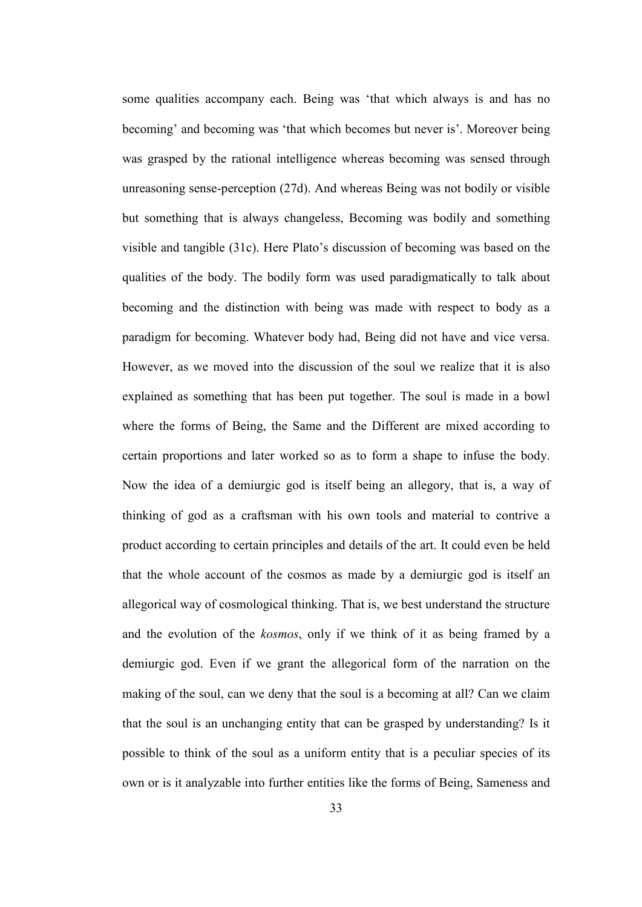some qualities accompany each. Being was 'that which always is and has no becoming' and becoming was 'that which becomes but never is'. Moreover being was grasped by the rational intelligence whereas becoming was sensed through unreasoning sense-perception (27d). And whereas Being was not bodily or visible but something that is always changeless, Becoming was bodily and something visible and tangible (31c). Here Plato's discussion of becoming was based on the qualities of the body. The bodily form was used paradigmatically to talk about becoming and the distinction with being was made with respect to body as a paradigm for becoming. Whatever body had, Being did not have and vice versa. However, as we moved into the discussion of the soul we realize that it is also explained as something that has been put together. The soul is made in a bowl where the forms of Being, the Same and the Different are mixed according to certain proportions and later worked so as to form a shape to infuse the body. Now the idea of a demiurgic god is itself being an allegory, that is, a way of thinking of god as a craftsman with his own tools and material to contrive a product according to certain principles and details of the art. It could even be held that the whole account of the cosmos as made by a demiurgic god is itself an allegorical way of cosmological thinking. That is, we best understand the structure and the evolution of the *kosmos*, only if we think of it as being framed by a demiurgic god. Even if we grant the allegorical form of the narration on the making of the soul, can we deny that the soul is a becoming at all? Can we claim that the soul is an unchanging entity that can be grasped by understanding? Is it possible to think of the soul as a uniform entity that is a peculiar species of its own or is it analyzable into further entities like the forms of Being, Sameness and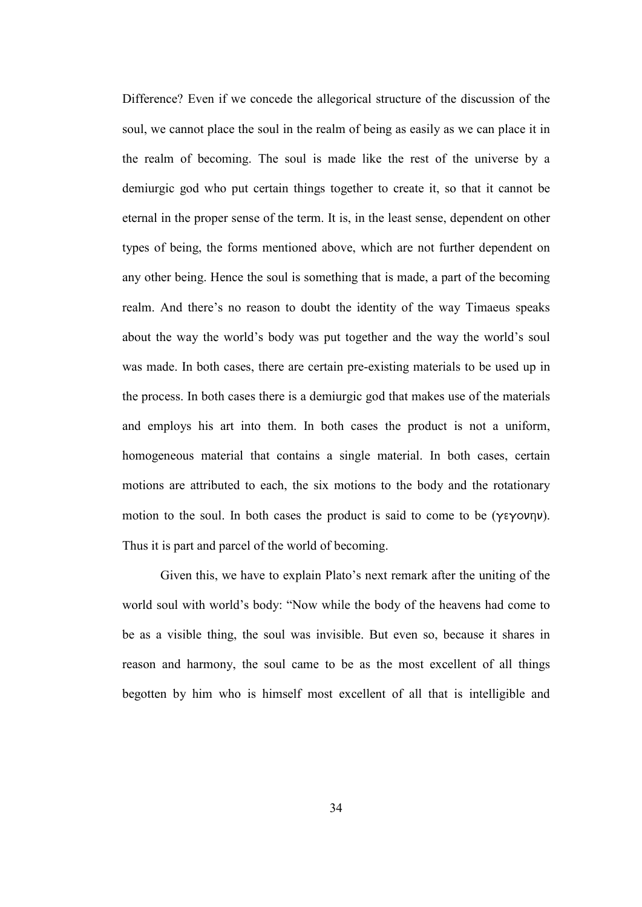Difference? Even if we concede the allegorical structure of the discussion of the soul, we cannot place the soul in the realm of being as easily as we can place it in the realm of becoming. The soul is made like the rest of the universe by a demiurgic god who put certain things together to create it, so that it cannot be eternal in the proper sense of the term. It is, in the least sense, dependent on other types of being, the forms mentioned above, which are not further dependent on any other being. Hence the soul is something that is made, a part of the becoming realm. And there's no reason to doubt the identity of the way Timaeus speaks about the way the world's body was put together and the way the world's soul was made. In both cases, there are certain pre-existing materials to be used up in the process. In both cases there is a demiurgic god that makes use of the materials and employs his art into them. In both cases the product is not a uniform, homogeneous material that contains a single material. In both cases, certain motions are attributed to each, the six motions to the body and the rotationary motion to the soul. In both cases the product is said to come to be (γεγονην). Thus it is part and parcel of the world of becoming.

 Given this, we have to explain Plato's next remark after the uniting of the world soul with world's body: "Now while the body of the heavens had come to be as a visible thing, the soul was invisible. But even so, because it shares in reason and harmony, the soul came to be as the most excellent of all things begotten by him who is himself most excellent of all that is intelligible and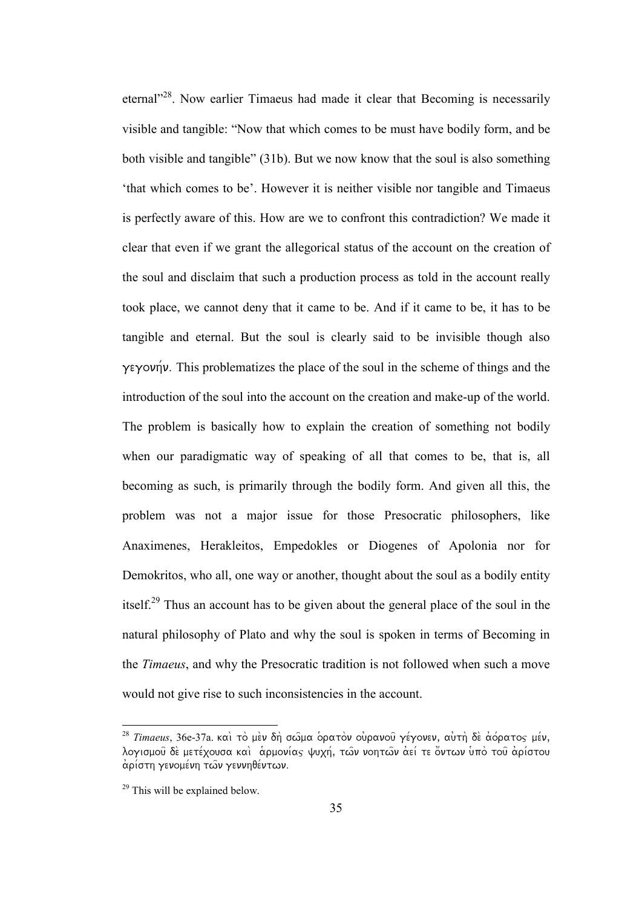eternal<sup>228</sup>. Now earlier Timaeus had made it clear that Becoming is necessarily visible and tangible: "Now that which comes to be must have bodily form, and be both visible and tangible" (31b). But we now know that the soul is also something 'that which comes to be'. However it is neither visible nor tangible and Timaeus is perfectly aware of this. How are we to confront this contradiction? We made it clear that even if we grant the allegorical status of the account on the creation of the soul and disclaim that such a production process as told in the account really took place, we cannot deny that it came to be. And if it came to be, it has to be tangible and eternal. But the soul is clearly said to be invisible though also  $\gamma$ e $\gamma$ ov $\eta$ <sup>v</sup>. This problematizes the place of the soul in the scheme of things and the introduction of the soul into the account on the creation and make-up of the world. The problem is basically how to explain the creation of something not bodily when our paradigmatic way of speaking of all that comes to be, that is, all becoming as such, is primarily through the bodily form. And given all this, the problem was not a major issue for those Presocratic philosophers, like Anaximenes, Herakleitos, Empedokles or Diogenes of Apolonia nor for Demokritos, who all, one way or another, thought about the soul as a bodily entity itself.<sup>29</sup> Thus an account has to be given about the general place of the soul in the natural philosophy of Plato and why the soul is spoken in terms of Becoming in the *Timaeus*, and why the Presocratic tradition is not followed when such a move would not give rise to such inconsistencies in the account.

<sup>28</sup> *Timaeus*, 36e-37a. *kai\ to\ me\n dh\ sw=ma o(rato\n ou)ranou= ge/gonen, au)th\ de\ a)o/ratoj me/n,*  λογισμοῦ δὲ μετέχουσα και άρμονίας ψυχή, των νοητων αεί τε ὄντων υπο τοῦ ἀρίστου  $\alpha$ ρίστη γενομένη των γεννηθέντων.

 $29$  This will be explained below.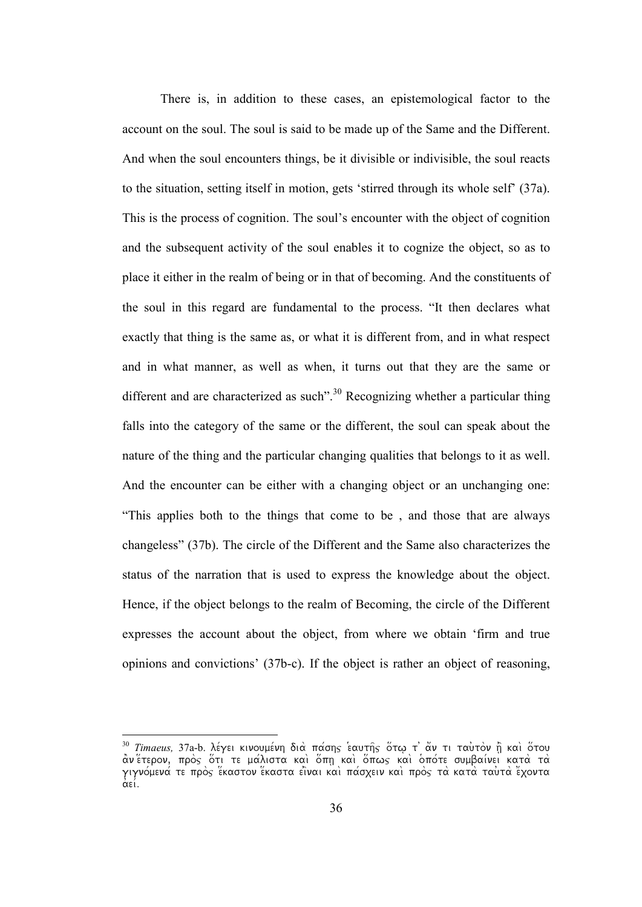There is, in addition to these cases, an epistemological factor to the account on the soul. The soul is said to be made up of the Same and the Different. And when the soul encounters things, be it divisible or indivisible, the soul reacts to the situation, setting itself in motion, gets 'stirred through its whole self' (37a). This is the process of cognition. The soul's encounter with the object of cognition and the subsequent activity of the soul enables it to cognize the object, so as to place it either in the realm of being or in that of becoming. And the constituents of the soul in this regard are fundamental to the process. "It then declares what exactly that thing is the same as, or what it is different from, and in what respect and in what manner, as well as when, it turns out that they are the same or different and are characterized as such<sup>", 30</sup> Recognizing whether a particular thing falls into the category of the same or the different, the soul can speak about the nature of the thing and the particular changing qualities that belongs to it as well. And the encounter can be either with a changing object or an unchanging one: "This applies both to the things that come to be , and those that are always changeless" (37b). The circle of the Different and the Same also characterizes the status of the narration that is used to express the knowledge about the object. Hence, if the object belongs to the realm of Becoming, the circle of the Different expresses the account about the object, from where we obtain 'firm and true opinions and convictions' (37b-c). If the object is rather an object of reasoning,

 $\overline{a}$ <sup>30</sup> *Timaeus, 37a-b. λέγει κινουμένη διά πάσης εαυτής ότω τ' άν τι ταυτον ή και ότου a)\n e(/teron, pro\j o(/ti te ma/lista kai\ o(/ph| kai\ o(/pwj kai\ o(po/te sumbai/nei kata\ ta\ gigno/mena/ te pro\j e(/kaston e(/kasta ei)=nai kai\ pa/sxein kai\ pro\j ta\ kata\ tau)ta\ e)/xonta*  άεί.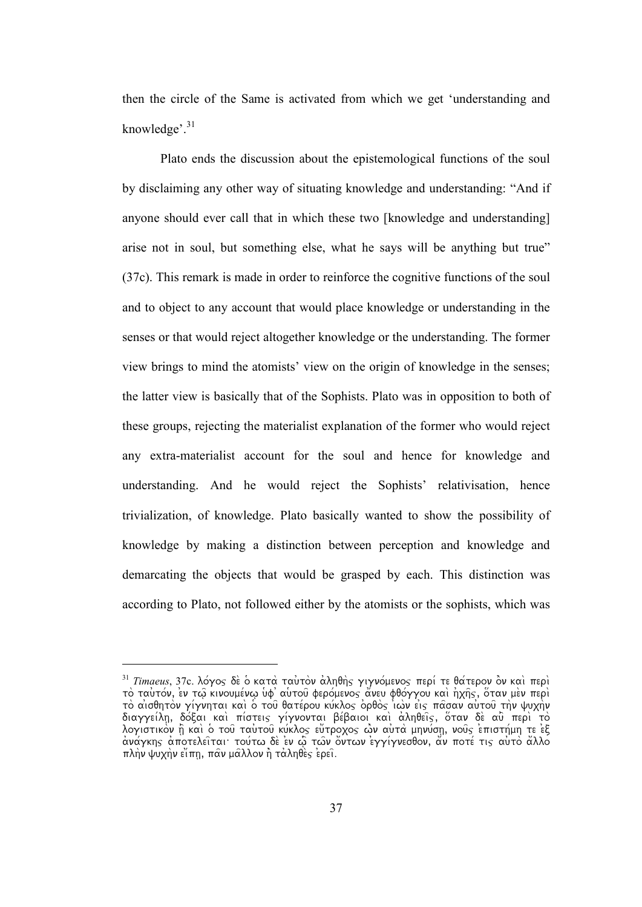then the circle of the Same is activated from which we get 'understanding and knowledge'.<sup>31</sup>

 Plato ends the discussion about the epistemological functions of the soul by disclaiming any other way of situating knowledge and understanding: "And if anyone should ever call that in which these two [knowledge and understanding] arise not in soul, but something else, what he says will be anything but true" (37c). This remark is made in order to reinforce the cognitive functions of the soul and to object to any account that would place knowledge or understanding in the senses or that would reject altogether knowledge or the understanding. The former view brings to mind the atomists' view on the origin of knowledge in the senses; the latter view is basically that of the Sophists. Plato was in opposition to both of these groups, rejecting the materialist explanation of the former who would reject any extra-materialist account for the soul and hence for knowledge and understanding. And he would reject the Sophists' relativisation, hence trivialization, of knowledge. Plato basically wanted to show the possibility of knowledge by making a distinction between perception and knowledge and demarcating the objects that would be grasped by each. This distinction was according to Plato, not followed either by the atomists or the sophists, which was

<sup>31</sup> *Timaeus*, 37c. λόγος δε ο κατα ταυτον αληθής γιγνόμενος περί τε θατερον ον και περι *τ*ό ταὐτόν, εν τω κινουμένω υφ' αυτου φερόμενος άνευ φθόγγου και ήχης, όταν μεν περι *to\ ai)sqhto\n gi/gnhtai kai\ o( tou= qate/rou ku/kloj o)rqo\j i)w\n ei)j pa=san au)tou= th\n yuxh\n diaggei/lh|, do/cai kai\ pi/steij gi/gnontai be/baioi kai\ a)lhqei=j, o(/tan de\ au)= peri\ to\ logistiko\n h)=| kai\ o( tou= tau)tou= ku/kloj eu)/troxoj w)\n au)ta\ mhnu/sh|, nou=j e)pisth/mh te e)c a)na/gkhj a)potelei=tai: tou/tw de\ e)n w(=| tw=n o)/ntwn e)ggi/gnesqon, a)/n pote/ tij au)to\ a)/llo plht puxhv είπη, παν μαλλον η ταληθες ερεί.*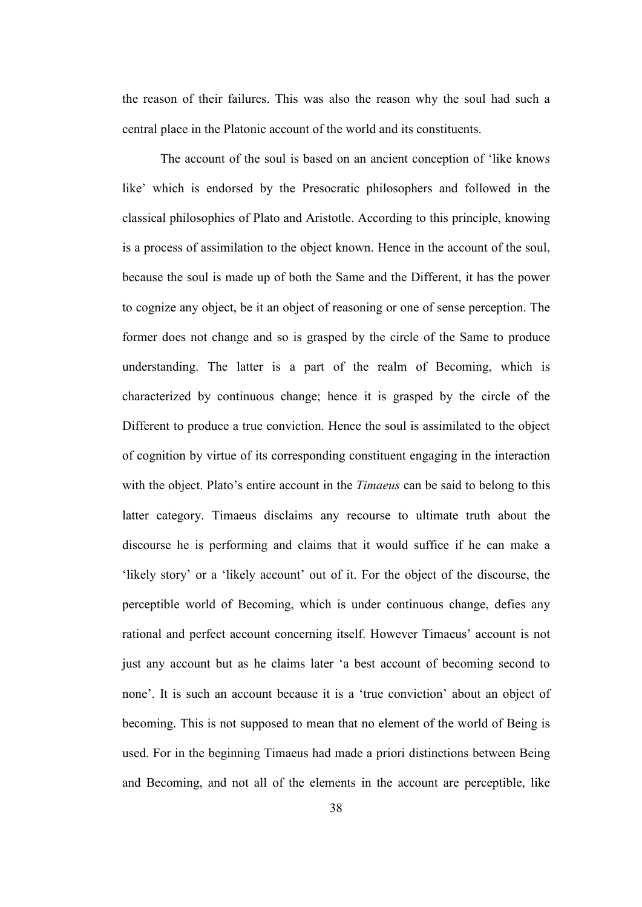the reason of their failures. This was also the reason why the soul had such a central place in the Platonic account of the world and its constituents.

 The account of the soul is based on an ancient conception of 'like knows like' which is endorsed by the Presocratic philosophers and followed in the classical philosophies of Plato and Aristotle. According to this principle, knowing is a process of assimilation to the object known. Hence in the account of the soul, because the soul is made up of both the Same and the Different, it has the power to cognize any object, be it an object of reasoning or one of sense perception. The former does not change and so is grasped by the circle of the Same to produce understanding. The latter is a part of the realm of Becoming, which is characterized by continuous change; hence it is grasped by the circle of the Different to produce a true conviction. Hence the soul is assimilated to the object of cognition by virtue of its corresponding constituent engaging in the interaction with the object. Plato's entire account in the *Timaeus* can be said to belong to this latter category. Timaeus disclaims any recourse to ultimate truth about the discourse he is performing and claims that it would suffice if he can make a 'likely story' or a 'likely account' out of it. For the object of the discourse, the perceptible world of Becoming, which is under continuous change, defies any rational and perfect account concerning itself. However Timaeus' account is not just any account but as he claims later 'a best account of becoming second to none'. It is such an account because it is a 'true conviction' about an object of becoming. This is not supposed to mean that no element of the world of Being is used. For in the beginning Timaeus had made a priori distinctions between Being and Becoming, and not all of the elements in the account are perceptible, like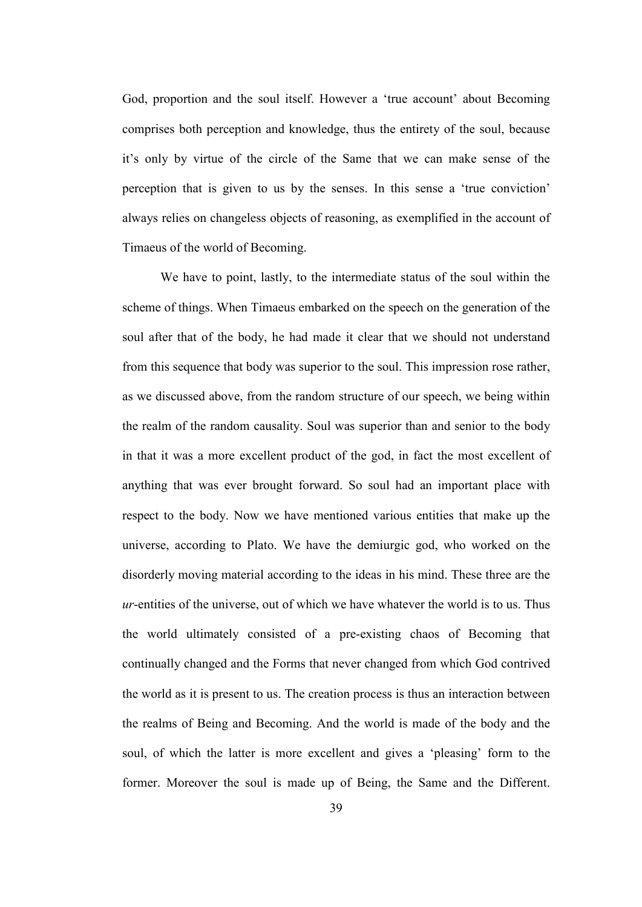God, proportion and the soul itself. However a 'true account' about Becoming comprises both perception and knowledge, thus the entirety of the soul, because it's only by virtue of the circle of the Same that we can make sense of the perception that is given to us by the senses. In this sense a 'true conviction' always relies on changeless objects of reasoning, as exemplified in the account of Timaeus of the world of Becoming.

We have to point, lastly, to the intermediate status of the soul within the scheme of things. When Timaeus embarked on the speech on the generation of the soul after that of the body, he had made it clear that we should not understand from this sequence that body was superior to the soul. This impression rose rather, as we discussed above, from the random structure of our speech, we being within the realm of the random causality. Soul was superior than and senior to the body in that it was a more excellent product of the god, in fact the most excellent of anything that was ever brought forward. So soul had an important place with respect to the body. Now we have mentioned various entities that make up the universe, according to Plato. We have the demiurgic god, who worked on the disorderly moving material according to the ideas in his mind. These three are the *ur*-entities of the universe, out of which we have whatever the world is to us. Thus the world ultimately consisted of a pre-existing chaos of Becoming that continually changed and the Forms that never changed from which God contrived the world as it is present to us. The creation process is thus an interaction between the realms of Being and Becoming. And the world is made of the body and the soul, of which the latter is more excellent and gives a 'pleasing' form to the former. Moreover the soul is made up of Being, the Same and the Different.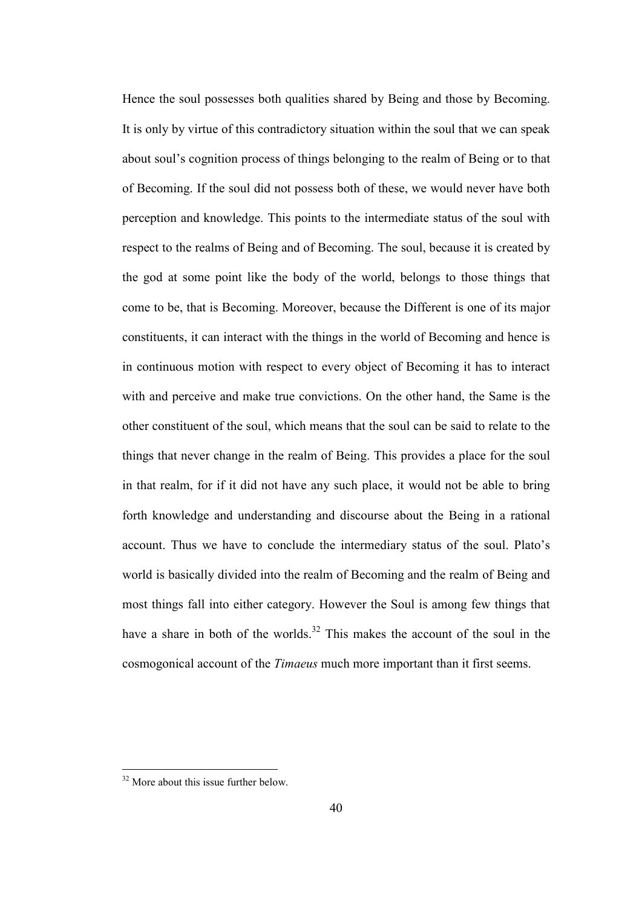Hence the soul possesses both qualities shared by Being and those by Becoming. It is only by virtue of this contradictory situation within the soul that we can speak about soul's cognition process of things belonging to the realm of Being or to that of Becoming. If the soul did not possess both of these, we would never have both perception and knowledge. This points to the intermediate status of the soul with respect to the realms of Being and of Becoming. The soul, because it is created by the god at some point like the body of the world, belongs to those things that come to be, that is Becoming. Moreover, because the Different is one of its major constituents, it can interact with the things in the world of Becoming and hence is in continuous motion with respect to every object of Becoming it has to interact with and perceive and make true convictions. On the other hand, the Same is the other constituent of the soul, which means that the soul can be said to relate to the things that never change in the realm of Being. This provides a place for the soul in that realm, for if it did not have any such place, it would not be able to bring forth knowledge and understanding and discourse about the Being in a rational account. Thus we have to conclude the intermediary status of the soul. Plato's world is basically divided into the realm of Becoming and the realm of Being and most things fall into either category. However the Soul is among few things that have a share in both of the worlds.<sup>32</sup> This makes the account of the soul in the cosmogonical account of the *Timaeus* much more important than it first seems.

<sup>&</sup>lt;sup>32</sup> More about this issue further below.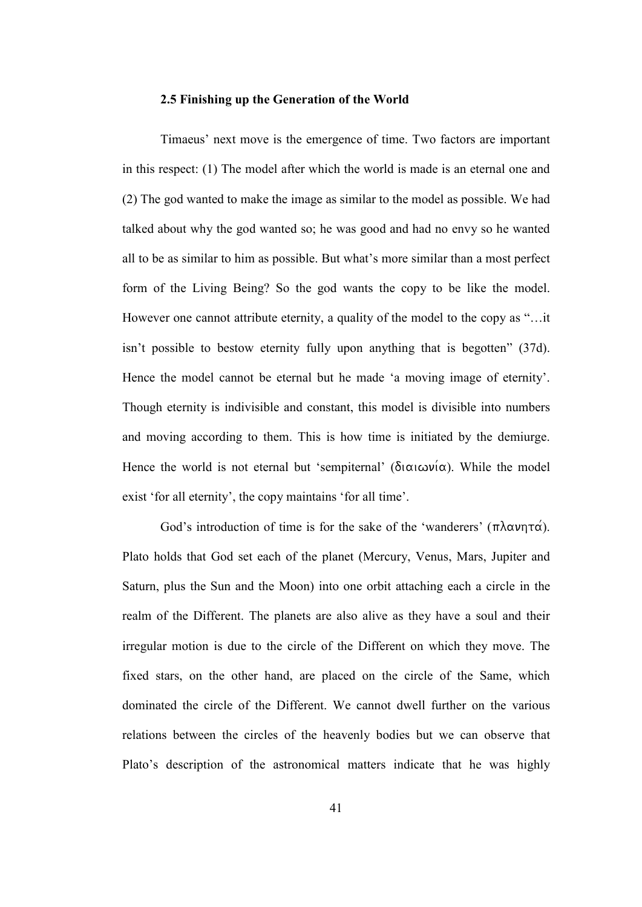### **2.5 Finishing up the Generation of the World**

Timaeus' next move is the emergence of time. Two factors are important in this respect: (1) The model after which the world is made is an eternal one and (2) The god wanted to make the image as similar to the model as possible. We had talked about why the god wanted so; he was good and had no envy so he wanted all to be as similar to him as possible. But what's more similar than a most perfect form of the Living Being? So the god wants the copy to be like the model. However one cannot attribute eternity, a quality of the model to the copy as "…it isn't possible to bestow eternity fully upon anything that is begotten" (37d). Hence the model cannot be eternal but he made 'a moving image of eternity'. Though eternity is indivisible and constant, this model is divisible into numbers and moving according to them. This is how time is initiated by the demiurge. Hence the world is not eternal but 'sempiternal' ( $\delta$ i $\alpha$ i $\omega$ vi $\alpha$ ). While the model exist 'for all eternity', the copy maintains 'for all time'.

God's introduction of time is for the sake of the 'wanderers'  $(\pi \lambda \alpha \nu \eta \tau \alpha)$ . Plato holds that God set each of the planet (Mercury, Venus, Mars, Jupiter and Saturn, plus the Sun and the Moon) into one orbit attaching each a circle in the realm of the Different. The planets are also alive as they have a soul and their irregular motion is due to the circle of the Different on which they move. The fixed stars, on the other hand, are placed on the circle of the Same, which dominated the circle of the Different. We cannot dwell further on the various relations between the circles of the heavenly bodies but we can observe that Plato's description of the astronomical matters indicate that he was highly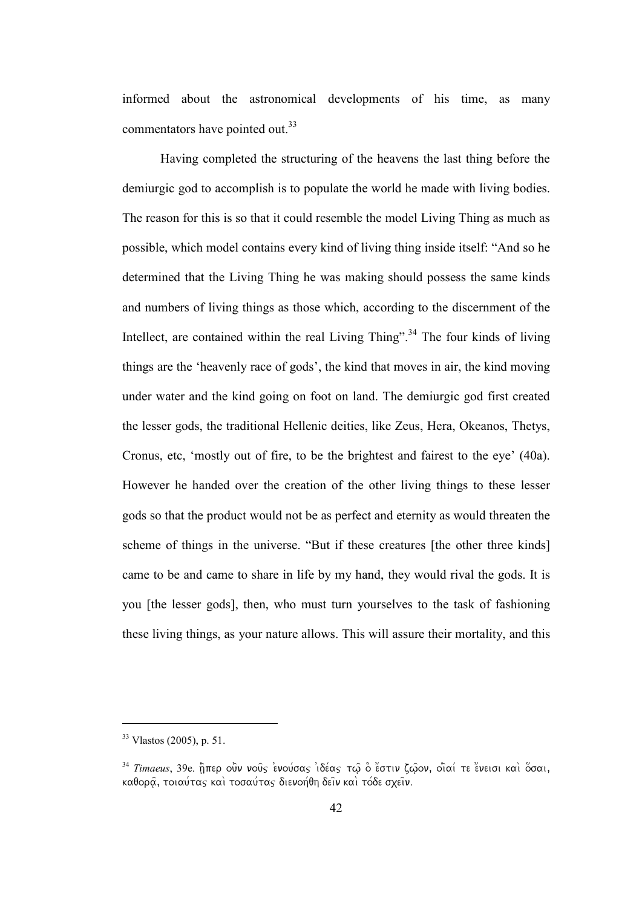informed about the astronomical developments of his time, as many commentators have pointed out.<sup>33</sup>

Having completed the structuring of the heavens the last thing before the demiurgic god to accomplish is to populate the world he made with living bodies. The reason for this is so that it could resemble the model Living Thing as much as possible, which model contains every kind of living thing inside itself: "And so he determined that the Living Thing he was making should possess the same kinds and numbers of living things as those which, according to the discernment of the Intellect, are contained within the real Living Thing".<sup>34</sup> The four kinds of living things are the 'heavenly race of gods', the kind that moves in air, the kind moving under water and the kind going on foot on land. The demiurgic god first created the lesser gods, the traditional Hellenic deities, like Zeus, Hera, Okeanos, Thetys, Cronus, etc, 'mostly out of fire, to be the brightest and fairest to the eye' (40a). However he handed over the creation of the other living things to these lesser gods so that the product would not be as perfect and eternity as would threaten the scheme of things in the universe. "But if these creatures [the other three kinds] came to be and came to share in life by my hand, they would rival the gods. It is you [the lesser gods], then, who must turn yourselves to the task of fashioning these living things, as your nature allows. This will assure their mortality, and this

<sup>33</sup> Vlastos (2005), p. 51.

<sup>&</sup>lt;sup>34</sup> *Timaeus*, 39e. *hπερ ούν νους ενούσας ιδέας τω* δ έστιν ζώον, οιαί τε ένεισι και *δ*σαι,  $k\alpha\beta$ ορα, τοιαύτας και τοσαύτας διενοήθη δειν και τόδε σχειν.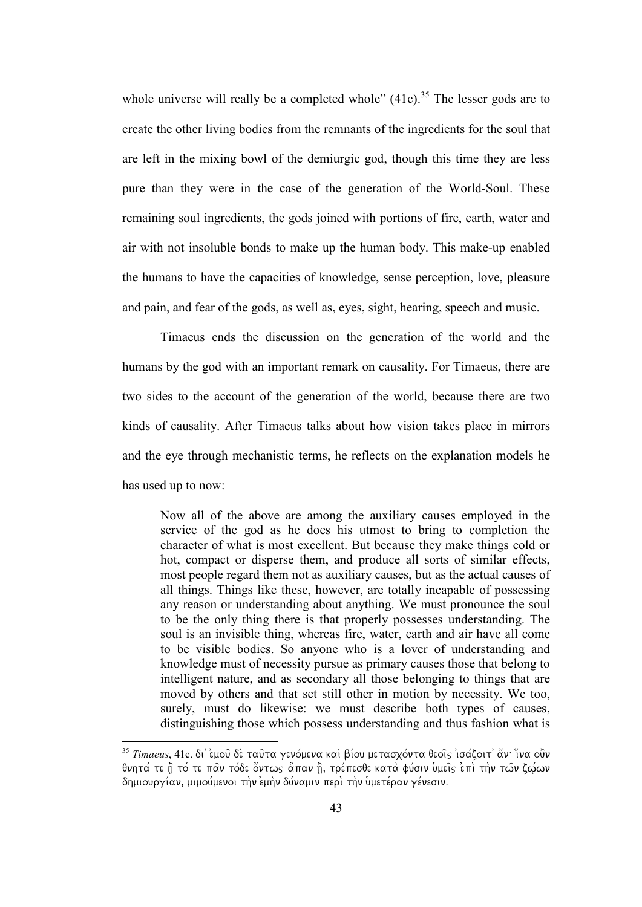whole universe will really be a completed whole"  $(41c)$ <sup>35</sup>. The lesser gods are to create the other living bodies from the remnants of the ingredients for the soul that are left in the mixing bowl of the demiurgic god, though this time they are less pure than they were in the case of the generation of the World-Soul. These remaining soul ingredients, the gods joined with portions of fire, earth, water and air with not insoluble bonds to make up the human body. This make-up enabled the humans to have the capacities of knowledge, sense perception, love, pleasure and pain, and fear of the gods, as well as, eyes, sight, hearing, speech and music.

 Timaeus ends the discussion on the generation of the world and the humans by the god with an important remark on causality. For Timaeus, there are two sides to the account of the generation of the world, because there are two kinds of causality. After Timaeus talks about how vision takes place in mirrors and the eye through mechanistic terms, he reflects on the explanation models he has used up to now:

Now all of the above are among the auxiliary causes employed in the service of the god as he does his utmost to bring to completion the character of what is most excellent. But because they make things cold or hot, compact or disperse them, and produce all sorts of similar effects, most people regard them not as auxiliary causes, but as the actual causes of all things. Things like these, however, are totally incapable of possessing any reason or understanding about anything. We must pronounce the soul to be the only thing there is that properly possesses understanding. The soul is an invisible thing, whereas fire, water, earth and air have all come to be visible bodies. So anyone who is a lover of understanding and knowledge must of necessity pursue as primary causes those that belong to intelligent nature, and as secondary all those belonging to things that are moved by others and that set still other in motion by necessity. We too, surely, must do likewise: we must describe both types of causes, distinguishing those which possess understanding and thus fashion what is

<sup>&</sup>lt;sup>35</sup> *Timaeus*, 41c. δι' εμοῦ δὲ ταῦτα γενόμενα καὶ βίου μετασχόντα θεοῖς ἰσάζοιτ' ἄν· ἵνα οῢν *θνητά τε ή τό τε παν τόδε ὄντως ἅπαν ή, τρέπεσθε κατα φύσιν υμεις επι την των ζώων dhmiourgi/an, mimou/menoi th\n e)mh\n du/namin peri\ th\n u(mete/ran ge/nesin.*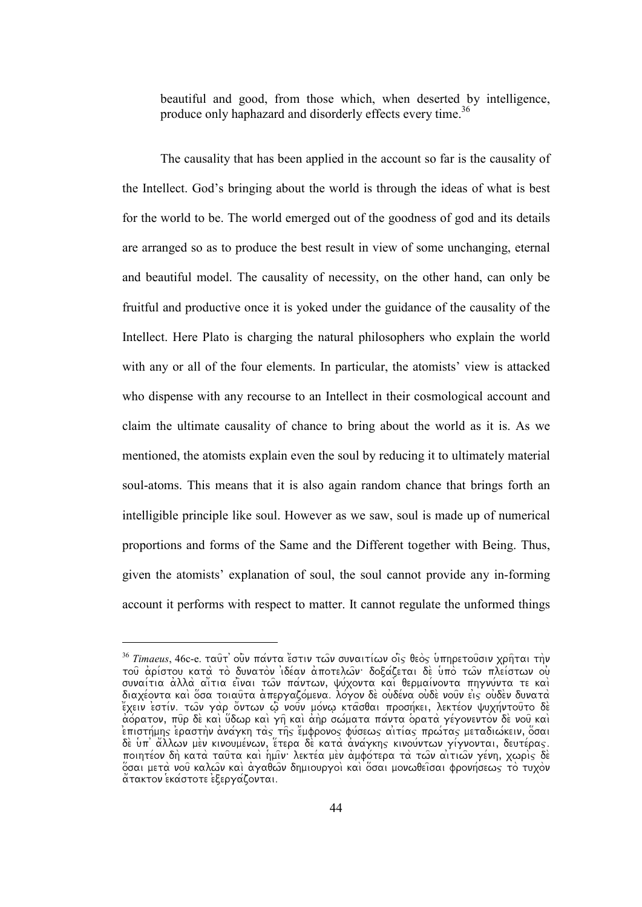beautiful and good, from those which, when deserted by intelligence, produce only haphazard and disorderly effects every time.<sup>36</sup>

The causality that has been applied in the account so far is the causality of the Intellect. God's bringing about the world is through the ideas of what is best for the world to be. The world emerged out of the goodness of god and its details are arranged so as to produce the best result in view of some unchanging, eternal and beautiful model. The causality of necessity, on the other hand, can only be fruitful and productive once it is yoked under the guidance of the causality of the Intellect. Here Plato is charging the natural philosophers who explain the world with any or all of the four elements. In particular, the atomists' view is attacked who dispense with any recourse to an Intellect in their cosmological account and claim the ultimate causality of chance to bring about the world as it is. As we mentioned, the atomists explain even the soul by reducing it to ultimately material soul-atoms. This means that it is also again random chance that brings forth an intelligible principle like soul. However as we saw, soul is made up of numerical proportions and forms of the Same and the Different together with Being. Thus, given the atomists' explanation of soul, the soul cannot provide any in-forming account it performs with respect to matter. It cannot regulate the unformed things

<sup>&</sup>lt;sup>36</sup> Timaeus, 46c-e. ταυτ' ούν πάντα έστιν των συναιτίων οις θεός υπηρετουσιν χρηται την *thilicas*, του c. tout set not be tout the test from the comparable in de under πλείστων ου *sunai/tia a)lla\ ai)/tia ei)=nai tw=n pa/ntwn, yu/xonta kai\ qermai/nonta phgnu/nta te kai\ diaxe/onta kai\ o(/sa toiau=ta a)pergazo/mena. lo/gon de\ ou)de/na ou)de\ nou=n ei)j ou)de\n dunata\ e)/xein e)sti/n. tw=n ga\r o)/ntwn w(=| nou=n mo/nw| kta=sqai prosh/kei, lekte/on yuxh/ntou=to de\ a)o/raton, pu=r de\ kai\ u(/dwr kai\ gh= kai\ a)h\r sw/mata pa/nta o(rata\ ge/gonento\n de\ nou= kai\ e)pisth/mhj e)rasth\n a)na/gkh ta\j th=j e)/mfronoj fu/sewj ai)ti/aj prw/taj metadiw/kein, o(/sai de\ u(p' a)/llwn me\n kinoume/nwn, e(/tera de\ kata\ a)na/gkhj kinou/ntwn gi/gnontai, deute/raj. ποιητέον δη κατα ταυτα και ημιν λεκτέα μεν αμφότερα τα των αιτιών γένη, χωρις δε o(/sai meta\ nou= kalw=n kai\ a)gaqw=n dhmiourgoi\ kai\ o(/sai monwqei=sai fronh/sewj to\ tuxo\n*   $\alpha$ τακτον εκάστοτε εξεργάζονται.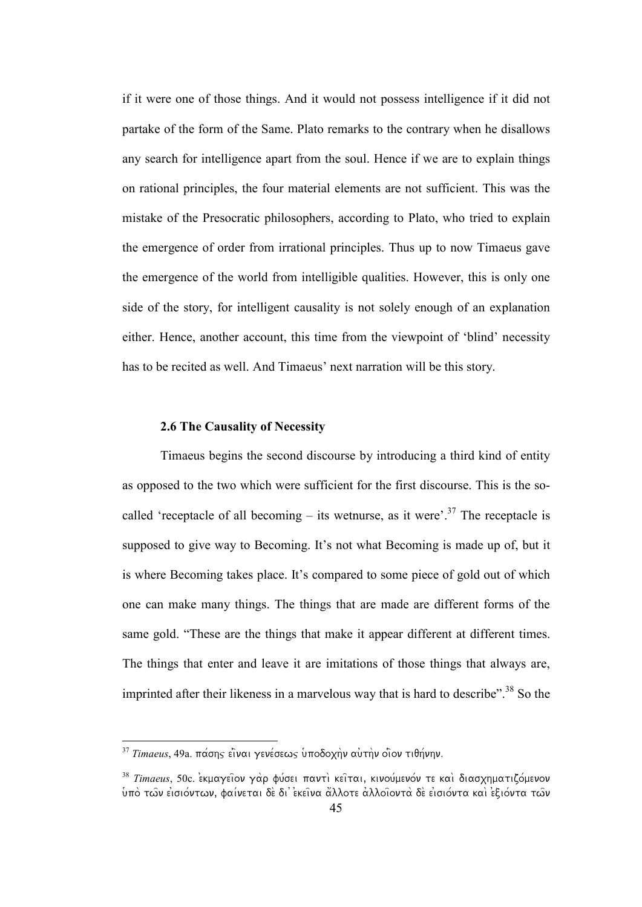if it were one of those things. And it would not possess intelligence if it did not partake of the form of the Same. Plato remarks to the contrary when he disallows any search for intelligence apart from the soul. Hence if we are to explain things on rational principles, the four material elements are not sufficient. This was the mistake of the Presocratic philosophers, according to Plato, who tried to explain the emergence of order from irrational principles. Thus up to now Timaeus gave the emergence of the world from intelligible qualities. However, this is only one side of the story, for intelligent causality is not solely enough of an explanation either. Hence, another account, this time from the viewpoint of 'blind' necessity has to be recited as well. And Timaeus' next narration will be this story.

## **2.6 The Causality of Necessity**

Timaeus begins the second discourse by introducing a third kind of entity as opposed to the two which were sufficient for the first discourse. This is the socalled 'receptacle of all becoming – its wetnurse, as it were'.<sup>37</sup> The receptacle is supposed to give way to Becoming. It's not what Becoming is made up of, but it is where Becoming takes place. It's compared to some piece of gold out of which one can make many things. The things that are made are different forms of the same gold. "These are the things that make it appear different at different times. The things that enter and leave it are imitations of those things that always are, imprinted after their likeness in a marvelous way that is hard to describe".<sup>38</sup> So the

<sup>&</sup>lt;sup>37</sup> *Timaeus,* 49a. πάσης εἶναι γενέσεως ὑποδοχὴν αὐτὴν οἳον τιθήνην.

<sup>&</sup>lt;sup>38</sup> *Timaeus*, 50c. εκμαγείον γάρ φύσει παντι κείται, κινούμενόν τε και διασχηματιζόμενον *u(po\ tw=n ei)sio/ntwn, fai/netai de\ di' e)kei=na a)/llote a)lloi=onta\ de\ ei)sio/nta kai\ e)cio/nta tw=n*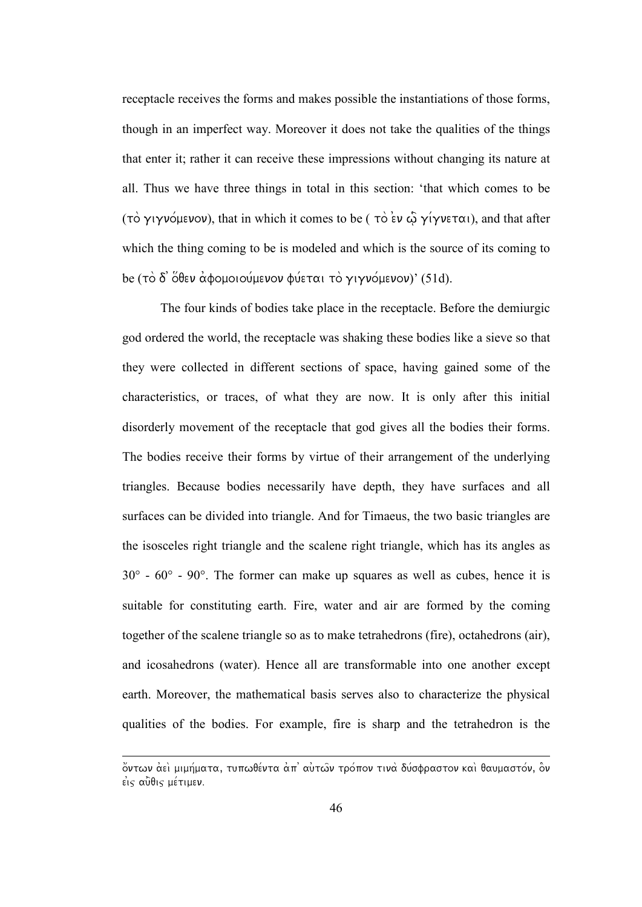receptacle receives the forms and makes possible the instantiations of those forms, though in an imperfect way. Moreover it does not take the qualities of the things that enter it; rather it can receive these impressions without changing its nature at all. Thus we have three things in total in this section: 'that which comes to be (*to\ gigno/menon*), that in which it comes to be ( *to\ e)n w(=| gi/gnetai*), and that after which the thing coming to be is modeled and which is the source of its coming to be (τὸ δ' <u></u>όθεν ἀφομοιούμενον φύεται τὸ γιγνόμενον)' (51d).

The four kinds of bodies take place in the receptacle. Before the demiurgic god ordered the world, the receptacle was shaking these bodies like a sieve so that they were collected in different sections of space, having gained some of the characteristics, or traces, of what they are now. It is only after this initial disorderly movement of the receptacle that god gives all the bodies their forms. The bodies receive their forms by virtue of their arrangement of the underlying triangles. Because bodies necessarily have depth, they have surfaces and all surfaces can be divided into triangle. And for Timaeus, the two basic triangles are the isosceles right triangle and the scalene right triangle, which has its angles as  $30^\circ$  -  $60^\circ$  -  $90^\circ$ . The former can make up squares as well as cubes, hence it is suitable for constituting earth. Fire, water and air are formed by the coming together of the scalene triangle so as to make tetrahedrons (fire), octahedrons (air), and icosahedrons (water). Hence all are transformable into one another except earth. Moreover, the mathematical basis serves also to characterize the physical qualities of the bodies. For example, fire is sharp and the tetrahedron is the

 $\breve{\rm o}$ ντων ἀεὶ μιμήματα, τυπωθέντα ἀπ' αὐτων τρόπον τινὰ δύσφραστον καὶ θαυμαστόν, ὃν  $\epsilon$ *iς αυθις μέτιμεν.*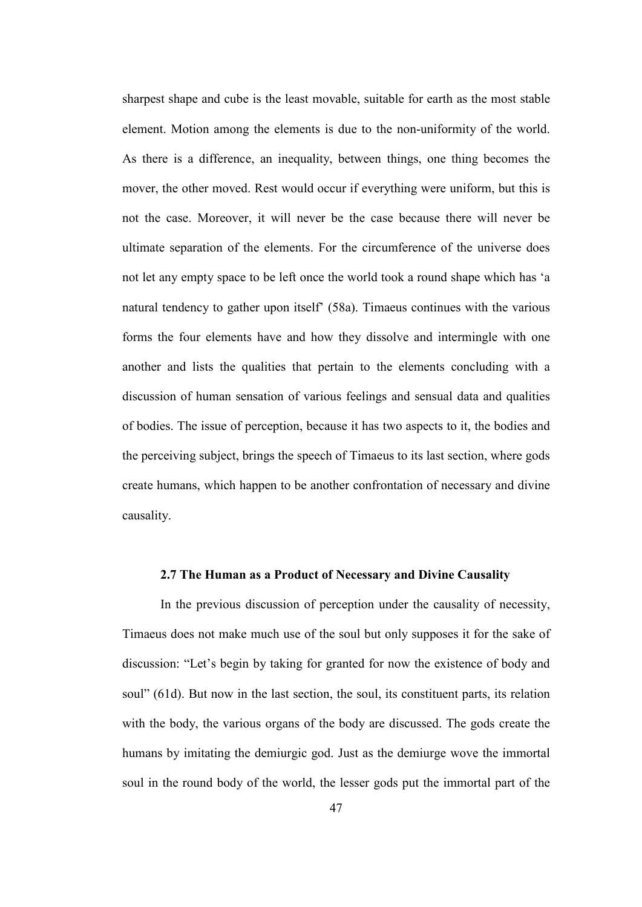sharpest shape and cube is the least movable, suitable for earth as the most stable element. Motion among the elements is due to the non-uniformity of the world. As there is a difference, an inequality, between things, one thing becomes the mover, the other moved. Rest would occur if everything were uniform, but this is not the case. Moreover, it will never be the case because there will never be ultimate separation of the elements. For the circumference of the universe does not let any empty space to be left once the world took a round shape which has 'a natural tendency to gather upon itself' (58a). Timaeus continues with the various forms the four elements have and how they dissolve and intermingle with one another and lists the qualities that pertain to the elements concluding with a discussion of human sensation of various feelings and sensual data and qualities of bodies. The issue of perception, because it has two aspects to it, the bodies and the perceiving subject, brings the speech of Timaeus to its last section, where gods create humans, which happen to be another confrontation of necessary and divine causality.

# **2.7 The Human as a Product of Necessary and Divine Causality**

 In the previous discussion of perception under the causality of necessity, Timaeus does not make much use of the soul but only supposes it for the sake of discussion: "Let's begin by taking for granted for now the existence of body and soul" (61d). But now in the last section, the soul, its constituent parts, its relation with the body, the various organs of the body are discussed. The gods create the humans by imitating the demiurgic god. Just as the demiurge wove the immortal soul in the round body of the world, the lesser gods put the immortal part of the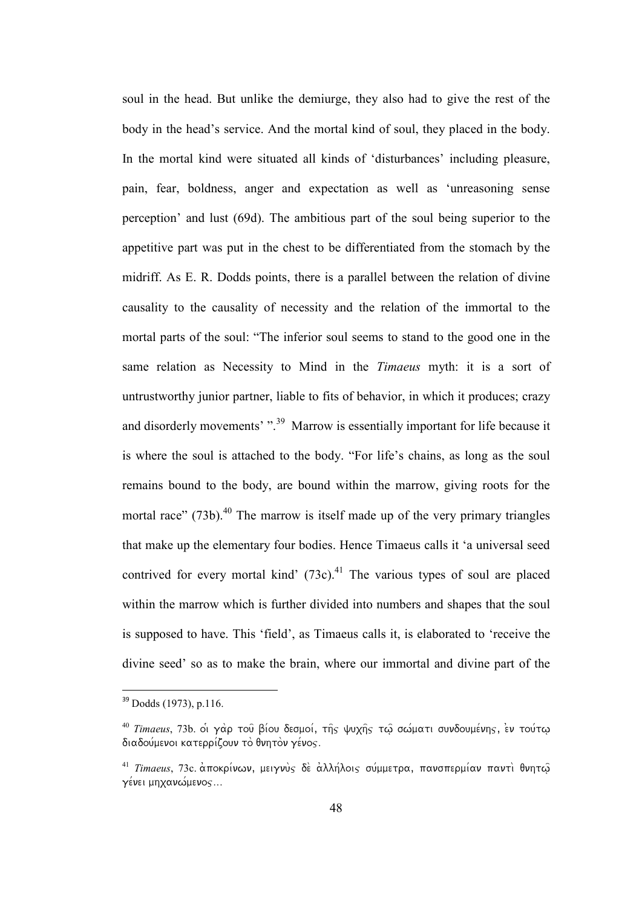soul in the head. But unlike the demiurge, they also had to give the rest of the body in the head's service. And the mortal kind of soul, they placed in the body. In the mortal kind were situated all kinds of 'disturbances' including pleasure, pain, fear, boldness, anger and expectation as well as 'unreasoning sense perception' and lust (69d). The ambitious part of the soul being superior to the appetitive part was put in the chest to be differentiated from the stomach by the midriff. As E. R. Dodds points, there is a parallel between the relation of divine causality to the causality of necessity and the relation of the immortal to the mortal parts of the soul: "The inferior soul seems to stand to the good one in the same relation as Necessity to Mind in the *Timaeus* myth: it is a sort of untrustworthy junior partner, liable to fits of behavior, in which it produces; crazy and disorderly movements' ".<sup>39</sup> Marrow is essentially important for life because it is where the soul is attached to the body. "For life's chains, as long as the soul remains bound to the body, are bound within the marrow, giving roots for the mortal race" (73b). $40$  The marrow is itself made up of the very primary triangles that make up the elementary four bodies. Hence Timaeus calls it 'a universal seed contrived for every mortal kind'  $(73c)$ .<sup>41</sup> The various types of soul are placed within the marrow which is further divided into numbers and shapes that the soul is supposed to have. This 'field', as Timaeus calls it, is elaborated to 'receive the divine seed' so as to make the brain, where our immortal and divine part of the

 $39$  Dodds (1973), p.116.

<sup>&</sup>lt;sup>40</sup> *Timaeus*, 73b. oi γάρ του βίου δεσμοί, της ψυχης τω σωματι συνδουμένης, εν τούτω  $\delta$ ιαδούμενοι κατερρίζουν τὸ θνητὸν γένος.

<sup>&</sup>lt;sup>41</sup> *Timaeus*, 73c. αποκρίνων, μειγνύς δε αλλήλοις σύμμετρα, πανσπερμίαν παντι θνητω *ge/nei mhxanw/menoj...*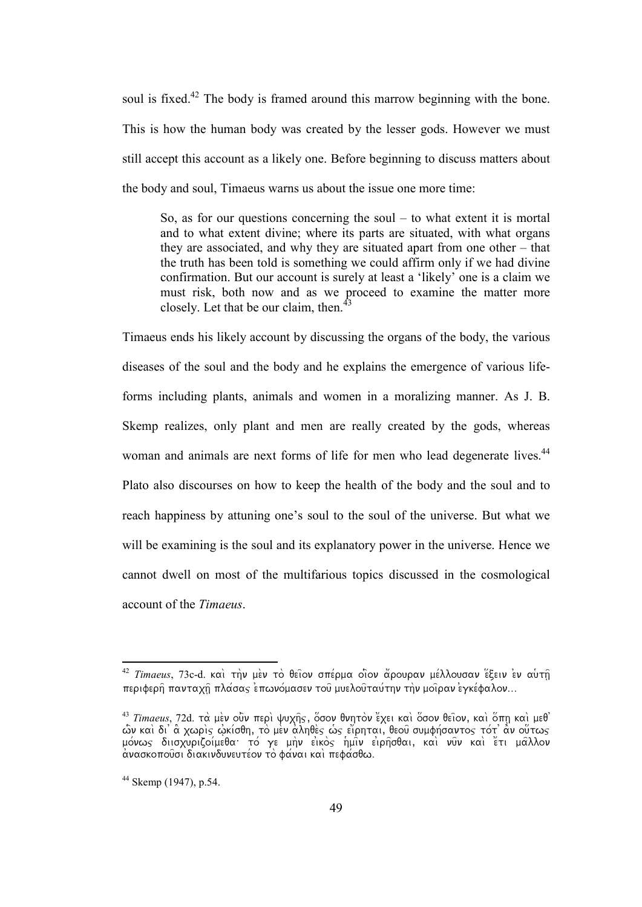soul is fixed.<sup>42</sup> The body is framed around this marrow beginning with the bone. This is how the human body was created by the lesser gods. However we must still accept this account as a likely one. Before beginning to discuss matters about the body and soul, Timaeus warns us about the issue one more time:

So, as for our questions concerning the soul  $-$  to what extent it is mortal and to what extent divine; where its parts are situated, with what organs they are associated, and why they are situated apart from one other – that the truth has been told is something we could affirm only if we had divine confirmation. But our account is surely at least a 'likely' one is a claim we must risk, both now and as we proceed to examine the matter more closely. Let that be our claim, then.<sup>4</sup>

Timaeus ends his likely account by discussing the organs of the body, the various diseases of the soul and the body and he explains the emergence of various lifeforms including plants, animals and women in a moralizing manner. As J. B. Skemp realizes, only plant and men are really created by the gods, whereas woman and animals are next forms of life for men who lead degenerate lives.<sup>44</sup> Plato also discourses on how to keep the health of the body and the soul and to reach happiness by attuning one's soul to the soul of the universe. But what we will be examining is the soul and its explanatory power in the universe. Hence we cannot dwell on most of the multifarious topics discussed in the cosmological account of the *Timaeus*.

<sup>&</sup>lt;sup>42</sup> *Timaeus*, 73c-d. και την μεν το θείον σπέρμα οιον άρουραν μέλλουσαν έξειν εν αυτή *περιφερή πανταχή πλάσας επωνόμασεν του μυελουταύτην την μοιραν εγκέφαλον...* 

<sup>&</sup>lt;sup>43</sup> *Timaeus,* 72d. τὰ μὲν οὖν περὶ ψυχῆς, ὅσον θνητὸν ἔχει καὶ ὅσον θεῖον, καὶ ὅπῃ καὶ μεθ'  $\hat{\omega}$ ν καὶ δι' ἂ χωρὶς ὦκίσθη, τὸ μὲν ἀληθὲς ὡς εἴρηται, θεοῦ συμφήσαντος τότ' ἀν οὕτως *mo/nwj diisxurizoi/meqa: to/ ge mh\n ei)ko\j h(mi=n ei)rh=sqai, kai\ nu=n kai\ e)/ti ma=llon a)naskopou=si diakinduneute/on to\ fa/nai kai\ pefa/sqw.* 

<sup>44</sup> Skemp (1947), p.54.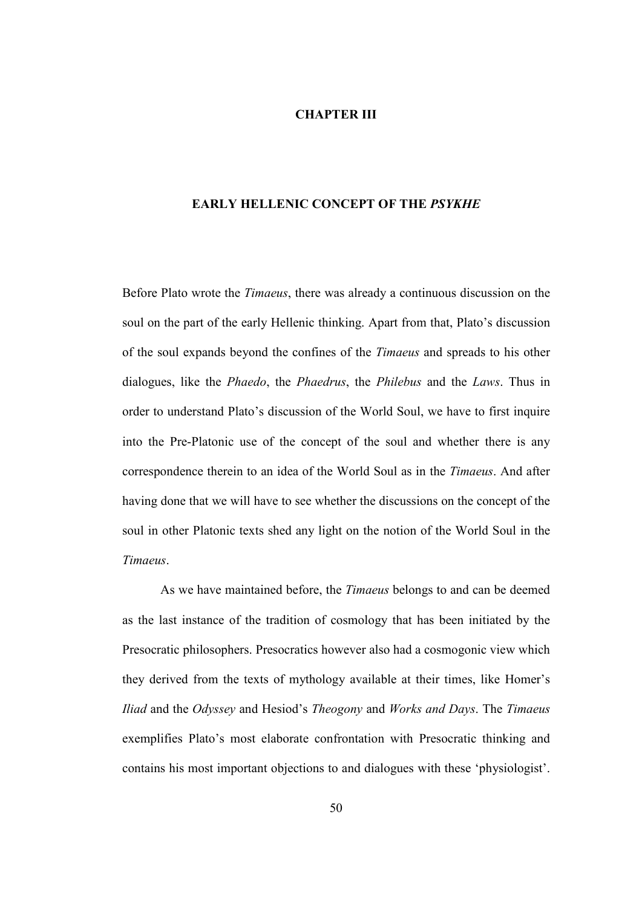# **CHAPTER III**

#### **EARLY HELLENIC CONCEPT OF THE** *PSYKHE*

Before Plato wrote the *Timaeus*, there was already a continuous discussion on the soul on the part of the early Hellenic thinking. Apart from that, Plato's discussion of the soul expands beyond the confines of the *Timaeus* and spreads to his other dialogues, like the *Phaedo*, the *Phaedrus*, the *Philebus* and the *Laws*. Thus in order to understand Plato's discussion of the World Soul, we have to first inquire into the Pre-Platonic use of the concept of the soul and whether there is any correspondence therein to an idea of the World Soul as in the *Timaeus*. And after having done that we will have to see whether the discussions on the concept of the soul in other Platonic texts shed any light on the notion of the World Soul in the *Timaeus*.

As we have maintained before, the *Timaeus* belongs to and can be deemed as the last instance of the tradition of cosmology that has been initiated by the Presocratic philosophers. Presocratics however also had a cosmogonic view which they derived from the texts of mythology available at their times, like Homer's *Iliad* and the *Odyssey* and Hesiod's *Theogony* and *Works and Days*. The *Timaeus* exemplifies Plato's most elaborate confrontation with Presocratic thinking and contains his most important objections to and dialogues with these 'physiologist'.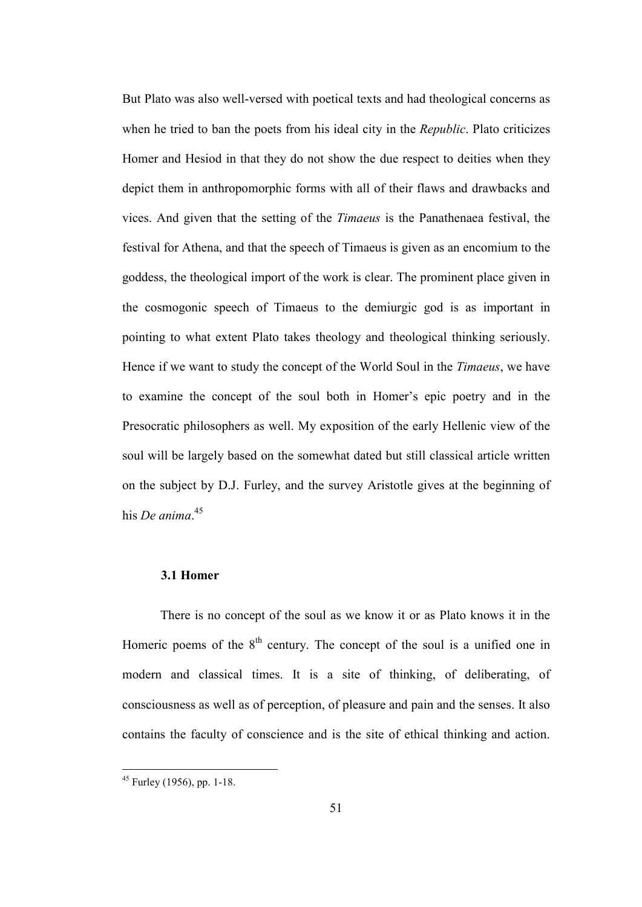But Plato was also well-versed with poetical texts and had theological concerns as when he tried to ban the poets from his ideal city in the *Republic*. Plato criticizes Homer and Hesiod in that they do not show the due respect to deities when they depict them in anthropomorphic forms with all of their flaws and drawbacks and vices. And given that the setting of the *Timaeus* is the Panathenaea festival, the festival for Athena, and that the speech of Timaeus is given as an encomium to the goddess, the theological import of the work is clear. The prominent place given in the cosmogonic speech of Timaeus to the demiurgic god is as important in pointing to what extent Plato takes theology and theological thinking seriously. Hence if we want to study the concept of the World Soul in the *Timaeus*, we have to examine the concept of the soul both in Homer's epic poetry and in the Presocratic philosophers as well. My exposition of the early Hellenic view of the soul will be largely based on the somewhat dated but still classical article written on the subject by D.J. Furley, and the survey Aristotle gives at the beginning of his *De anima*. 45

# **3.1 Homer**

There is no concept of the soul as we know it or as Plato knows it in the Homeric poems of the  $8<sup>th</sup>$  century. The concept of the soul is a unified one in modern and classical times. It is a site of thinking, of deliberating, of consciousness as well as of perception, of pleasure and pain and the senses. It also contains the faculty of conscience and is the site of ethical thinking and action.

 $45$  Furley (1956), pp. 1-18.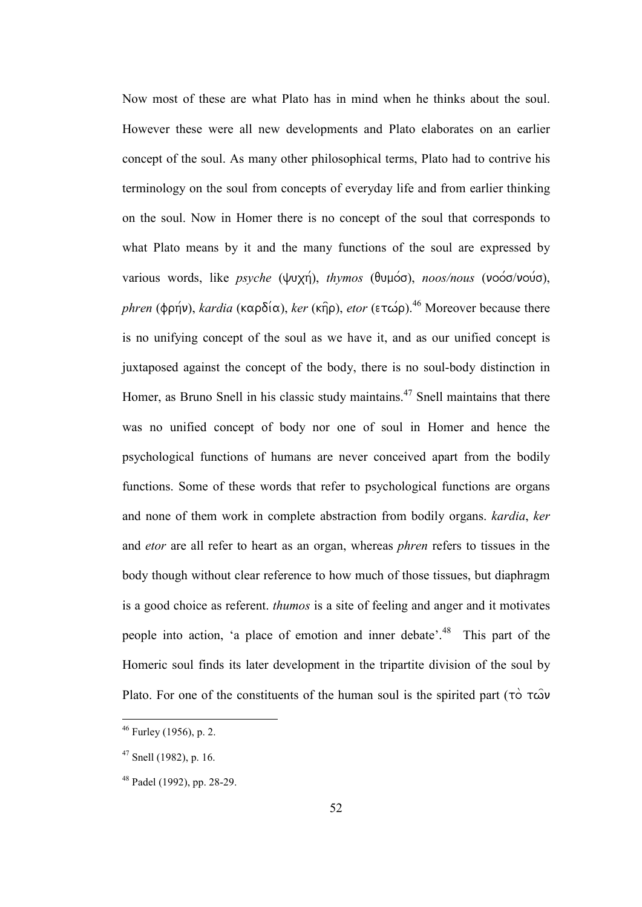Now most of these are what Plato has in mind when he thinks about the soul. However these were all new developments and Plato elaborates on an earlier concept of the soul. As many other philosophical terms, Plato had to contrive his terminology on the soul from concepts of everyday life and from earlier thinking on the soul. Now in Homer there is no concept of the soul that corresponds to what Plato means by it and the many functions of the soul are expressed by various words, like *psyche* (*yuxh/*), *thymos* (*qumo/s*), *noos/nous* (*noo/s*/*nou/s*), *phren* (φρήν), *kardia* (καρδία), *ker* (κῆρ), *etor* (ετώρ).<sup>46</sup> Moreover because there is no unifying concept of the soul as we have it, and as our unified concept is juxtaposed against the concept of the body, there is no soul-body distinction in Homer, as Bruno Snell in his classic study maintains.<sup>47</sup> Snell maintains that there was no unified concept of body nor one of soul in Homer and hence the psychological functions of humans are never conceived apart from the bodily functions. Some of these words that refer to psychological functions are organs and none of them work in complete abstraction from bodily organs. *kardia*, *ker* and *etor* are all refer to heart as an organ, whereas *phren* refers to tissues in the body though without clear reference to how much of those tissues, but diaphragm is a good choice as referent. *thumos* is a site of feeling and anger and it motivates people into action, 'a place of emotion and inner debate'.<sup>48</sup> This part of the Homeric soul finds its later development in the tripartite division of the soul by Plato. For one of the constituents of the human soul is the spirited part ( $\tau$ )  $\tau$  $\omega$  $\nu$ 

 $46$  Furley (1956), p. 2.

 $47$  Snell (1982), p. 16.

<sup>48</sup> Padel (1992), pp. 28-29.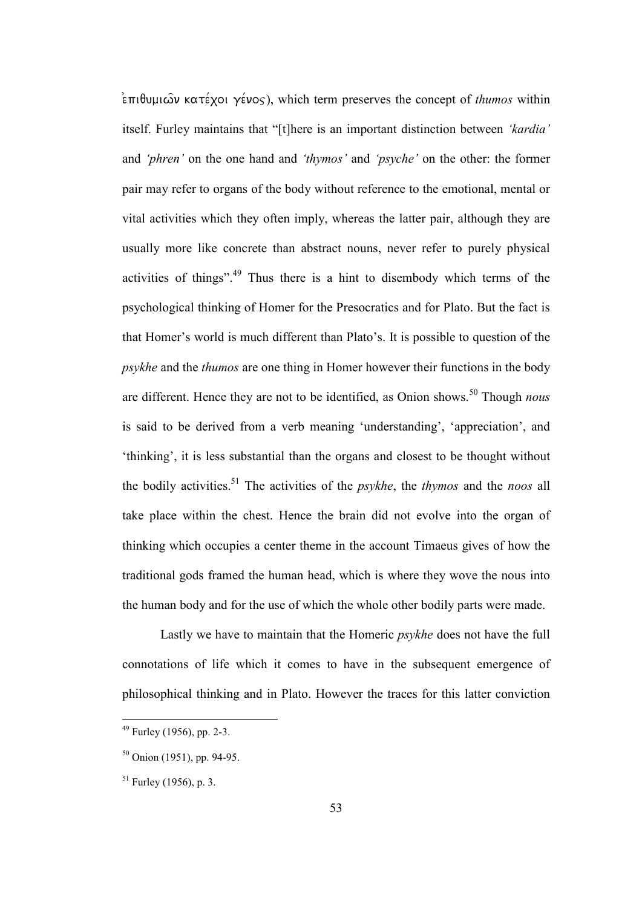$\int_{0}^{1}$ <sub>E</sub>  $\pi$ <sub>1</sub> $\theta$ <sub>V</sub> $\mu$ <sub>1</sub> $\omega$ <sup>2</sup> ( $\pi$ <sub>2</sub>), which term preserves the concept of *thumos* within itself. Furley maintains that "[t]here is an important distinction between *'kardia'*  and *'phren'* on the one hand and *'thymos'* and *'psyche'* on the other: the former pair may refer to organs of the body without reference to the emotional, mental or vital activities which they often imply, whereas the latter pair, although they are usually more like concrete than abstract nouns, never refer to purely physical activities of things".<sup>49</sup> Thus there is a hint to disembody which terms of the psychological thinking of Homer for the Presocratics and for Plato. But the fact is that Homer's world is much different than Plato's. It is possible to question of the *psykhe* and the *thumos* are one thing in Homer however their functions in the body are different. Hence they are not to be identified, as Onion shows.<sup>50</sup> Though *nous* is said to be derived from a verb meaning 'understanding', 'appreciation', and 'thinking', it is less substantial than the organs and closest to be thought without the bodily activities.<sup>51</sup> The activities of the *psykhe*, the *thymos* and the *noos* all take place within the chest. Hence the brain did not evolve into the organ of thinking which occupies a center theme in the account Timaeus gives of how the traditional gods framed the human head, which is where they wove the nous into the human body and for the use of which the whole other bodily parts were made.

Lastly we have to maintain that the Homeric *psykhe* does not have the full connotations of life which it comes to have in the subsequent emergence of philosophical thinking and in Plato. However the traces for this latter conviction

 $49$  Furley (1956), pp. 2-3.

 $50$  Onion (1951), pp. 94-95.

 $51$  Furley (1956), p. 3.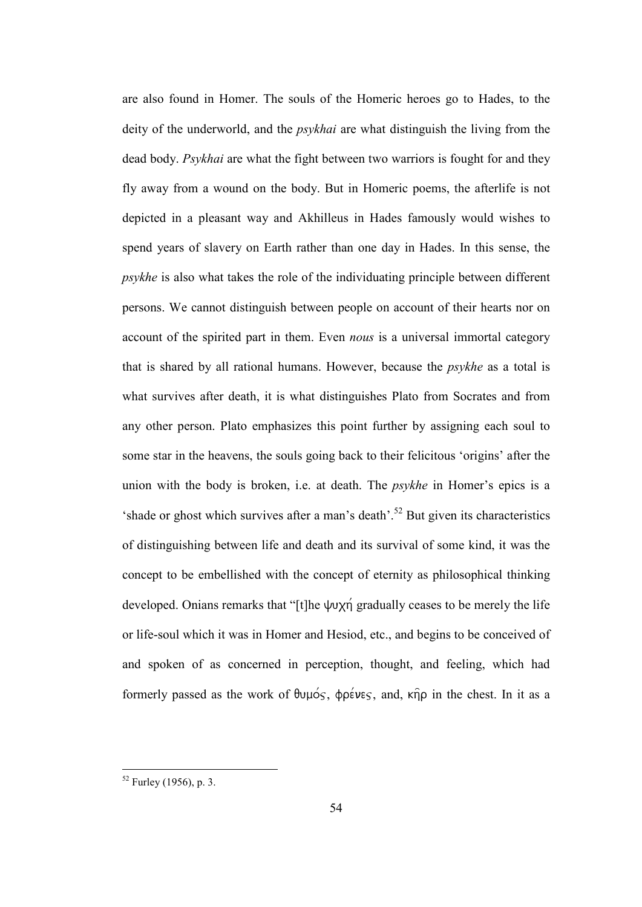are also found in Homer. The souls of the Homeric heroes go to Hades, to the deity of the underworld, and the *psykhai* are what distinguish the living from the dead body. *Psykhai* are what the fight between two warriors is fought for and they fly away from a wound on the body. But in Homeric poems, the afterlife is not depicted in a pleasant way and Akhilleus in Hades famously would wishes to spend years of slavery on Earth rather than one day in Hades. In this sense, the *psykhe* is also what takes the role of the individuating principle between different persons. We cannot distinguish between people on account of their hearts nor on account of the spirited part in them. Even *nous* is a universal immortal category that is shared by all rational humans. However, because the *psykhe* as a total is what survives after death, it is what distinguishes Plato from Socrates and from any other person. Plato emphasizes this point further by assigning each soul to some star in the heavens, the souls going back to their felicitous 'origins' after the union with the body is broken, i.e. at death. The *psykhe* in Homer's epics is a 'shade or ghost which survives after a man's death'. <sup>52</sup> But given its characteristics of distinguishing between life and death and its survival of some kind, it was the concept to be embellished with the concept of eternity as philosophical thinking developed. Onians remarks that "[t]he ψυχή gradually ceases to be merely the life or life-soul which it was in Homer and Hesiod, etc., and begins to be conceived of and spoken of as concerned in perception, thought, and feeling, which had formerly passed as the work of  $\theta$ uµo's,  $\phi$ pe'ues, and,  $\kappa$  $\hat{\eta}$  in the chest. In it as a

 $52$  Furley (1956), p. 3.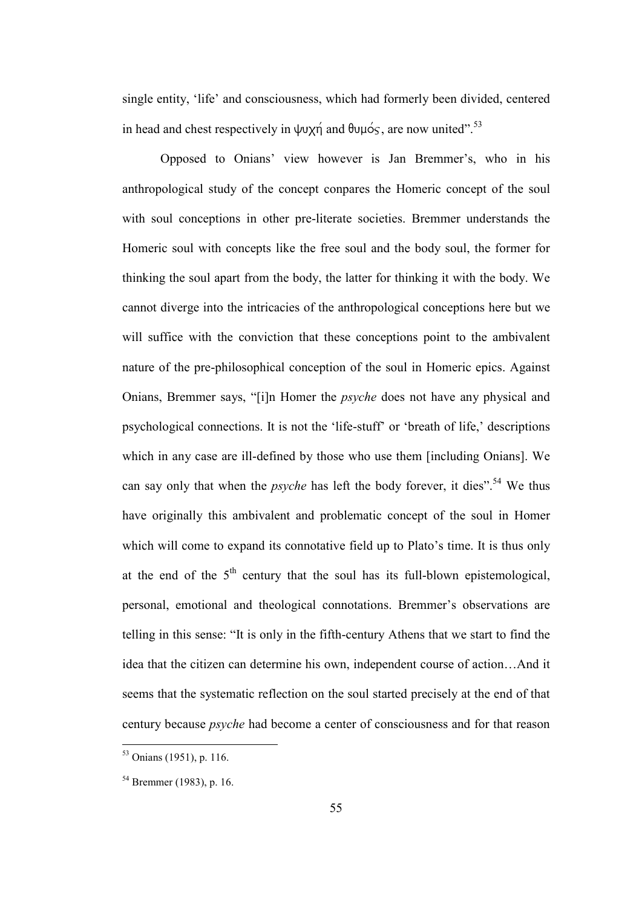single entity, 'life' and consciousness, which had formerly been divided, centered in head and chest respectively in  $\psi \chi \eta'$  and  $\theta \psi \chi$  are now united".<sup>53</sup>

Opposed to Onians' view however is Jan Bremmer's, who in his anthropological study of the concept conpares the Homeric concept of the soul with soul conceptions in other pre-literate societies. Bremmer understands the Homeric soul with concepts like the free soul and the body soul, the former for thinking the soul apart from the body, the latter for thinking it with the body. We cannot diverge into the intricacies of the anthropological conceptions here but we will suffice with the conviction that these conceptions point to the ambivalent nature of the pre-philosophical conception of the soul in Homeric epics. Against Onians, Bremmer says, "[i]n Homer the *psyche* does not have any physical and psychological connections. It is not the 'life-stuff' or 'breath of life,' descriptions which in any case are ill-defined by those who use them [including Onians]. We can say only that when the *psyche* has left the body forever, it dies".<sup>54</sup> We thus have originally this ambivalent and problematic concept of the soul in Homer which will come to expand its connotative field up to Plato's time. It is thus only at the end of the  $5<sup>th</sup>$  century that the soul has its full-blown epistemological. personal, emotional and theological connotations. Bremmer's observations are telling in this sense: "It is only in the fifth-century Athens that we start to find the idea that the citizen can determine his own, independent course of action…And it seems that the systematic reflection on the soul started precisely at the end of that century because *psyche* had become a center of consciousness and for that reason

<sup>&</sup>lt;sup>53</sup> Onians (1951), p. 116.

<sup>54</sup> Bremmer (1983), p. 16.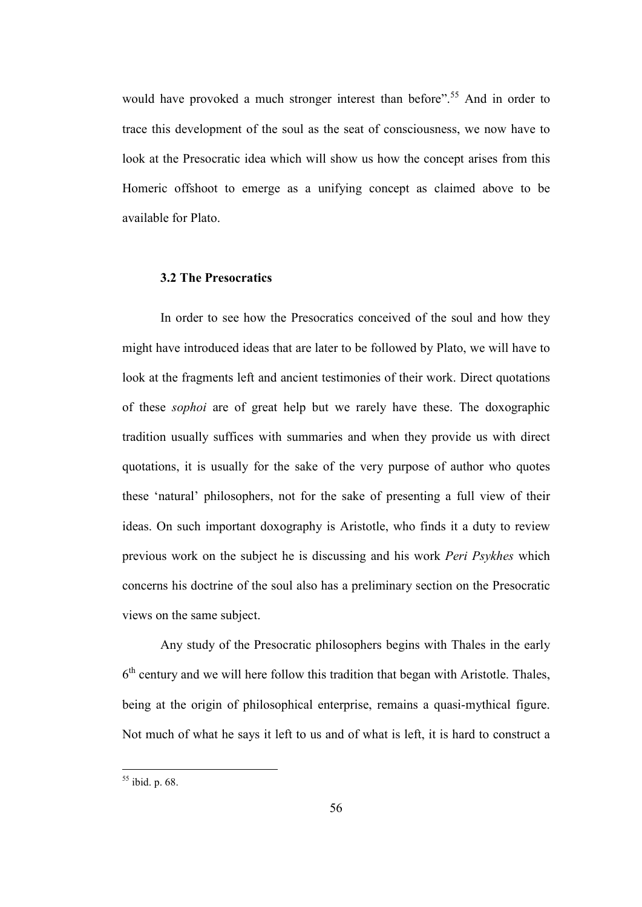would have provoked a much stronger interest than before".<sup>55</sup> And in order to trace this development of the soul as the seat of consciousness, we now have to look at the Presocratic idea which will show us how the concept arises from this Homeric offshoot to emerge as a unifying concept as claimed above to be available for Plato.

## **3.2 The Presocratics**

In order to see how the Presocratics conceived of the soul and how they might have introduced ideas that are later to be followed by Plato, we will have to look at the fragments left and ancient testimonies of their work. Direct quotations of these *sophoi* are of great help but we rarely have these. The doxographic tradition usually suffices with summaries and when they provide us with direct quotations, it is usually for the sake of the very purpose of author who quotes these 'natural' philosophers, not for the sake of presenting a full view of their ideas. On such important doxography is Aristotle, who finds it a duty to review previous work on the subject he is discussing and his work *Peri Psykhes* which concerns his doctrine of the soul also has a preliminary section on the Presocratic views on the same subject.

Any study of the Presocratic philosophers begins with Thales in the early 6<sup>th</sup> century and we will here follow this tradition that began with Aristotle. Thales, being at the origin of philosophical enterprise, remains a quasi-mythical figure. Not much of what he says it left to us and of what is left, it is hard to construct a

 $55$  ibid. p. 68.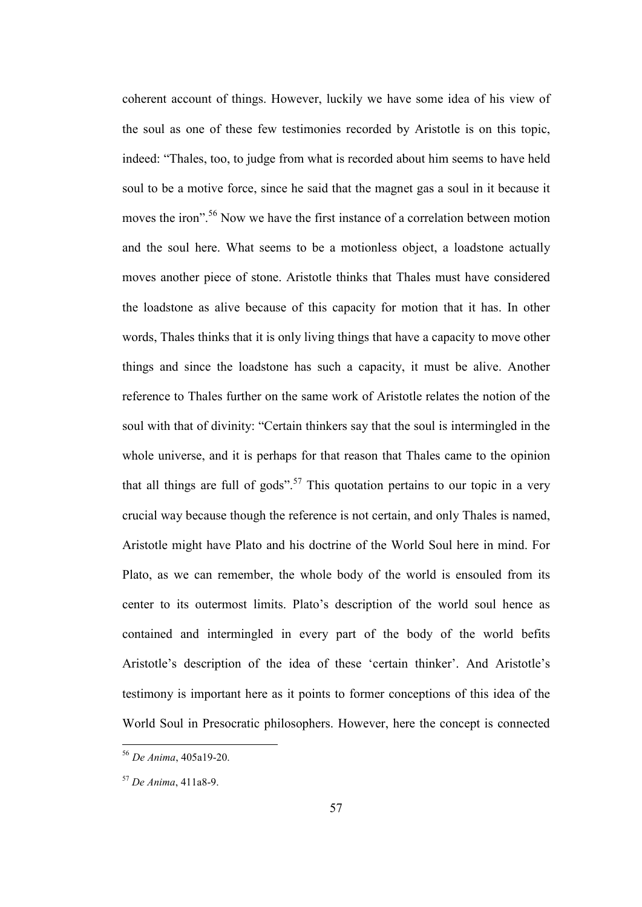coherent account of things. However, luckily we have some idea of his view of the soul as one of these few testimonies recorded by Aristotle is on this topic, indeed: "Thales, too, to judge from what is recorded about him seems to have held soul to be a motive force, since he said that the magnet gas a soul in it because it moves the iron".<sup>56</sup> Now we have the first instance of a correlation between motion and the soul here. What seems to be a motionless object, a loadstone actually moves another piece of stone. Aristotle thinks that Thales must have considered the loadstone as alive because of this capacity for motion that it has. In other words, Thales thinks that it is only living things that have a capacity to move other things and since the loadstone has such a capacity, it must be alive. Another reference to Thales further on the same work of Aristotle relates the notion of the soul with that of divinity: "Certain thinkers say that the soul is intermingled in the whole universe, and it is perhaps for that reason that Thales came to the opinion that all things are full of gods".<sup>57</sup> This quotation pertains to our topic in a very crucial way because though the reference is not certain, and only Thales is named, Aristotle might have Plato and his doctrine of the World Soul here in mind. For Plato, as we can remember, the whole body of the world is ensouled from its center to its outermost limits. Plato's description of the world soul hence as contained and intermingled in every part of the body of the world befits Aristotle's description of the idea of these 'certain thinker'. And Aristotle's testimony is important here as it points to former conceptions of this idea of the World Soul in Presocratic philosophers. However, here the concept is connected

<sup>56</sup> *De Anima*, 405a19-20.

<sup>57</sup> *De Anima*, 411a8-9.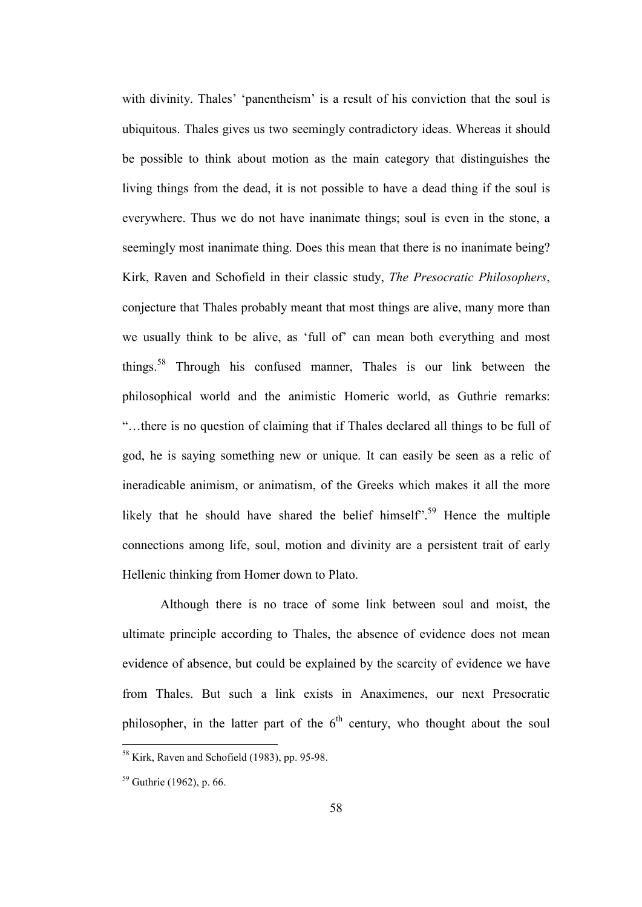with divinity. Thales' 'panentheism' is a result of his conviction that the soul is ubiquitous. Thales gives us two seemingly contradictory ideas. Whereas it should be possible to think about motion as the main category that distinguishes the living things from the dead, it is not possible to have a dead thing if the soul is everywhere. Thus we do not have inanimate things; soul is even in the stone, a seemingly most inanimate thing. Does this mean that there is no inanimate being? Kirk, Raven and Schofield in their classic study, *The Presocratic Philosophers*, conjecture that Thales probably meant that most things are alive, many more than we usually think to be alive, as 'full of' can mean both everything and most things.<sup>58</sup> Through his confused manner, Thales is our link between the philosophical world and the animistic Homeric world, as Guthrie remarks: "…there is no question of claiming that if Thales declared all things to be full of god, he is saying something new or unique. It can easily be seen as a relic of ineradicable animism, or animatism, of the Greeks which makes it all the more likely that he should have shared the belief himself'.<sup>59</sup> Hence the multiple connections among life, soul, motion and divinity are a persistent trait of early Hellenic thinking from Homer down to Plato.

Although there is no trace of some link between soul and moist, the ultimate principle according to Thales, the absence of evidence does not mean evidence of absence, but could be explained by the scarcity of evidence we have from Thales. But such a link exists in Anaximenes, our next Presocratic philosopher, in the latter part of the  $6<sup>th</sup>$  century, who thought about the soul

 $<sup>58</sup>$  Kirk, Raven and Schofield (1983), pp. 95-98.</sup>

 $59$  Guthrie (1962), p. 66.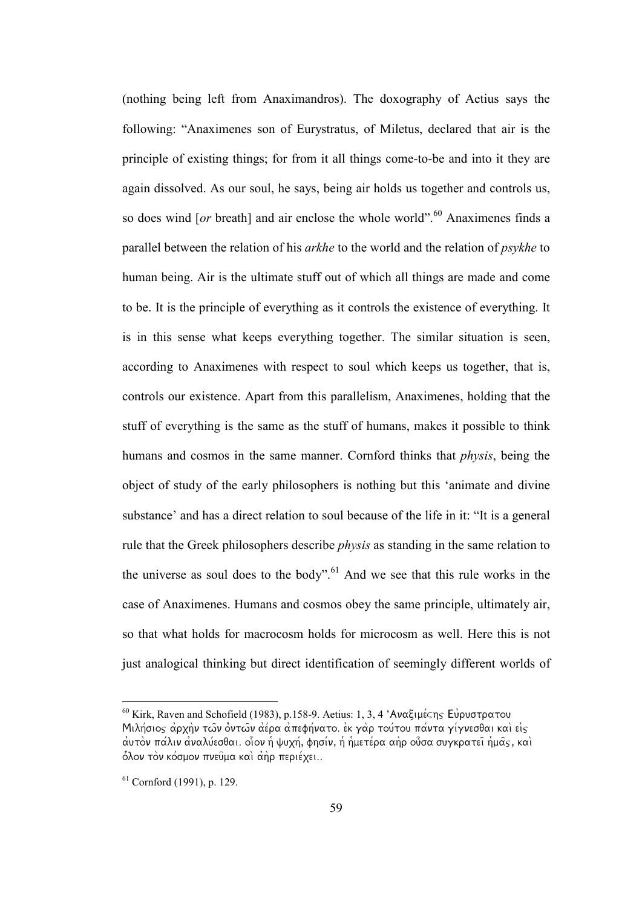(nothing being left from Anaximandros). The doxography of Aetius says the following: "Anaximenes son of Eurystratus, of Miletus, declared that air is the principle of existing things; for from it all things come-to-be and into it they are again dissolved. As our soul, he says, being air holds us together and controls us, so does wind [*or* breath] and air enclose the whole world".<sup>60</sup> Anaximenes finds a parallel between the relation of his *arkhe* to the world and the relation of *psykhe* to human being. Air is the ultimate stuff out of which all things are made and come to be. It is the principle of everything as it controls the existence of everything. It is in this sense what keeps everything together. The similar situation is seen, according to Anaximenes with respect to soul which keeps us together, that is, controls our existence. Apart from this parallelism, Anaximenes, holding that the stuff of everything is the same as the stuff of humans, makes it possible to think humans and cosmos in the same manner. Cornford thinks that *physis*, being the object of study of the early philosophers is nothing but this 'animate and divine substance' and has a direct relation to soul because of the life in it: "It is a general rule that the Greek philosophers describe *physis* as standing in the same relation to the universe as soul does to the body".<sup>61</sup> And we see that this rule works in the case of Anaximenes. Humans and cosmos obey the same principle, ultimately air, so that what holds for macrocosm holds for microcosm as well. Here this is not just analogical thinking but direct identification of seemingly different worlds of

<sup>&</sup>lt;sup>60</sup> Kirk, Raven and Schofield (1983), p.158-9. Aetius: 1, 3, 4 'Αναξιμές ης Εὐρυστρατου Miλήσιος αρχην των οντων αέρα απεφήνατο, εκ γαρ τούτου πάντα γίγνεσθαι και είς *a0uto\n pa/lin a0nalu/esqai. oi[on h9 yuxh/, fhsi/n, h9 h9mete/ra ah\r ou]sa sugkratei= h9ma=j, kai\ δλον τὸν κόσμον πνε*υμα καὶ ἀὴρ περιέχει..

<sup>61</sup> Cornford (1991), p. 129.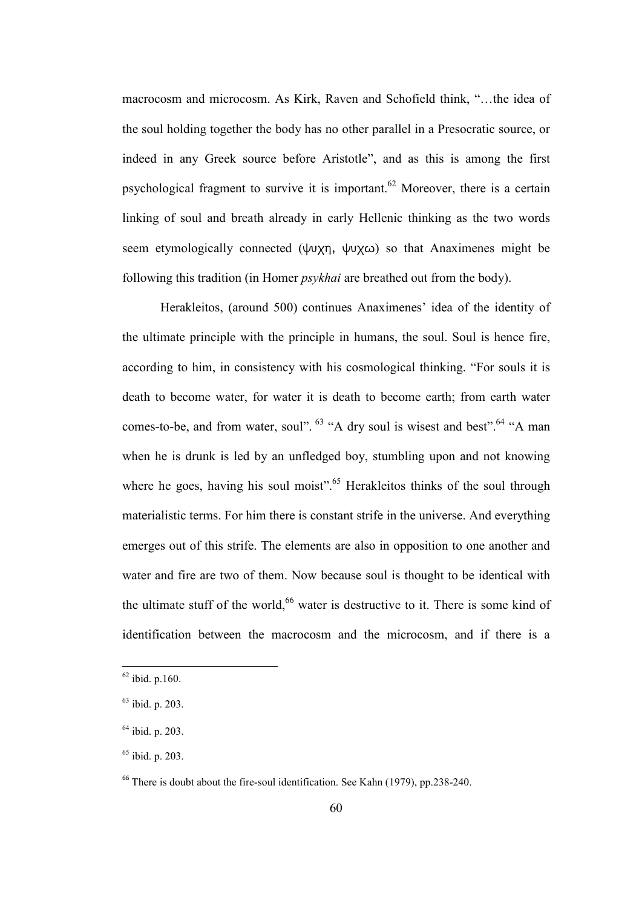macrocosm and microcosm. As Kirk, Raven and Schofield think, "…the idea of the soul holding together the body has no other parallel in a Presocratic source, or indeed in any Greek source before Aristotle", and as this is among the first psychological fragment to survive it is important.<sup>62</sup> Moreover, there is a certain linking of soul and breath already in early Hellenic thinking as the two words seem etymologically connected (*yuxh, yuxw*) so that Anaximenes might be following this tradition (in Homer *psykhai* are breathed out from the body).

Herakleitos, (around 500) continues Anaximenes' idea of the identity of the ultimate principle with the principle in humans, the soul. Soul is hence fire, according to him, in consistency with his cosmological thinking. "For souls it is death to become water, for water it is death to become earth; from earth water comes-to-be, and from water, soul".  $^{63}$  "A dry soul is wisest and best".  $^{64}$  "A man when he is drunk is led by an unfledged boy, stumbling upon and not knowing where he goes, having his soul moist".<sup>65</sup> Herakleitos thinks of the soul through materialistic terms. For him there is constant strife in the universe. And everything emerges out of this strife. The elements are also in opposition to one another and water and fire are two of them. Now because soul is thought to be identical with the ultimate stuff of the world, $66$  water is destructive to it. There is some kind of identification between the macrocosm and the microcosm, and if there is a

 $62$  ibid. p.160.

<sup>63</sup> ibid. p. 203.

<sup>64</sup> ibid. p. 203.

 $65$  ibid. p. 203.

<sup>&</sup>lt;sup>66</sup> There is doubt about the fire-soul identification. See Kahn (1979), pp.238-240.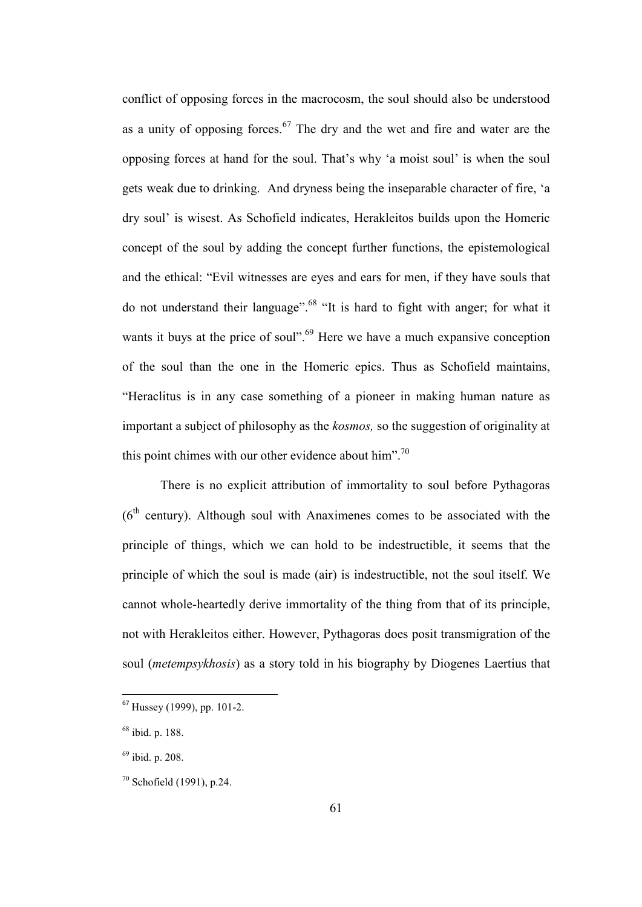conflict of opposing forces in the macrocosm, the soul should also be understood as a unity of opposing forces.<sup>67</sup> The dry and the wet and fire and water are the opposing forces at hand for the soul. That's why 'a moist soul' is when the soul gets weak due to drinking. And dryness being the inseparable character of fire, 'a dry soul' is wisest. As Schofield indicates, Herakleitos builds upon the Homeric concept of the soul by adding the concept further functions, the epistemological and the ethical: "Evil witnesses are eyes and ears for men, if they have souls that do not understand their language".<sup>68</sup> "It is hard to fight with anger; for what it wants it buys at the price of soul".<sup>69</sup> Here we have a much expansive conception of the soul than the one in the Homeric epics. Thus as Schofield maintains, "Heraclitus is in any case something of a pioneer in making human nature as important a subject of philosophy as the *kosmos,* so the suggestion of originality at this point chimes with our other evidence about him".<sup>70</sup>

There is no explicit attribution of immortality to soul before Pythagoras  $(6<sup>th</sup>$  century). Although soul with Anaximenes comes to be associated with the principle of things, which we can hold to be indestructible, it seems that the principle of which the soul is made (air) is indestructible, not the soul itself. We cannot whole-heartedly derive immortality of the thing from that of its principle, not with Herakleitos either. However, Pythagoras does posit transmigration of the soul (*metempsykhosis*) as a story told in his biography by Diogenes Laertius that

<sup>&</sup>lt;sup>67</sup> Hussey (1999), pp. 101-2.

<sup>68</sup> ibid. p. 188.

<sup>69</sup> ibid. p. 208.

 $70$  Schofield (1991), p.24.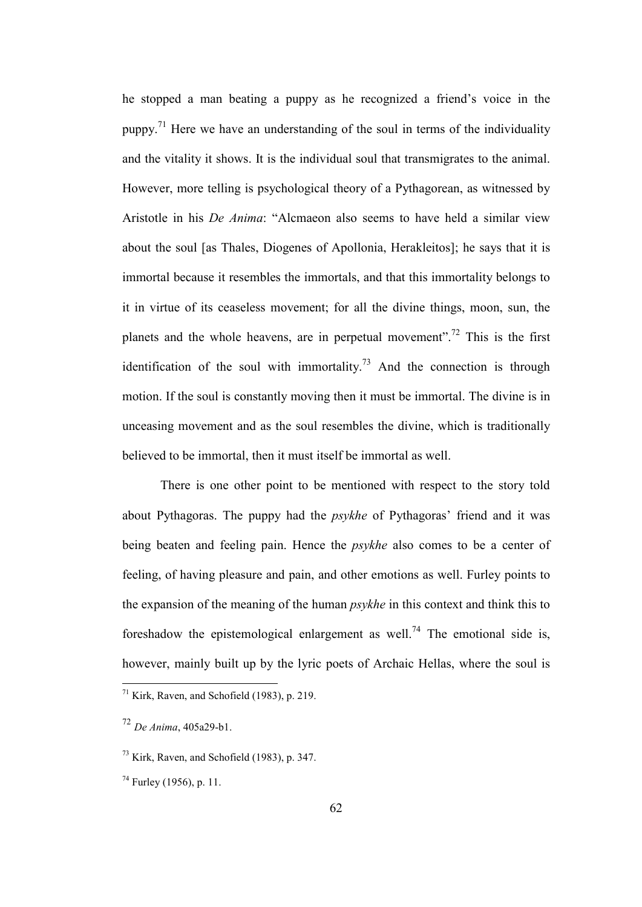he stopped a man beating a puppy as he recognized a friend's voice in the puppy.<sup>71</sup> Here we have an understanding of the soul in terms of the individuality and the vitality it shows. It is the individual soul that transmigrates to the animal. However, more telling is psychological theory of a Pythagorean, as witnessed by Aristotle in his *De Anima*: "Alcmaeon also seems to have held a similar view about the soul [as Thales, Diogenes of Apollonia, Herakleitos]; he says that it is immortal because it resembles the immortals, and that this immortality belongs to it in virtue of its ceaseless movement; for all the divine things, moon, sun, the planets and the whole heavens, are in perpetual movement".<sup>72</sup> This is the first identification of the soul with immortality.<sup>73</sup> And the connection is through motion. If the soul is constantly moving then it must be immortal. The divine is in unceasing movement and as the soul resembles the divine, which is traditionally believed to be immortal, then it must itself be immortal as well.

There is one other point to be mentioned with respect to the story told about Pythagoras. The puppy had the *psykhe* of Pythagoras' friend and it was being beaten and feeling pain. Hence the *psykhe* also comes to be a center of feeling, of having pleasure and pain, and other emotions as well. Furley points to the expansion of the meaning of the human *psykhe* in this context and think this to foreshadow the epistemological enlargement as well.<sup>74</sup> The emotional side is, however, mainly built up by the lyric poets of Archaic Hellas, where the soul is

 $71$  Kirk, Raven, and Schofield (1983), p. 219.

<sup>72</sup> *De Anima*, 405a29-b1.

<sup>73</sup> Kirk, Raven, and Schofield (1983), p. 347.

 $74$  Furley (1956), p. 11.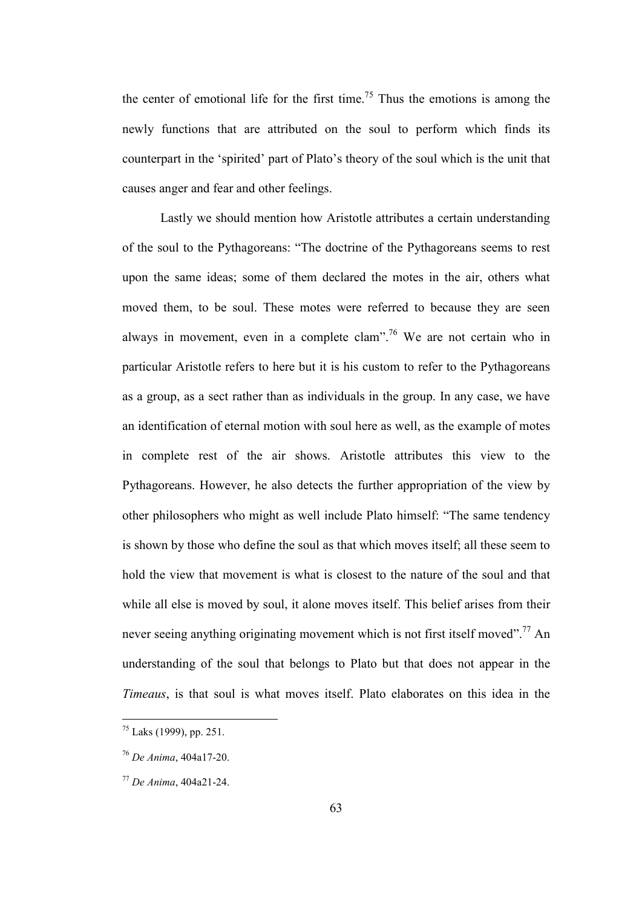the center of emotional life for the first time.<sup>75</sup> Thus the emotions is among the newly functions that are attributed on the soul to perform which finds its counterpart in the 'spirited' part of Plato's theory of the soul which is the unit that causes anger and fear and other feelings.

Lastly we should mention how Aristotle attributes a certain understanding of the soul to the Pythagoreans: "The doctrine of the Pythagoreans seems to rest upon the same ideas; some of them declared the motes in the air, others what moved them, to be soul. These motes were referred to because they are seen always in movement, even in a complete clam".<sup>76</sup> We are not certain who in particular Aristotle refers to here but it is his custom to refer to the Pythagoreans as a group, as a sect rather than as individuals in the group. In any case, we have an identification of eternal motion with soul here as well, as the example of motes in complete rest of the air shows. Aristotle attributes this view to the Pythagoreans. However, he also detects the further appropriation of the view by other philosophers who might as well include Plato himself: "The same tendency is shown by those who define the soul as that which moves itself; all these seem to hold the view that movement is what is closest to the nature of the soul and that while all else is moved by soul, it alone moves itself. This belief arises from their never seeing anything originating movement which is not first itself moved".<sup>77</sup> An understanding of the soul that belongs to Plato but that does not appear in the *Timeaus*, is that soul is what moves itself. Plato elaborates on this idea in the

 $^{75}$  Laks (1999), pp. 251.

<sup>76</sup> *De Anima*, 404a17-20.

<sup>77</sup> *De Anima*, 404a21-24.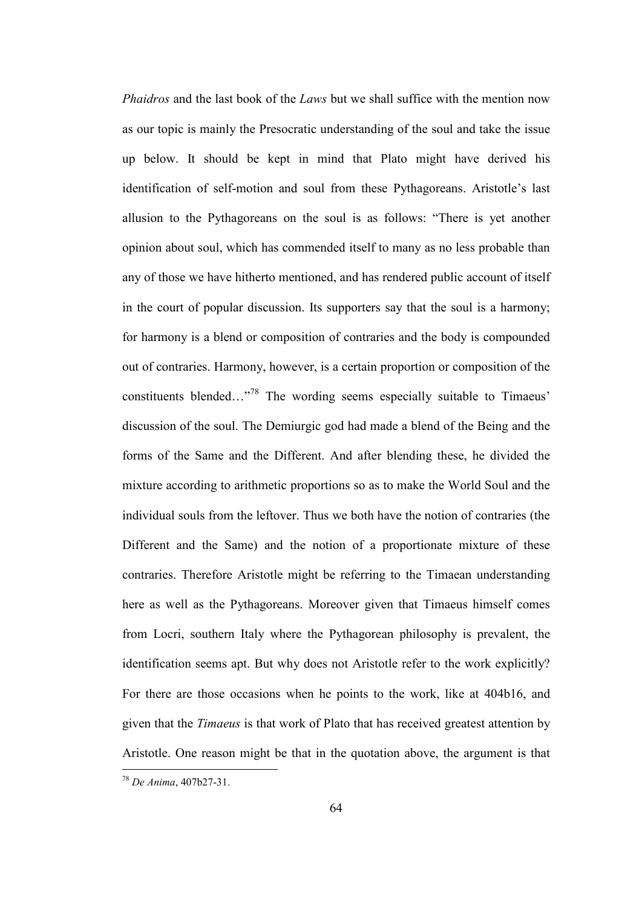*Phaidros* and the last book of the *Laws* but we shall suffice with the mention now as our topic is mainly the Presocratic understanding of the soul and take the issue up below. It should be kept in mind that Plato might have derived his identification of self-motion and soul from these Pythagoreans. Aristotle's last allusion to the Pythagoreans on the soul is as follows: "There is yet another opinion about soul, which has commended itself to many as no less probable than any of those we have hitherto mentioned, and has rendered public account of itself in the court of popular discussion. Its supporters say that the soul is a harmony; for harmony is a blend or composition of contraries and the body is compounded out of contraries. Harmony, however, is a certain proportion or composition of the constituents blended…"<sup>78</sup> The wording seems especially suitable to Timaeus' discussion of the soul. The Demiurgic god had made a blend of the Being and the forms of the Same and the Different. And after blending these, he divided the mixture according to arithmetic proportions so as to make the World Soul and the individual souls from the leftover. Thus we both have the notion of contraries (the Different and the Same) and the notion of a proportionate mixture of these contraries. Therefore Aristotle might be referring to the Timaean understanding here as well as the Pythagoreans. Moreover given that Timaeus himself comes from Locri, southern Italy where the Pythagorean philosophy is prevalent, the identification seems apt. But why does not Aristotle refer to the work explicitly? For there are those occasions when he points to the work, like at 404b16, and given that the *Timaeus* is that work of Plato that has received greatest attention by Aristotle. One reason might be that in the quotation above, the argument is that  $\overline{a}$ 

<sup>78</sup> *De Anima*, 407b27-31.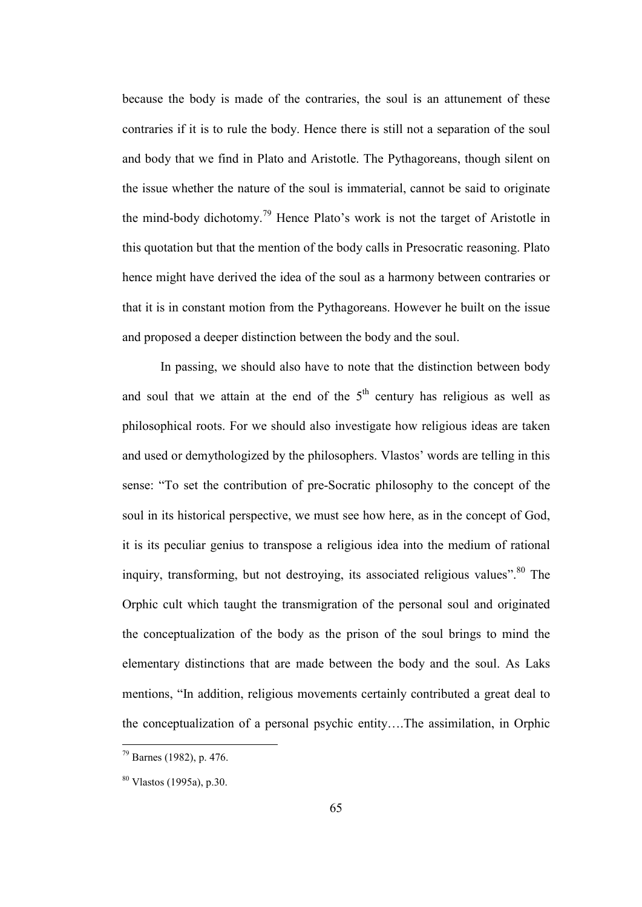because the body is made of the contraries, the soul is an attunement of these contraries if it is to rule the body. Hence there is still not a separation of the soul and body that we find in Plato and Aristotle. The Pythagoreans, though silent on the issue whether the nature of the soul is immaterial, cannot be said to originate the mind-body dichotomy.<sup>79</sup> Hence Plato's work is not the target of Aristotle in this quotation but that the mention of the body calls in Presocratic reasoning. Plato hence might have derived the idea of the soul as a harmony between contraries or that it is in constant motion from the Pythagoreans. However he built on the issue and proposed a deeper distinction between the body and the soul.

In passing, we should also have to note that the distinction between body and soul that we attain at the end of the  $5<sup>th</sup>$  century has religious as well as philosophical roots. For we should also investigate how religious ideas are taken and used or demythologized by the philosophers. Vlastos' words are telling in this sense: "To set the contribution of pre-Socratic philosophy to the concept of the soul in its historical perspective, we must see how here, as in the concept of God, it is its peculiar genius to transpose a religious idea into the medium of rational inquiry, transforming, but not destroying, its associated religious values".<sup>80</sup> The Orphic cult which taught the transmigration of the personal soul and originated the conceptualization of the body as the prison of the soul brings to mind the elementary distinctions that are made between the body and the soul. As Laks mentions, "In addition, religious movements certainly contributed a great deal to the conceptualization of a personal psychic entity….The assimilation, in Orphic

 $79$  Barnes (1982), p. 476.

<sup>80</sup> Vlastos (1995a), p.30.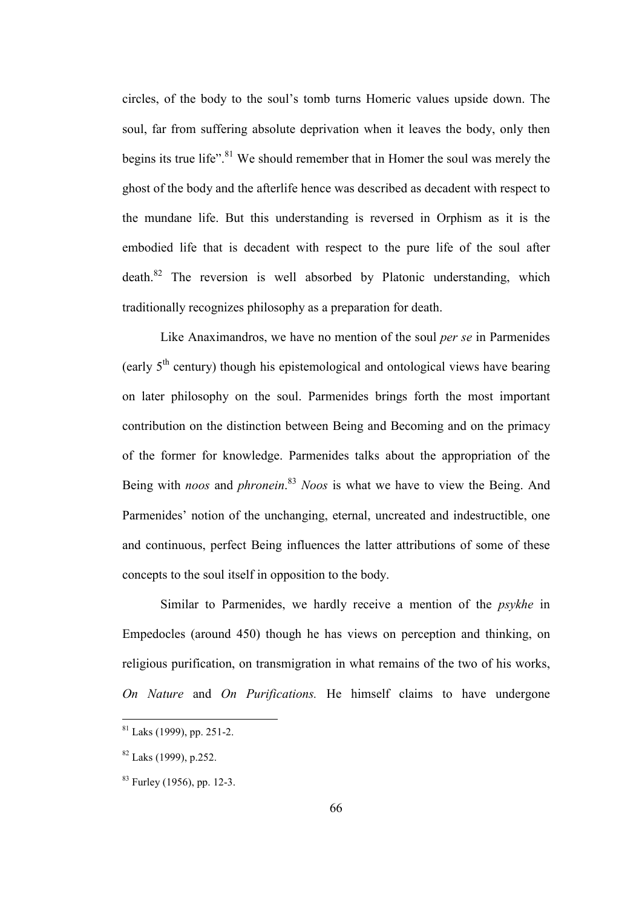circles, of the body to the soul's tomb turns Homeric values upside down. The soul, far from suffering absolute deprivation when it leaves the body, only then begins its true life".<sup>81</sup> We should remember that in Homer the soul was merely the ghost of the body and the afterlife hence was described as decadent with respect to the mundane life. But this understanding is reversed in Orphism as it is the embodied life that is decadent with respect to the pure life of the soul after death.<sup>82</sup> The reversion is well absorbed by Platonic understanding, which traditionally recognizes philosophy as a preparation for death.

Like Anaximandros, we have no mention of the soul *per se* in Parmenides (early 5th century) though his epistemological and ontological views have bearing on later philosophy on the soul. Parmenides brings forth the most important contribution on the distinction between Being and Becoming and on the primacy of the former for knowledge. Parmenides talks about the appropriation of the Being with *noos* and *phronein*. <sup>83</sup> *Noos* is what we have to view the Being. And Parmenides' notion of the unchanging, eternal, uncreated and indestructible, one and continuous, perfect Being influences the latter attributions of some of these concepts to the soul itself in opposition to the body.

Similar to Parmenides, we hardly receive a mention of the *psykhe* in Empedocles (around 450) though he has views on perception and thinking, on religious purification, on transmigration in what remains of the two of his works, *On Nature* and *On Purifications.* He himself claims to have undergone

 $81$  Laks (1999), pp. 251-2.

<sup>82</sup> Laks (1999), p.252.

<sup>83</sup> Furley (1956), pp. 12-3.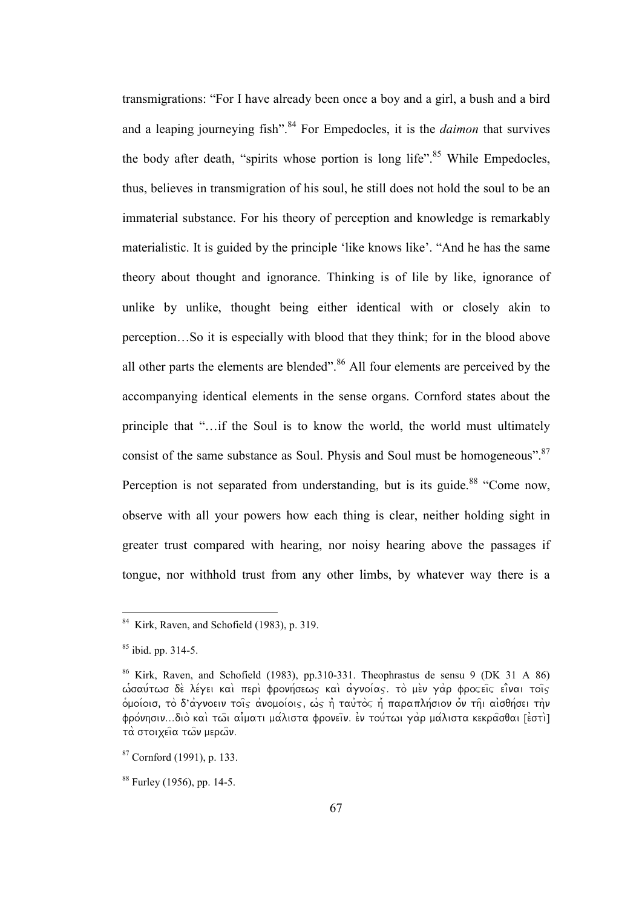transmigrations: "For I have already been once a boy and a girl, a bush and a bird and a leaping journeying fish".<sup>84</sup> For Empedocles, it is the *daimon* that survives the body after death, "spirits whose portion is long life".<sup>85</sup> While Empedocles, thus, believes in transmigration of his soul, he still does not hold the soul to be an immaterial substance. For his theory of perception and knowledge is remarkably materialistic. It is guided by the principle 'like knows like'. "And he has the same theory about thought and ignorance. Thinking is of lile by like, ignorance of unlike by unlike, thought being either identical with or closely akin to perception…So it is especially with blood that they think; for in the blood above all other parts the elements are blended".<sup>86</sup> All four elements are perceived by the accompanying identical elements in the sense organs. Cornford states about the principle that "…if the Soul is to know the world, the world must ultimately consist of the same substance as Soul. Physis and Soul must be homogeneous".<sup>87</sup> Perception is not separated from understanding, but is its guide.<sup>88</sup> "Come now, observe with all your powers how each thing is clear, neither holding sight in greater trust compared with hearing, nor noisy hearing above the passages if tongue, nor withhold trust from any other limbs, by whatever way there is a

 $\overline{a}$  $84$  Kirk, Raven, and Schofield (1983), p. 319.

 $85$  ibid. pp. 314-5.

<sup>86</sup> Kirk, Raven, and Schofield (1983), pp.310-331. Theophrastus de sensu 9 (DK 31 A 86) woαύτωσ δε λέγει και περι φρονήσεως και αγνοίας. το μεν γαρ φροςεις είναι τοις *o*μοίοισ, το *δ'αγνοειν τοις ανομοίοις, ώς η ταύτος η παραπλήσιον ον τηι αισθήσει την fro/nhsin...dio\ kai\ tw=i ai9/mati ma/lista fronei=n. e0n tou/twi ga\r ma/lista kekra=sqai* [*e0sti\*] *ta\ stoixei=a tw=n merw=n.* 

 $87$  Cornford (1991), p. 133.

<sup>88</sup> Furley (1956), pp. 14-5.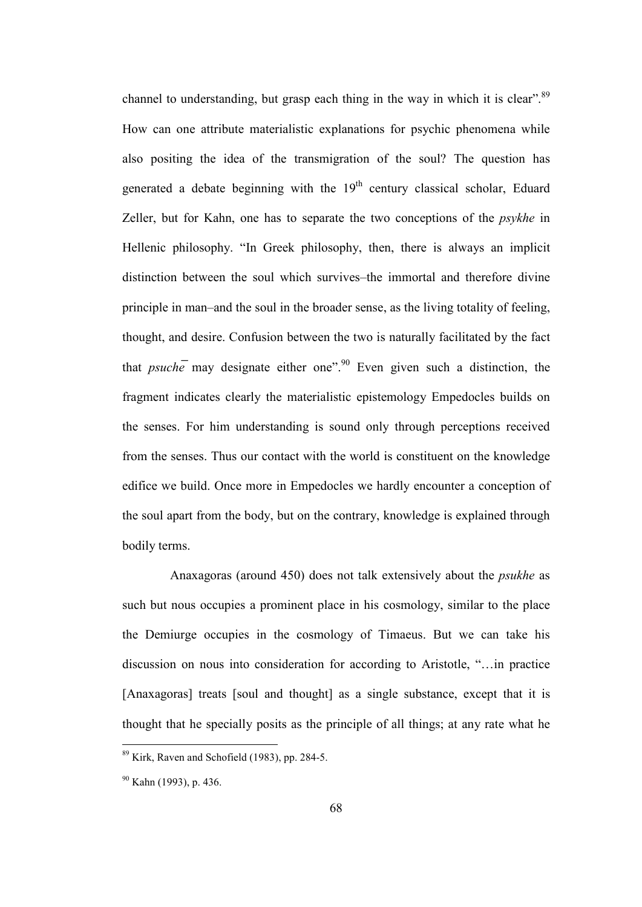channel to understanding, but grasp each thing in the way in which it is clear".<sup>89</sup> How can one attribute materialistic explanations for psychic phenomena while also positing the idea of the transmigration of the soul? The question has generated a debate beginning with the  $19<sup>th</sup>$  century classical scholar, Eduard Zeller, but for Kahn, one has to separate the two conceptions of the *psykhe* in Hellenic philosophy. "In Greek philosophy, then, there is always an implicit distinction between the soul which survives–the immortal and therefore divine principle in man–and the soul in the broader sense, as the living totality of feeling, thought, and desire. Confusion between the two is naturally facilitated by the fact that *psuche* may designate either one".<sup>90</sup> Even given such a distinction, the fragment indicates clearly the materialistic epistemology Empedocles builds on the senses. For him understanding is sound only through perceptions received from the senses. Thus our contact with the world is constituent on the knowledge edifice we build. Once more in Empedocles we hardly encounter a conception of the soul apart from the body, but on the contrary, knowledge is explained through bodily terms.

 Anaxagoras (around 450) does not talk extensively about the *psukhe* as such but nous occupies a prominent place in his cosmology, similar to the place the Demiurge occupies in the cosmology of Timaeus. But we can take his discussion on nous into consideration for according to Aristotle, "…in practice [Anaxagoras] treats [soul and thought] as a single substance, except that it is thought that he specially posits as the principle of all things; at any rate what he

 $89$  Kirk, Raven and Schofield (1983), pp. 284-5.

 $90$  Kahn (1993), p. 436.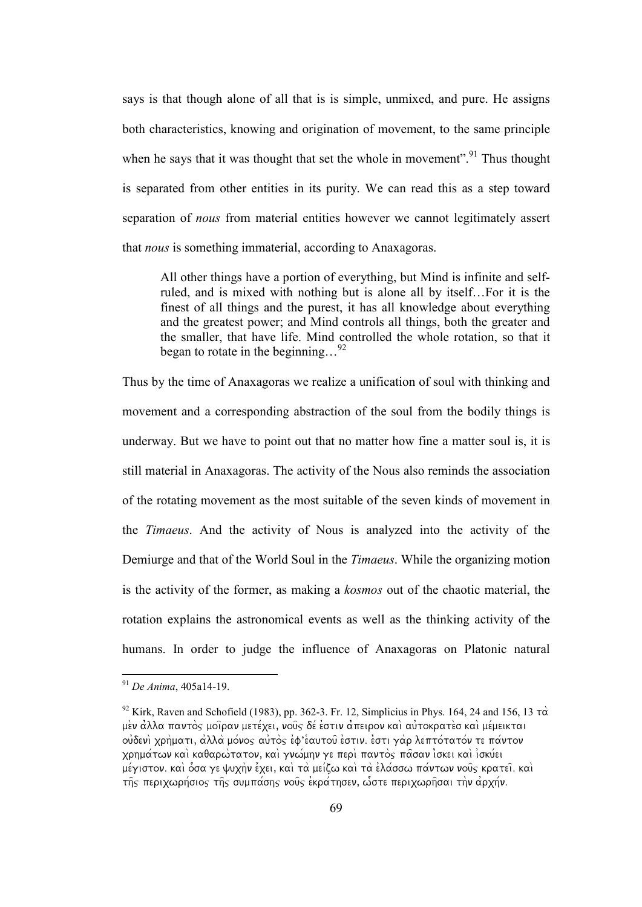says is that though alone of all that is is simple, unmixed, and pure. He assigns both characteristics, knowing and origination of movement, to the same principle when he says that it was thought that set the whole in movement". <sup>91</sup> Thus thought is separated from other entities in its purity. We can read this as a step toward separation of *nous* from material entities however we cannot legitimately assert that *nous* is something immaterial, according to Anaxagoras.

All other things have a portion of everything, but Mind is infinite and selfruled, and is mixed with nothing but is alone all by itself…For it is the finest of all things and the purest, it has all knowledge about everything and the greatest power; and Mind controls all things, both the greater and the smaller, that have life. Mind controlled the whole rotation, so that it began to rotate in the beginning... $^{92}$ 

Thus by the time of Anaxagoras we realize a unification of soul with thinking and movement and a corresponding abstraction of the soul from the bodily things is underway. But we have to point out that no matter how fine a matter soul is, it is still material in Anaxagoras. The activity of the Nous also reminds the association of the rotating movement as the most suitable of the seven kinds of movement in the *Timaeus*. And the activity of Nous is analyzed into the activity of the Demiurge and that of the World Soul in the *Timaeus*. While the organizing motion is the activity of the former, as making a *kosmos* out of the chaotic material, the rotation explains the astronomical events as well as the thinking activity of the humans. In order to judge the influence of Anaxagoras on Platonic natural

<sup>91</sup> *De Anima*, 405a14-19.

<sup>&</sup>lt;sup>92</sup> Kirk, Raven and Schofield (1983), pp. 362-3. Fr. 12, Simplicius in Phys. 164, 24 and 156, 13 ταλ *me\n a0\lla panto\j moi=ran mete/xei, nou=j de/ e0stin a0\peiron kai\ au0tokrate\s kai\ me/meiktai ou0deni\ xrh\mati, a0lla\ mo/noj au0to\j e0f*'*e9autou= e0stin. e0\sti ga\r lepto/tato/n te pa/nton xrhma/twn kai\ kaqarw\taton, kai\ gnw/mhn ge peri\ panto\j pa=san i0\skei kai\ i0sku/ei me/giston. kai\ o9/sa ge yuxh\n e0/xei, kai\ ta\ mei/zw kai\ ta\ e0la/ssw pa/ntwn nou=j kratei=. kai\ της περιχωρήσιος της συμπάσης νους εκράτησεν, ώστε περιχωρήσαι την αρχήν.*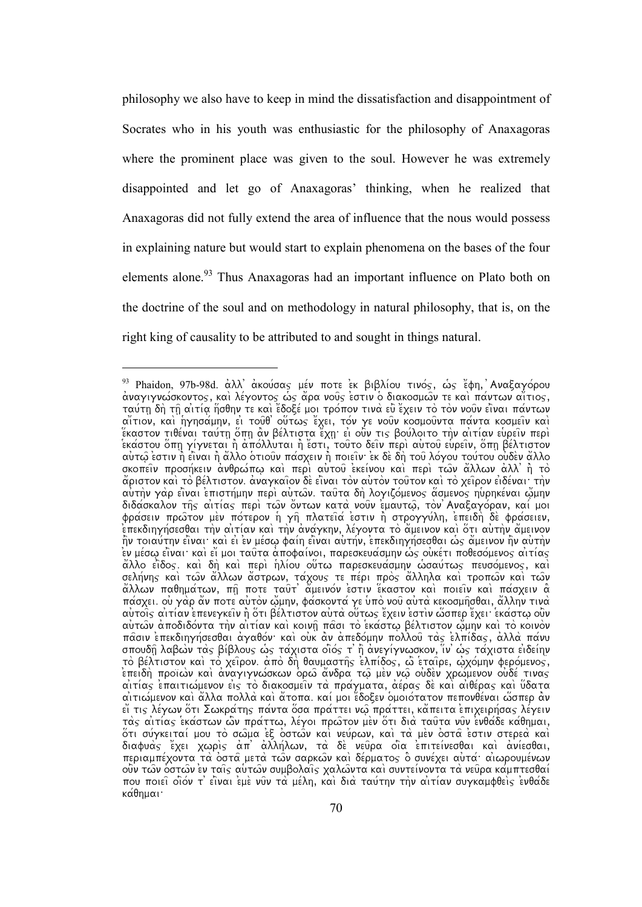philosophy we also have to keep in mind the dissatisfaction and disappointment of Socrates who in his youth was enthusiastic for the philosophy of Anaxagoras where the prominent place was given to the soul. However he was extremely disappointed and let go of Anaxagoras' thinking, when he realized that Anaxagoras did not fully extend the area of influence that the nous would possess in explaining nature but would start to explain phenomena on the bases of the four elements alone.<sup>93</sup> Thus Anaxagoras had an important influence on Plato both on the doctrine of the soul and on methodology in natural philosophy, that is, on the right king of causality to be attributed to and sought in things natural.

<sup>93</sup> Phaidon, 97b-98d. άλλ' άκούσας μέν ποτε εκ βιβλίου τινός, ώς έφη, Αναξαγόρου *a)nagignw/skontoj, kai\ le/gontoj w(j a)/ra nou=j e)stin o( diakosmw=n te kai\ pa/ntwn ai)/tioj, ταύτη δη τη αιτία ήσθην τε και έδοξέ μοι τρόπον τινα ευ έχειν το τον νουν ειναι πάντων ai)/tion, kai\ h(ghsa/mhn, ei) tou=q' ou(/twj e)/xei, to/n ge nou=n kosmou=nta pa/nta kosmei=n kai\ e(/kaston tiqe/nai tau/th| o(/ph| a)\n be/ltista e)/xh|: ei) ou)=n tij bou/loito th\n ai)ti/an eu(rei=n peri\ e(ka/stou o(/ph| gi/gnetai h)\ a)po/llutai h)\ e)/sti, tou=to dei=n peri\ au)tou= eu(rei=n, o(/ph| be/ltiston*  aὐτῳ εστιν ή είναι ή άλλο οτιούν πάσχειν ή ποιείν· εκ δε δη του λόγου τούτου ουδεν άλλο *σ*κοπειν προσήκειν ανθρώπω και περι αυτού εκείνου και περι των άλλων αλλ' η το *a)/riston kai\ to\ be/ltiston. a)nagkai=on de\ ei)=nai to\n au)to\n tou=ton kai\ to\ xei=ron ei)de/nai: th\n au)th\n ga\r ei)=nai e)pisth/mhn peri\ au)tw=n. tau=ta dh\ logizo/menoj a(/smenoj hu(rhke/nai w)/|mhn*   $\delta$ ιδάσκαλον της αιτίας περ) των όντων κατα νουν εμαυτω, τον Αναξαγόραν, και μοι φράσειν πρωτον μεν πότερον η γη πλατειά εστιν η στρογγύλη, επειδη δε φράσειεν, *e)pekdihgh/sesqai th\n ai)ti/an kai\ th\n a)na/gkhn, le/gonta to\ a)/meinon kai\ o(/ti au)th\n a)/meinon hν* τοιαύτην είναι: και ει εν μέσω φαίη είναι αυτήν, επεκδιηγήσεσθαι ώς άμεινον ην αυτην *e)n me/sw| ei)=nai: kai\ ei)/ moi tau=ta a)pofai/noi, pareskeua/smhn w(j ou)ke/ti poqeso/menoj ai)ti/aj*   $\alpha\lambda$ λο είδος. και δη και περι ηλίου ούτω παρεσκευασμην ώσαύτως πευσόμενος, και *selh/nhj kai\ tw=n a)/llwn a)/strwn, ta/xouj te pe/ri pro\j a)/llhla kai\ tropw=n kai\ tw=n*  άλλων παθημάτων, πῆ ποτε ταῦτ' ἄμεινόν ἐστιν ἕκαστον καὶ ποιεῖν καὶ πάσχειν ἃ *πάσχει. ου γαρ άν ποτε αυτον ώμην, φάσ*κοντα γε υπο νου αυτα κεκοσμησθαι, άλλην τινα aυτοίς αιτίαν επενεγκειν ή ότι βέλτιστον αυτα ούτως έχειν εστιν ώσπερ έχει· εκάστω ουν *au)tw=n a)podido/nta th\n ai)ti/an kai\ koinh=| pa=si to\ e(ka/stw| be/ltiston w)/|mhn kai\ to\ koino\n pi*ασιν επεκδιηγήσεσθαι άγαθόν· και ουκ αν απεδόμην πολλου τας ελπίδας, αλλα πάνυ *spoudh=| labw\n ta\j bi/blouj w(j ta/xista oi(=o/j t' h)= a)negi/gnwskon, i(/n' w(j ta/xista ei)dei/hn τ*ò βέλτιστον καὶ τὸ χεῖρον. ἀπὸ δὴ θαυμαστῆς ἐλπίδος, ὡ ἑταῖρε, ὡχόμην φερόμενος, *e)peidh\ proi+w\n kai\ a)nagignw/skwn o(rw= a)/ndra tw=| me\n nw=| ou)de\n xrw/menon ou)de/ tinaj*   $\alpha$ ίτίας επαιτιώμενον εις το διακοσμείν τα πραγματα, αέρας δε και αιθέρας και ύδατα *ai)tiw/menon kai\ a)/lla polla\ kai\ a)/topa. kai/ moi e)/docen o(moio/taton peponqe/nai w(/sper a)\n ei)/ tij le/gwn o(/ti Swkra/thj pa/nta o(/sa pra/ttei nw=| pra/ttei, ka)/peita e)pixeirh/saj le/gein ta\j ai)ti/aj e(ka/stwn w(=n pra/ttw, le/goi prw=ton me\n o(/ti dia\ tau=ta nu=n e)nqa/de ka/qhmai, o(/ti su/gkeitai/ mou to\ sw=ma e)c o)stw=n kai\ neu/rwn, kai\ ta\ me\n o)sta= e)stin sterea\ kai\ diafua\j e)/xei xwri\j a)p' a)llh/lwn, ta\ de\ neu=ra oi(=a e)pitei/nesqai kai\ a)ni/esqai, periampe/xonta ta\ o)sta= meta\ tw=n sarkw=n kai\ de/rmatoj o(\ sune/xei au)ta/: ai)wroume/nwn ou)=n tw=n o)stw=n e)n tai=j au(tw=n sumbolai=j xalw=nta kai\ suntei/nonta ta\ neu=ra ka/mptesqai/ που ποιεί οιόν τ' ειναι εμε ν*υν τα μέλη, και δια ταύτην την αιτίαν συγκαμφθεις ενθάδε *ka/qhmai:*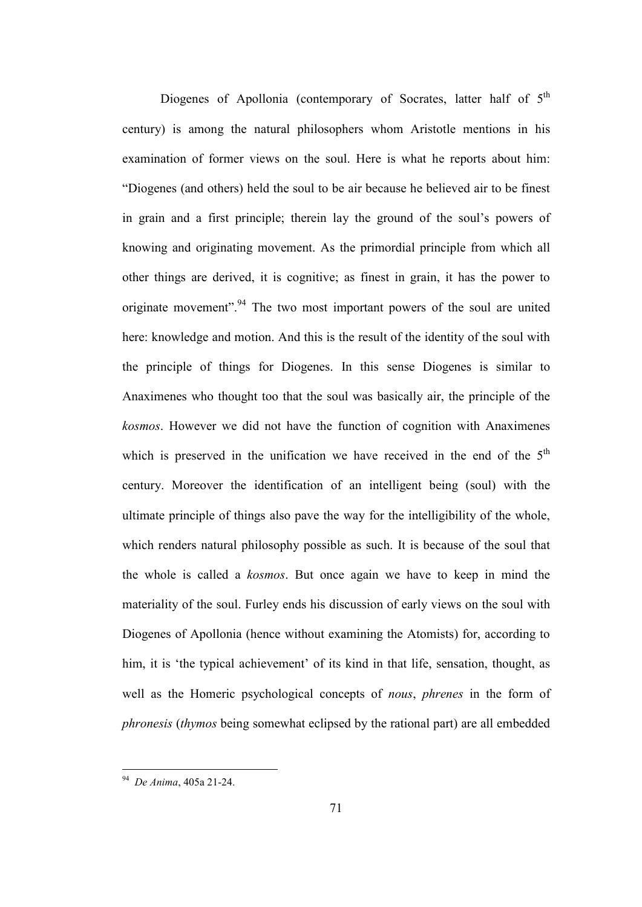Diogenes of Apollonia (contemporary of Socrates, latter half of  $5<sup>th</sup>$ century) is among the natural philosophers whom Aristotle mentions in his examination of former views on the soul. Here is what he reports about him: "Diogenes (and others) held the soul to be air because he believed air to be finest in grain and a first principle; therein lay the ground of the soul's powers of knowing and originating movement. As the primordial principle from which all other things are derived, it is cognitive; as finest in grain, it has the power to originate movement".<sup>94</sup> The two most important powers of the soul are united here: knowledge and motion. And this is the result of the identity of the soul with the principle of things for Diogenes. In this sense Diogenes is similar to Anaximenes who thought too that the soul was basically air, the principle of the *kosmos*. However we did not have the function of cognition with Anaximenes which is preserved in the unification we have received in the end of the  $5<sup>th</sup>$ century. Moreover the identification of an intelligent being (soul) with the ultimate principle of things also pave the way for the intelligibility of the whole, which renders natural philosophy possible as such. It is because of the soul that the whole is called a *kosmos*. But once again we have to keep in mind the materiality of the soul. Furley ends his discussion of early views on the soul with Diogenes of Apollonia (hence without examining the Atomists) for, according to him, it is 'the typical achievement' of its kind in that life, sensation, thought, as well as the Homeric psychological concepts of *nous*, *phrenes* in the form of *phronesis* (*thymos* being somewhat eclipsed by the rational part) are all embedded

 94 *De Anima*, 405a 21-24.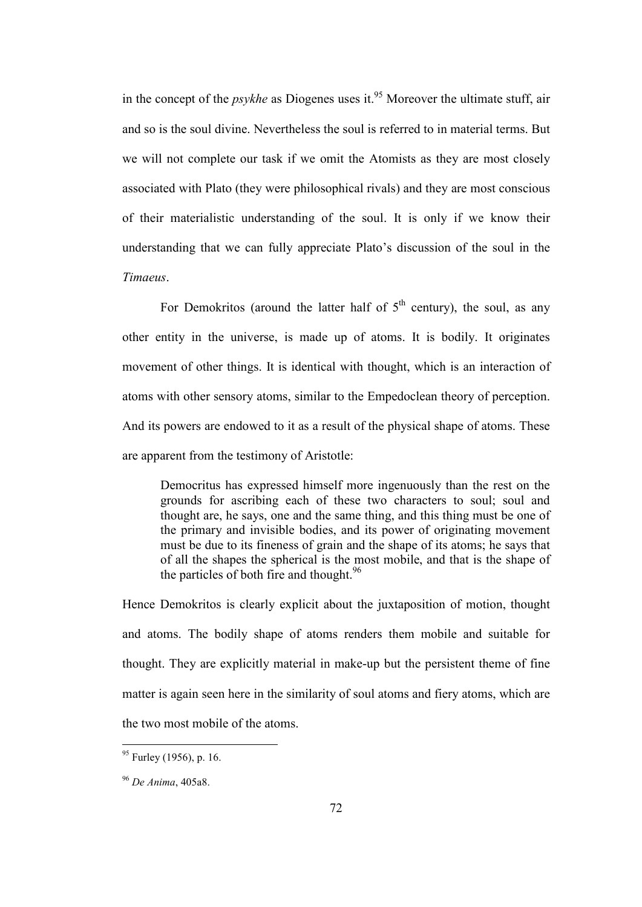in the concept of the *psykhe* as Diogenes uses it.<sup>95</sup> Moreover the ultimate stuff, air and so is the soul divine. Nevertheless the soul is referred to in material terms. But we will not complete our task if we omit the Atomists as they are most closely associated with Plato (they were philosophical rivals) and they are most conscious of their materialistic understanding of the soul. It is only if we know their understanding that we can fully appreciate Plato's discussion of the soul in the *Timaeus*.

For Demokritos (around the latter half of  $5<sup>th</sup>$  century), the soul, as any other entity in the universe, is made up of atoms. It is bodily. It originates movement of other things. It is identical with thought, which is an interaction of atoms with other sensory atoms, similar to the Empedoclean theory of perception. And its powers are endowed to it as a result of the physical shape of atoms. These are apparent from the testimony of Aristotle:

Democritus has expressed himself more ingenuously than the rest on the grounds for ascribing each of these two characters to soul; soul and thought are, he says, one and the same thing, and this thing must be one of the primary and invisible bodies, and its power of originating movement must be due to its fineness of grain and the shape of its atoms; he says that of all the shapes the spherical is the most mobile, and that is the shape of the particles of both fire and thought.  $96$ 

Hence Demokritos is clearly explicit about the juxtaposition of motion, thought and atoms. The bodily shape of atoms renders them mobile and suitable for thought. They are explicitly material in make-up but the persistent theme of fine matter is again seen here in the similarity of soul atoms and fiery atoms, which are the two most mobile of the atoms.

l

 $95$  Furley (1956), p. 16.

<sup>96</sup> *De Anima*, 405a8.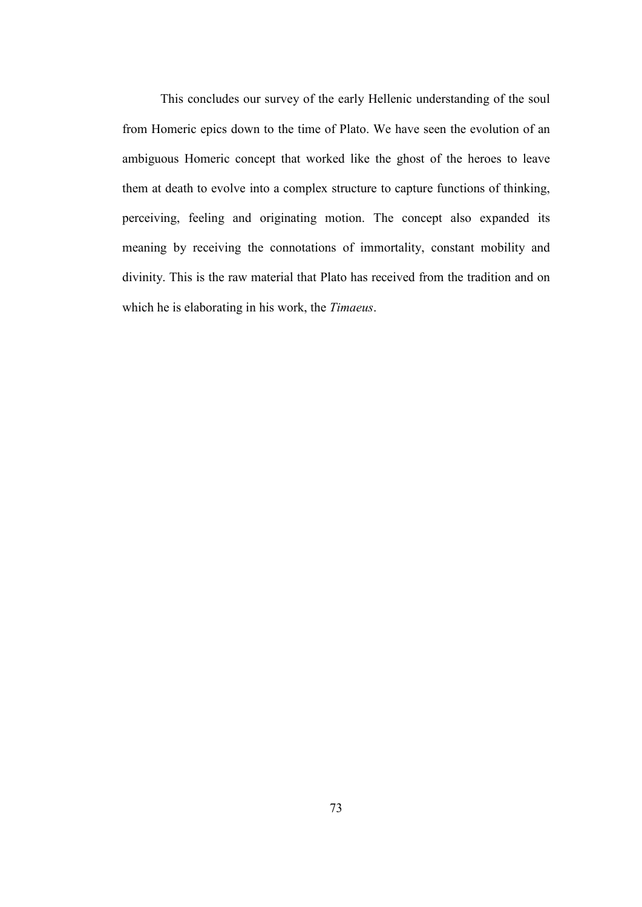This concludes our survey of the early Hellenic understanding of the soul from Homeric epics down to the time of Plato. We have seen the evolution of an ambiguous Homeric concept that worked like the ghost of the heroes to leave them at death to evolve into a complex structure to capture functions of thinking, perceiving, feeling and originating motion. The concept also expanded its meaning by receiving the connotations of immortality, constant mobility and divinity. This is the raw material that Plato has received from the tradition and on which he is elaborating in his work, the *Timaeus*.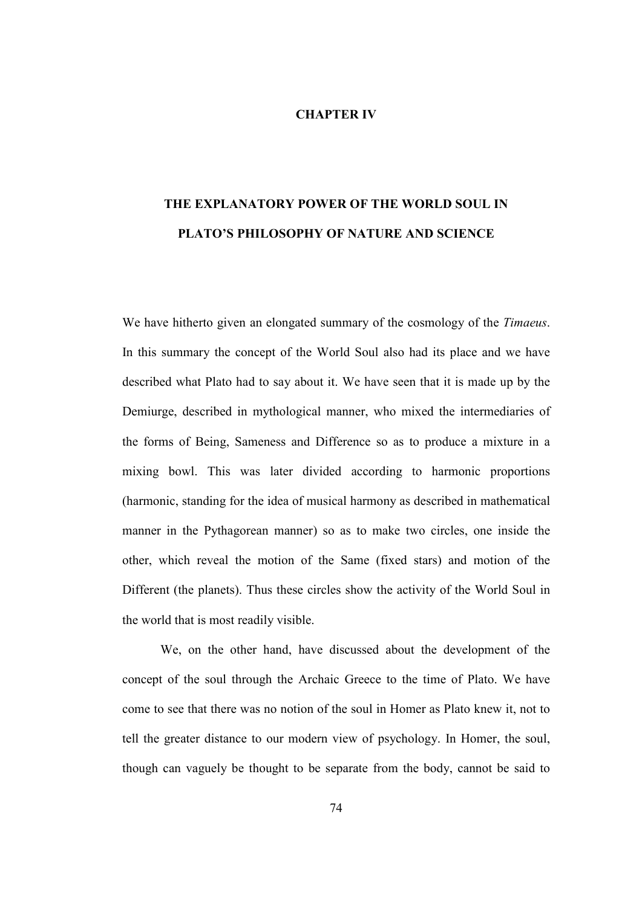## **CHAPTER IV**

# **THE EXPLANATORY POWER OF THE WORLD SOUL IN PLATO'S PHILOSOPHY OF NATURE AND SCIENCE**

We have hitherto given an elongated summary of the cosmology of the *Timaeus*. In this summary the concept of the World Soul also had its place and we have described what Plato had to say about it. We have seen that it is made up by the Demiurge, described in mythological manner, who mixed the intermediaries of the forms of Being, Sameness and Difference so as to produce a mixture in a mixing bowl. This was later divided according to harmonic proportions (harmonic, standing for the idea of musical harmony as described in mathematical manner in the Pythagorean manner) so as to make two circles, one inside the other, which reveal the motion of the Same (fixed stars) and motion of the Different (the planets). Thus these circles show the activity of the World Soul in the world that is most readily visible.

 We, on the other hand, have discussed about the development of the concept of the soul through the Archaic Greece to the time of Plato. We have come to see that there was no notion of the soul in Homer as Plato knew it, not to tell the greater distance to our modern view of psychology. In Homer, the soul, though can vaguely be thought to be separate from the body, cannot be said to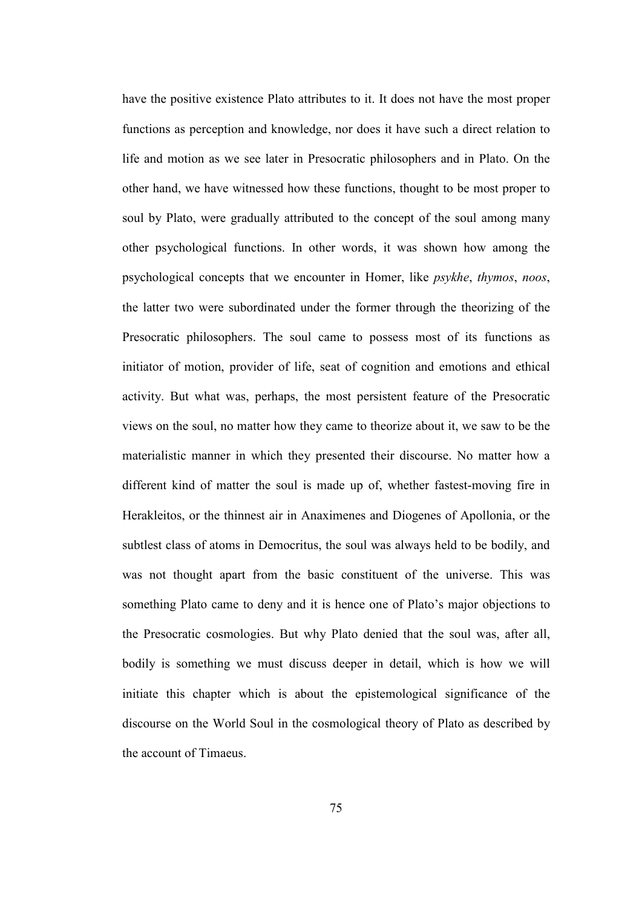have the positive existence Plato attributes to it. It does not have the most proper functions as perception and knowledge, nor does it have such a direct relation to life and motion as we see later in Presocratic philosophers and in Plato. On the other hand, we have witnessed how these functions, thought to be most proper to soul by Plato, were gradually attributed to the concept of the soul among many other psychological functions. In other words, it was shown how among the psychological concepts that we encounter in Homer, like *psykhe*, *thymos*, *noos*, the latter two were subordinated under the former through the theorizing of the Presocratic philosophers. The soul came to possess most of its functions as initiator of motion, provider of life, seat of cognition and emotions and ethical activity. But what was, perhaps, the most persistent feature of the Presocratic views on the soul, no matter how they came to theorize about it, we saw to be the materialistic manner in which they presented their discourse. No matter how a different kind of matter the soul is made up of, whether fastest-moving fire in Herakleitos, or the thinnest air in Anaximenes and Diogenes of Apollonia, or the subtlest class of atoms in Democritus, the soul was always held to be bodily, and was not thought apart from the basic constituent of the universe. This was something Plato came to deny and it is hence one of Plato's major objections to the Presocratic cosmologies. But why Plato denied that the soul was, after all, bodily is something we must discuss deeper in detail, which is how we will initiate this chapter which is about the epistemological significance of the discourse on the World Soul in the cosmological theory of Plato as described by the account of Timaeus.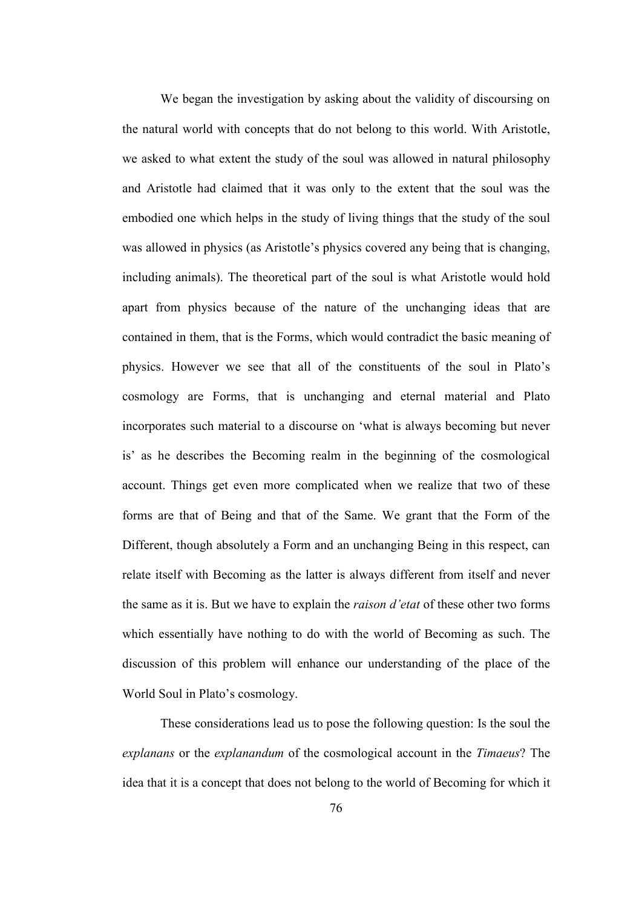We began the investigation by asking about the validity of discoursing on the natural world with concepts that do not belong to this world. With Aristotle, we asked to what extent the study of the soul was allowed in natural philosophy and Aristotle had claimed that it was only to the extent that the soul was the embodied one which helps in the study of living things that the study of the soul was allowed in physics (as Aristotle's physics covered any being that is changing, including animals). The theoretical part of the soul is what Aristotle would hold apart from physics because of the nature of the unchanging ideas that are contained in them, that is the Forms, which would contradict the basic meaning of physics. However we see that all of the constituents of the soul in Plato's cosmology are Forms, that is unchanging and eternal material and Plato incorporates such material to a discourse on 'what is always becoming but never is' as he describes the Becoming realm in the beginning of the cosmological account. Things get even more complicated when we realize that two of these forms are that of Being and that of the Same. We grant that the Form of the Different, though absolutely a Form and an unchanging Being in this respect, can relate itself with Becoming as the latter is always different from itself and never the same as it is. But we have to explain the *raison d'etat* of these other two forms which essentially have nothing to do with the world of Becoming as such. The discussion of this problem will enhance our understanding of the place of the World Soul in Plato's cosmology.

 These considerations lead us to pose the following question: Is the soul the *explanans* or the *explanandum* of the cosmological account in the *Timaeus*? The idea that it is a concept that does not belong to the world of Becoming for which it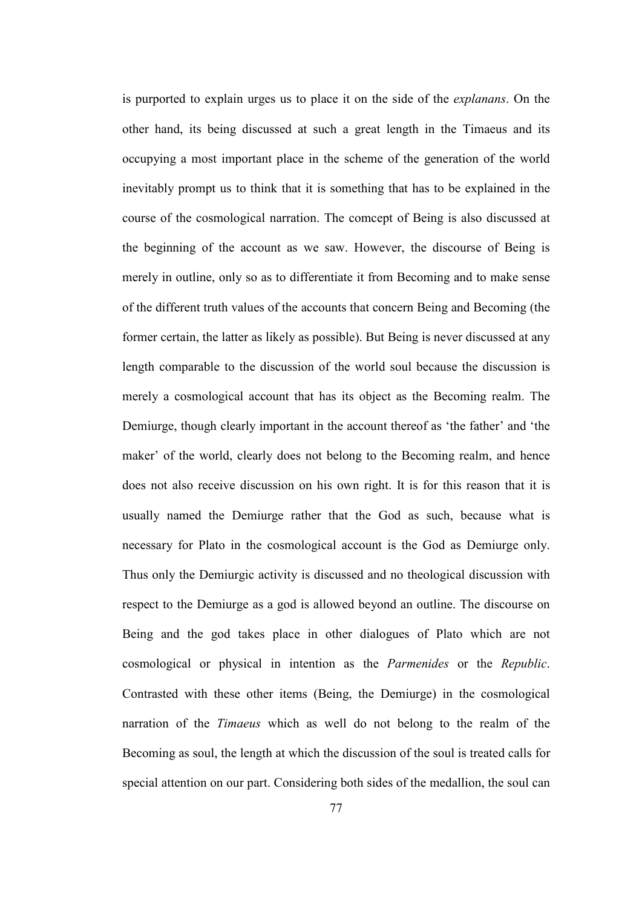is purported to explain urges us to place it on the side of the *explanans*. On the other hand, its being discussed at such a great length in the Timaeus and its occupying a most important place in the scheme of the generation of the world inevitably prompt us to think that it is something that has to be explained in the course of the cosmological narration. The comcept of Being is also discussed at the beginning of the account as we saw. However, the discourse of Being is merely in outline, only so as to differentiate it from Becoming and to make sense of the different truth values of the accounts that concern Being and Becoming (the former certain, the latter as likely as possible). But Being is never discussed at any length comparable to the discussion of the world soul because the discussion is merely a cosmological account that has its object as the Becoming realm. The Demiurge, though clearly important in the account thereof as 'the father' and 'the maker' of the world, clearly does not belong to the Becoming realm, and hence does not also receive discussion on his own right. It is for this reason that it is usually named the Demiurge rather that the God as such, because what is necessary for Plato in the cosmological account is the God as Demiurge only. Thus only the Demiurgic activity is discussed and no theological discussion with respect to the Demiurge as a god is allowed beyond an outline. The discourse on Being and the god takes place in other dialogues of Plato which are not cosmological or physical in intention as the *Parmenides* or the *Republic*. Contrasted with these other items (Being, the Demiurge) in the cosmological narration of the *Timaeus* which as well do not belong to the realm of the Becoming as soul, the length at which the discussion of the soul is treated calls for special attention on our part. Considering both sides of the medallion, the soul can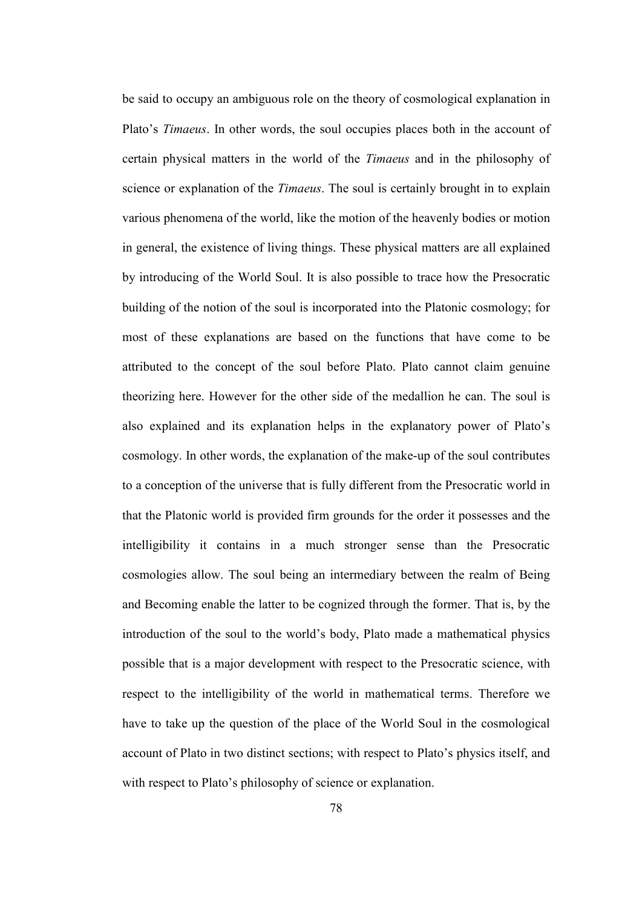be said to occupy an ambiguous role on the theory of cosmological explanation in Plato's *Timaeus*. In other words, the soul occupies places both in the account of certain physical matters in the world of the *Timaeus* and in the philosophy of science or explanation of the *Timaeus*. The soul is certainly brought in to explain various phenomena of the world, like the motion of the heavenly bodies or motion in general, the existence of living things. These physical matters are all explained by introducing of the World Soul. It is also possible to trace how the Presocratic building of the notion of the soul is incorporated into the Platonic cosmology; for most of these explanations are based on the functions that have come to be attributed to the concept of the soul before Plato. Plato cannot claim genuine theorizing here. However for the other side of the medallion he can. The soul is also explained and its explanation helps in the explanatory power of Plato's cosmology. In other words, the explanation of the make-up of the soul contributes to a conception of the universe that is fully different from the Presocratic world in that the Platonic world is provided firm grounds for the order it possesses and the intelligibility it contains in a much stronger sense than the Presocratic cosmologies allow. The soul being an intermediary between the realm of Being and Becoming enable the latter to be cognized through the former. That is, by the introduction of the soul to the world's body, Plato made a mathematical physics possible that is a major development with respect to the Presocratic science, with respect to the intelligibility of the world in mathematical terms. Therefore we have to take up the question of the place of the World Soul in the cosmological account of Plato in two distinct sections; with respect to Plato's physics itself, and with respect to Plato's philosophy of science or explanation.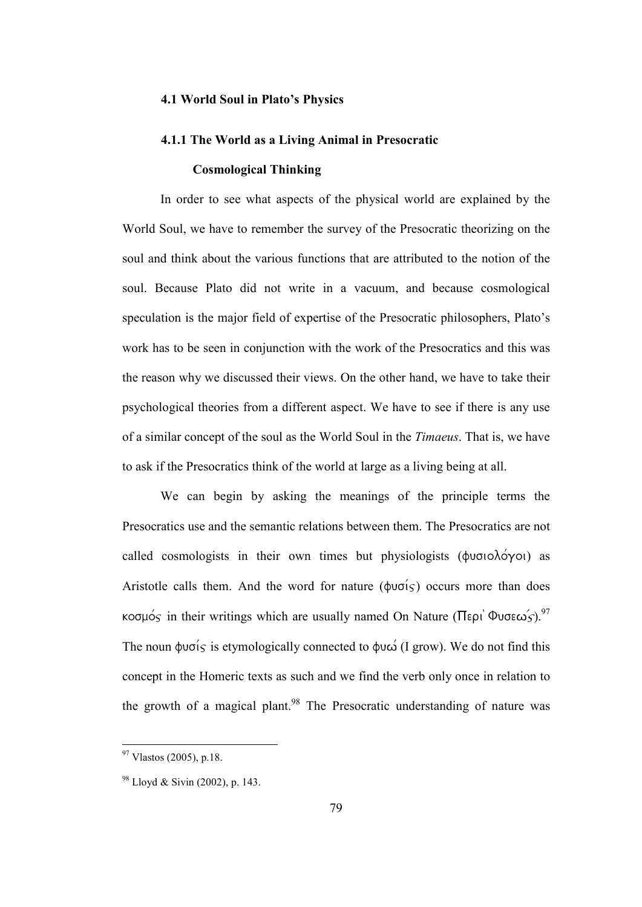### **4.1 World Soul in Plato's Physics**

#### **4.1.1 The World as a Living Animal in Presocratic**

#### **Cosmological Thinking**

In order to see what aspects of the physical world are explained by the World Soul, we have to remember the survey of the Presocratic theorizing on the soul and think about the various functions that are attributed to the notion of the soul. Because Plato did not write in a vacuum, and because cosmological speculation is the major field of expertise of the Presocratic philosophers, Plato's work has to be seen in conjunction with the work of the Presocratics and this was the reason why we discussed their views. On the other hand, we have to take their psychological theories from a different aspect. We have to see if there is any use of a similar concept of the soul as the World Soul in the *Timaeus*. That is, we have to ask if the Presocratics think of the world at large as a living being at all.

We can begin by asking the meanings of the principle terms the Presocratics use and the semantic relations between them. The Presocratics are not called cosmologists in their own times but physiologists (φυσιολόγοι) as Aristotle calls them. And the word for nature  $(\phi \circ \sigma)$  occurs more than does *kooµof* in their writings which are usually named On Nature ( $\pi$ <sub>*Fpi*</sub><sup> $\theta$ </sup>*Puo*εω $\frac{1}{2}$ ).<sup>97</sup> The noun *fusi/j* is etymologically connected to *fuw/* (I grow). We do not find this concept in the Homeric texts as such and we find the verb only once in relation to the growth of a magical plant.<sup>98</sup> The Presocratic understanding of nature was

l

 $97$  Vlastos (2005), p.18.

<sup>98</sup> Lloyd & Sivin (2002), p. 143.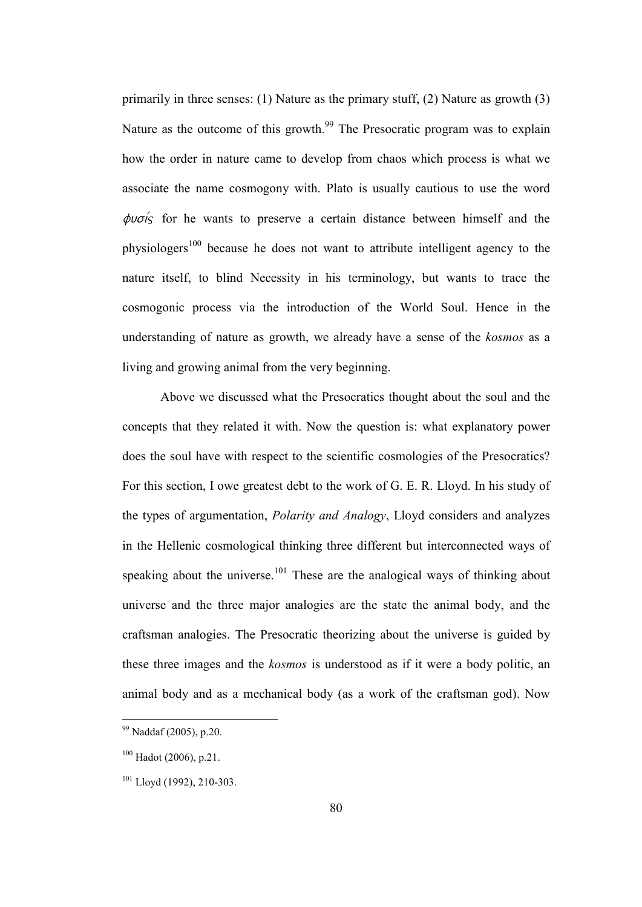primarily in three senses: (1) Nature as the primary stuff, (2) Nature as growth (3) Nature as the outcome of this growth.<sup>99</sup> The Presocratic program was to explain how the order in nature came to develop from chaos which process is what we associate the name cosmogony with. Plato is usually cautious to use the word  $\phi\nu\sigma\acute{\iota}$  for he wants to preserve a certain distance between himself and the physiologers<sup>100</sup> because he does not want to attribute intelligent agency to the nature itself, to blind Necessity in his terminology, but wants to trace the cosmogonic process via the introduction of the World Soul. Hence in the understanding of nature as growth, we already have a sense of the *kosmos* as a living and growing animal from the very beginning.

Above we discussed what the Presocratics thought about the soul and the concepts that they related it with. Now the question is: what explanatory power does the soul have with respect to the scientific cosmologies of the Presocratics? For this section, I owe greatest debt to the work of G. E. R. Lloyd. In his study of the types of argumentation, *Polarity and Analogy*, Lloyd considers and analyzes in the Hellenic cosmological thinking three different but interconnected ways of speaking about the universe.<sup>101</sup> These are the analogical ways of thinking about universe and the three major analogies are the state the animal body, and the craftsman analogies. The Presocratic theorizing about the universe is guided by these three images and the *kosmos* is understood as if it were a body politic, an animal body and as a mechanical body (as a work of the craftsman god). Now

<sup>&</sup>lt;sup>99</sup> Naddaf (2005), p.20.

 $100$  Hadot (2006), p.21.

<sup>101</sup> Lloyd (1992), 210-303.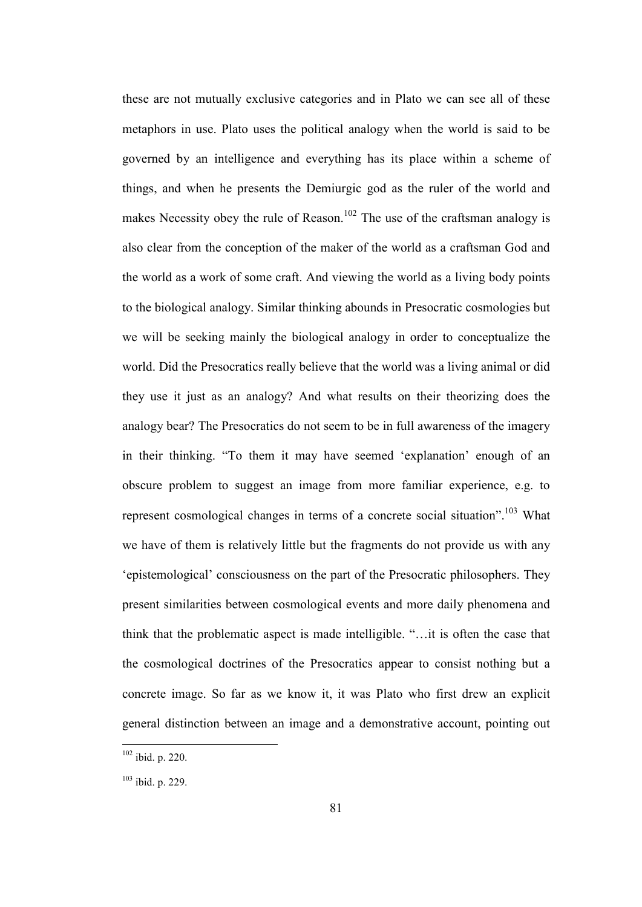these are not mutually exclusive categories and in Plato we can see all of these metaphors in use. Plato uses the political analogy when the world is said to be governed by an intelligence and everything has its place within a scheme of things, and when he presents the Demiurgic god as the ruler of the world and makes Necessity obey the rule of Reason.<sup>102</sup> The use of the craftsman analogy is also clear from the conception of the maker of the world as a craftsman God and the world as a work of some craft. And viewing the world as a living body points to the biological analogy. Similar thinking abounds in Presocratic cosmologies but we will be seeking mainly the biological analogy in order to conceptualize the world. Did the Presocratics really believe that the world was a living animal or did they use it just as an analogy? And what results on their theorizing does the analogy bear? The Presocratics do not seem to be in full awareness of the imagery in their thinking. "To them it may have seemed 'explanation' enough of an obscure problem to suggest an image from more familiar experience, e.g. to represent cosmological changes in terms of a concrete social situation".<sup>103</sup> What we have of them is relatively little but the fragments do not provide us with any 'epistemological' consciousness on the part of the Presocratic philosophers. They present similarities between cosmological events and more daily phenomena and think that the problematic aspect is made intelligible. "…it is often the case that the cosmological doctrines of the Presocratics appear to consist nothing but a concrete image. So far as we know it, it was Plato who first drew an explicit general distinction between an image and a demonstrative account, pointing out

l

 $102$  ibid. p. 220.

<sup>103</sup> ibid. p. 229.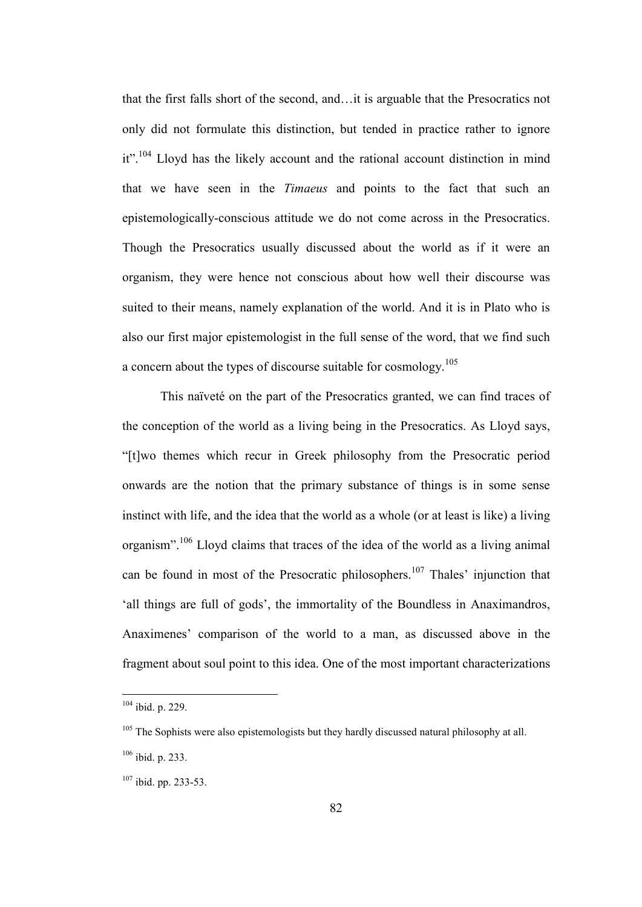that the first falls short of the second, and…it is arguable that the Presocratics not only did not formulate this distinction, but tended in practice rather to ignore it".<sup>104</sup> Lloyd has the likely account and the rational account distinction in mind that we have seen in the *Timaeus* and points to the fact that such an epistemologically-conscious attitude we do not come across in the Presocratics. Though the Presocratics usually discussed about the world as if it were an organism, they were hence not conscious about how well their discourse was suited to their means, namely explanation of the world. And it is in Plato who is also our first major epistemologist in the full sense of the word, that we find such a concern about the types of discourse suitable for cosmology.<sup>105</sup>

 This naïveté on the part of the Presocratics granted, we can find traces of the conception of the world as a living being in the Presocratics. As Lloyd says, "[t]wo themes which recur in Greek philosophy from the Presocratic period onwards are the notion that the primary substance of things is in some sense instinct with life, and the idea that the world as a whole (or at least is like) a living organism".<sup>106</sup> Lloyd claims that traces of the idea of the world as a living animal can be found in most of the Presocratic philosophers.<sup>107</sup> Thales' injunction that 'all things are full of gods', the immortality of the Boundless in Anaximandros, Anaximenes' comparison of the world to a man, as discussed above in the fragment about soul point to this idea. One of the most important characterizations

<sup>104</sup> ibid. p. 229.

 $105$  The Sophists were also epistemologists but they hardly discussed natural philosophy at all.

<sup>106</sup> ibid. p. 233.

<sup>107</sup> ibid. pp. 233-53.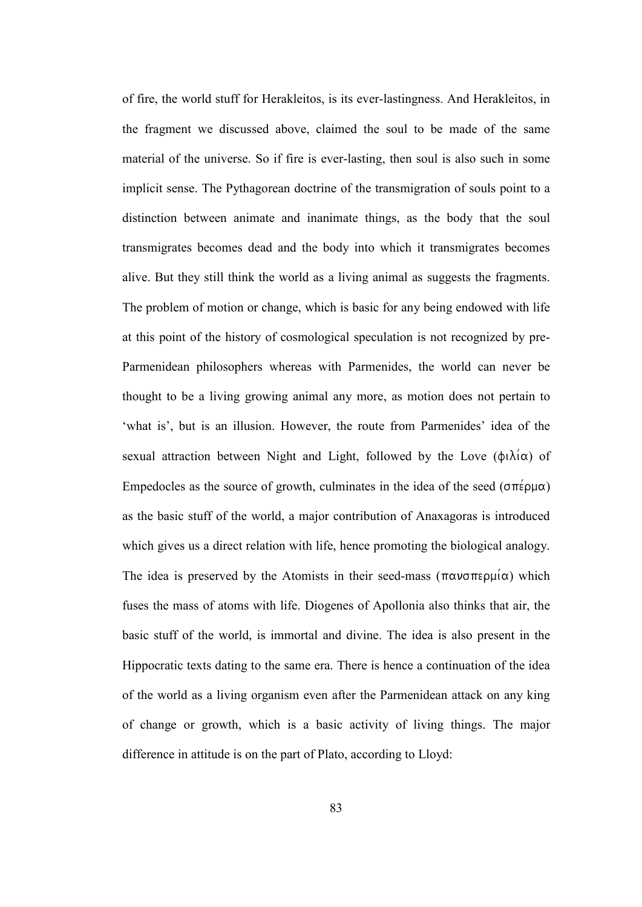of fire, the world stuff for Herakleitos, is its ever-lastingness. And Herakleitos, in the fragment we discussed above, claimed the soul to be made of the same material of the universe. So if fire is ever-lasting, then soul is also such in some implicit sense. The Pythagorean doctrine of the transmigration of souls point to a distinction between animate and inanimate things, as the body that the soul transmigrates becomes dead and the body into which it transmigrates becomes alive. But they still think the world as a living animal as suggests the fragments. The problem of motion or change, which is basic for any being endowed with life at this point of the history of cosmological speculation is not recognized by pre-Parmenidean philosophers whereas with Parmenides, the world can never be thought to be a living growing animal any more, as motion does not pertain to 'what is', but is an illusion. However, the route from Parmenides' idea of the sexual attraction between Night and Light, followed by the Love  $(\phi \Lambda)(\alpha)$  of Empedocles as the source of growth, culminates in the idea of the seed ( $\sigma \pi \acute{\epsilon} \rho \mu \alpha$ ) as the basic stuff of the world, a major contribution of Anaxagoras is introduced which gives us a direct relation with life, hence promoting the biological analogy. The idea is preserved by the Atomists in their seed-mass ( $\pi \alpha \nu \sigma \pi \epsilon \rho \mu(\alpha)$ ) which fuses the mass of atoms with life. Diogenes of Apollonia also thinks that air, the basic stuff of the world, is immortal and divine. The idea is also present in the Hippocratic texts dating to the same era. There is hence a continuation of the idea of the world as a living organism even after the Parmenidean attack on any king of change or growth, which is a basic activity of living things. The major difference in attitude is on the part of Plato, according to Lloyd: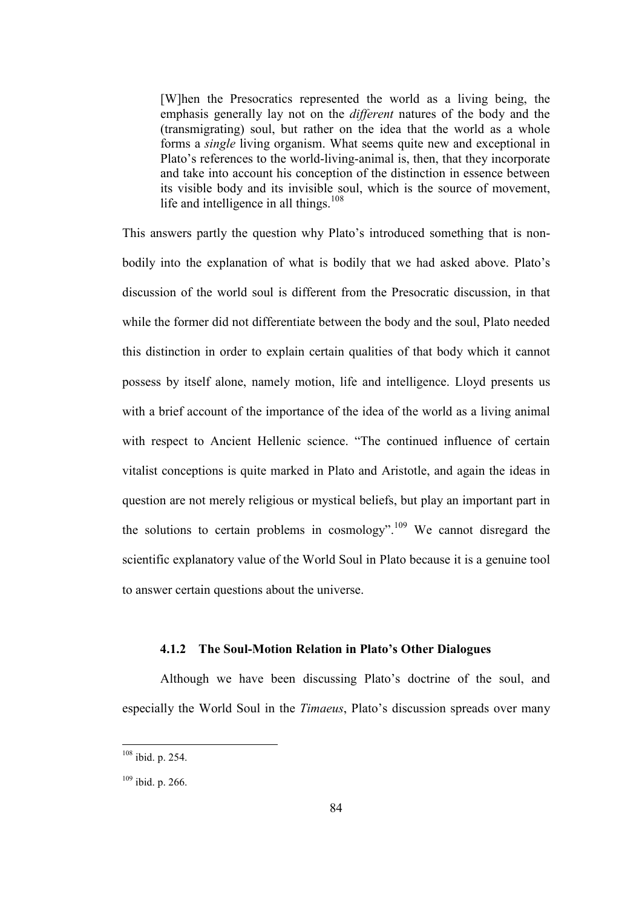[W]hen the Presocratics represented the world as a living being, the emphasis generally lay not on the *different* natures of the body and the (transmigrating) soul, but rather on the idea that the world as a whole forms a *single* living organism. What seems quite new and exceptional in Plato's references to the world-living-animal is, then, that they incorporate and take into account his conception of the distinction in essence between its visible body and its invisible soul, which is the source of movement, life and intelligence in all things.<sup>108</sup>

This answers partly the question why Plato's introduced something that is nonbodily into the explanation of what is bodily that we had asked above. Plato's discussion of the world soul is different from the Presocratic discussion, in that while the former did not differentiate between the body and the soul, Plato needed this distinction in order to explain certain qualities of that body which it cannot possess by itself alone, namely motion, life and intelligence. Lloyd presents us with a brief account of the importance of the idea of the world as a living animal with respect to Ancient Hellenic science. "The continued influence of certain vitalist conceptions is quite marked in Plato and Aristotle, and again the ideas in question are not merely religious or mystical beliefs, but play an important part in the solutions to certain problems in cosmology".<sup>109</sup> We cannot disregard the scientific explanatory value of the World Soul in Plato because it is a genuine tool to answer certain questions about the universe.

#### **4.1.2 The Soul-Motion Relation in Plato's Other Dialogues**

Although we have been discussing Plato's doctrine of the soul, and especially the World Soul in the *Timaeus*, Plato's discussion spreads over many

l

 $108$  ibid. p. 254.

<sup>109</sup> ibid. p. 266.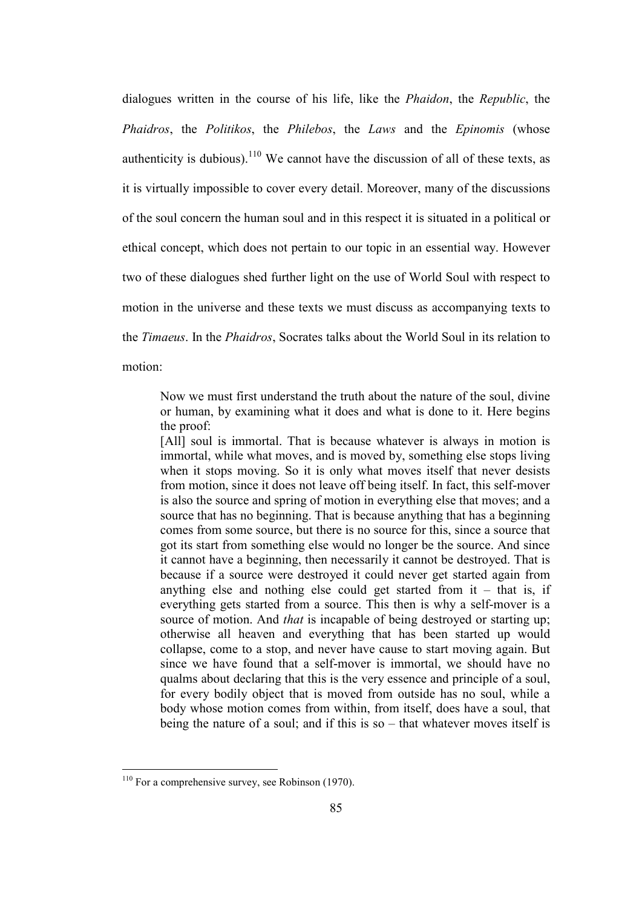dialogues written in the course of his life, like the *Phaidon*, the *Republic*, the *Phaidros*, the *Politikos*, the *Philebos*, the *Laws* and the *Epinomis* (whose authenticity is dubious).<sup>110</sup> We cannot have the discussion of all of these texts, as it is virtually impossible to cover every detail. Moreover, many of the discussions of the soul concern the human soul and in this respect it is situated in a political or ethical concept, which does not pertain to our topic in an essential way. However two of these dialogues shed further light on the use of World Soul with respect to motion in the universe and these texts we must discuss as accompanying texts to the *Timaeus*. In the *Phaidros*, Socrates talks about the World Soul in its relation to motion:

Now we must first understand the truth about the nature of the soul, divine or human, by examining what it does and what is done to it. Here begins the proof:

[All] soul is immortal. That is because whatever is always in motion is immortal, while what moves, and is moved by, something else stops living when it stops moving. So it is only what moves itself that never desists from motion, since it does not leave off being itself. In fact, this self-mover is also the source and spring of motion in everything else that moves; and a source that has no beginning. That is because anything that has a beginning comes from some source, but there is no source for this, since a source that got its start from something else would no longer be the source. And since it cannot have a beginning, then necessarily it cannot be destroyed. That is because if a source were destroyed it could never get started again from anything else and nothing else could get started from  $it - that$  is, if everything gets started from a source. This then is why a self-mover is a source of motion. And *that* is incapable of being destroyed or starting up; otherwise all heaven and everything that has been started up would collapse, come to a stop, and never have cause to start moving again. But since we have found that a self-mover is immortal, we should have no qualms about declaring that this is the very essence and principle of a soul, for every bodily object that is moved from outside has no soul, while a body whose motion comes from within, from itself, does have a soul, that being the nature of a soul; and if this is so – that whatever moves itself is

 $110$  For a comprehensive survey, see Robinson (1970).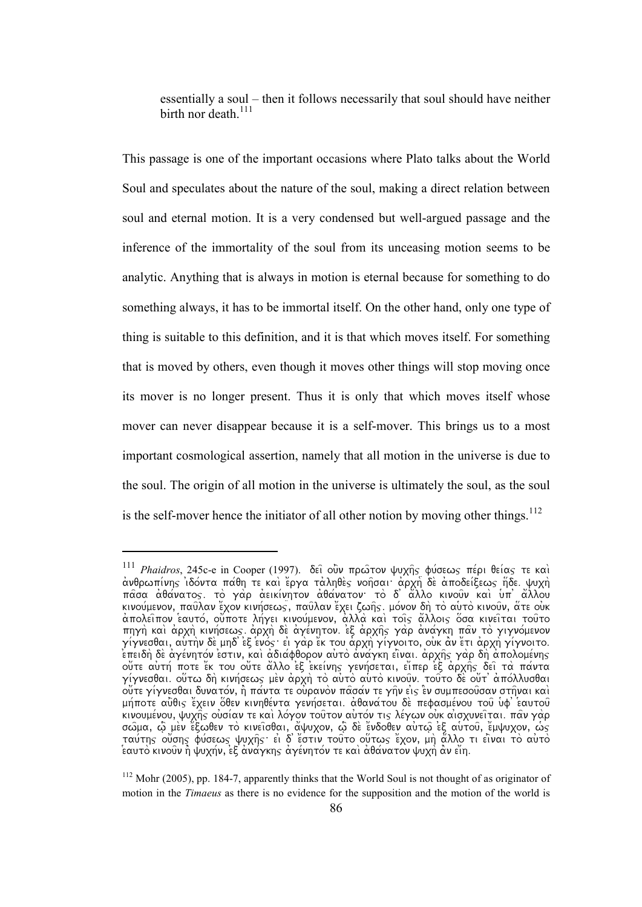essentially a soul – then it follows necessarily that soul should have neither birth nor death  $^{111}$ 

This passage is one of the important occasions where Plato talks about the World Soul and speculates about the nature of the soul, making a direct relation between soul and eternal motion. It is a very condensed but well-argued passage and the inference of the immortality of the soul from its unceasing motion seems to be analytic. Anything that is always in motion is eternal because for something to do something always, it has to be immortal itself. On the other hand, only one type of thing is suitable to this definition, and it is that which moves itself. For something that is moved by others, even though it moves other things will stop moving once its mover is no longer present. Thus it is only that which moves itself whose mover can never disappear because it is a self-mover. This brings us to a most important cosmological assertion, namely that all motion in the universe is due to the soul. The origin of all motion in the universe is ultimately the soul, as the soul is the self-mover hence the initiator of all other notion by moving other things.<sup>112</sup>

<sup>111</sup> *Phaidros*, 245c-e in Cooper (1997). δεί ούν πρώτον ψυχής φύσεως πέρι θείας τε και  $\alpha$ νθρωπίνης *iδόντα πάθη τε κα*ι έργα ταληθες νοησαι· αρχή δε αποδείξεως ήδε. ψυχη *π*ασα αθάνατος. το γαρ αεικίνητον αθάνατον το δ' άλλο κινούν και υπ' άλλου *kinou/menon, pau=lan e)/xon kinh/sewj<sup>+</sup>, pau=lan e)/xei zwh=j. mo/non dh\ to\ au(to\ kinou=n, a(/te ou)k a)polei=pon e(auto/, ou)/pote lh/gei kinou/menon, a)lla\ kai\ toi=j a)/lloij o(/sa kinei=tai tou=to phgh\ kai\ a)rxh\ kinh/sewj. a)rxh\ de\ a)ge/nhton. e)c a)rxh=j ga\r a)na/gkh pa=n to\ gigno/menon*   $\gamma$ ίγνεσθαι, αυτήν δε<sup>ι</sup>μηδ<sup>7</sup>εξ ενός: ει γαρ εκ του άρχη γίγνοιτο, ουκ αν ετι αρχή γίγνοιτο. *e)peidh\ de\ a)ge/nhto/n e)stin, kai\ a)dia/fqoron au)to\ a)na/gkh ei)=nai. a)rxh=j ga\r dh\ a)polome/nhj ou)/te au)th/ pote e)/k tou ou)/te a)/llo e)c e)kei/nhj genh/setai, ei)/per e)c a)rxh=j dei= ta\ pa/nta*   $\gamma$ ίγνεσθαι. ούτω δη κινήσεως μεν αρχη το αυτό αυτό κινουν. τουτο δε ούτ' απόλλυσθαι *ou)/te gi/gnesqai dunato/n, h)\ pa/nta te ou)rano\n pa=sa/n te gh=n ei)j e(\n sumpesou=san sth=nai kai\*  μήποτε αύθις έχειν όθεν κινηθέντα γενήσεται. αθανάτου δε πεφασμένου του υφ' εαυτου *kivouμένου, ψυχης ουσίαν τε και λόγον το*υτον αυτόν τις λέγων ουκ αισχυνειται. παν γαρ *sw=ma, w(=| me\n e)/cwqen to\ kinei=sqai, a)/yuxon, w(=| de\ e)/ndoqen au)tw=| e)c au(tou=, e)/myuxon, w(j tau/thj ou)/shj fu/sewj yuxh=j: ei) d' e)/stin tou=to ou(/twj e)/xon, mh\ a)/llo ti ei)=nai to\ au)to\*   $\int$ εαυτο κινοῦν ή ψυχήν, εξ αναγκης αγένητον τε και αθανατον ψυχή αν είη.

<sup>&</sup>lt;sup>112</sup> Mohr (2005), pp. 184-7, apparently thinks that the World Soul is not thought of as originator of motion in the *Timaeus* as there is no evidence for the supposition and the motion of the world is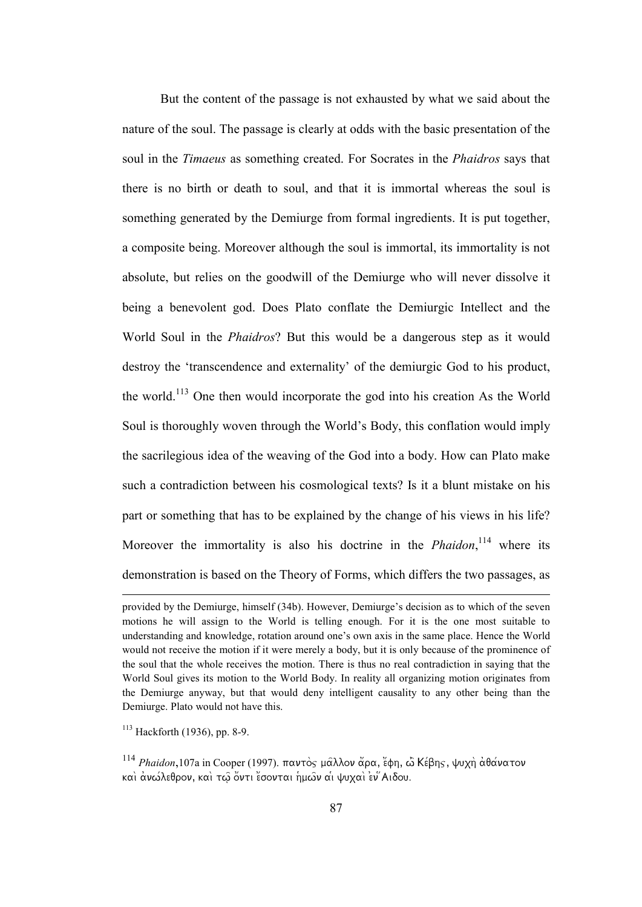But the content of the passage is not exhausted by what we said about the nature of the soul. The passage is clearly at odds with the basic presentation of the soul in the *Timaeus* as something created. For Socrates in the *Phaidros* says that there is no birth or death to soul, and that it is immortal whereas the soul is something generated by the Demiurge from formal ingredients. It is put together, a composite being. Moreover although the soul is immortal, its immortality is not absolute, but relies on the goodwill of the Demiurge who will never dissolve it being a benevolent god. Does Plato conflate the Demiurgic Intellect and the World Soul in the *Phaidros*? But this would be a dangerous step as it would destroy the 'transcendence and externality' of the demiurgic God to his product, the world.<sup>113</sup> One then would incorporate the god into his creation As the World Soul is thoroughly woven through the World's Body, this conflation would imply the sacrilegious idea of the weaving of the God into a body. How can Plato make such a contradiction between his cosmological texts? Is it a blunt mistake on his part or something that has to be explained by the change of his views in his life? Moreover the immortality is also his doctrine in the *Phaidon*<sup>114</sup>, where its demonstration is based on the Theory of Forms, which differs the two passages, as

provided by the Demiurge, himself (34b). However, Demiurge's decision as to which of the seven motions he will assign to the World is telling enough. For it is the one most suitable to understanding and knowledge, rotation around one's own axis in the same place. Hence the World would not receive the motion if it were merely a body, but it is only because of the prominence of the soul that the whole receives the motion. There is thus no real contradiction in saying that the World Soul gives its motion to the World Body. In reality all organizing motion originates from the Demiurge anyway, but that would deny intelligent causality to any other being than the Demiurge. Plato would not have this.

<sup>113</sup> Hackforth (1936), pp. 8-9.

<sup>&</sup>lt;sup>114</sup> *Phaidon*,107a in Cooper (1997). παντὸς μαλλον ἄρα, ἔφη, ώ Κέβης, ψυχὴ ἀθάνατον *kai\ a)nw/leqron, kai\ tw=| o)/nti e)/sontai h(mw=n ai( yuxai\ e)n (/Aidou.*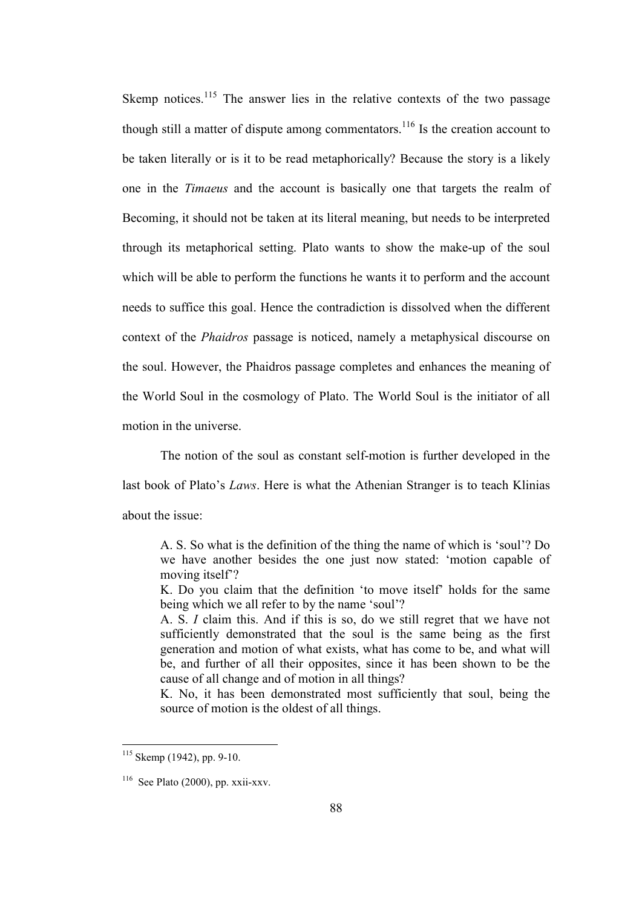Skemp notices.<sup>115</sup> The answer lies in the relative contexts of the two passage though still a matter of dispute among commentators.<sup>116</sup> Is the creation account to be taken literally or is it to be read metaphorically? Because the story is a likely one in the *Timaeus* and the account is basically one that targets the realm of Becoming, it should not be taken at its literal meaning, but needs to be interpreted through its metaphorical setting. Plato wants to show the make-up of the soul which will be able to perform the functions he wants it to perform and the account needs to suffice this goal. Hence the contradiction is dissolved when the different context of the *Phaidros* passage is noticed, namely a metaphysical discourse on the soul. However, the Phaidros passage completes and enhances the meaning of the World Soul in the cosmology of Plato. The World Soul is the initiator of all motion in the universe.

 The notion of the soul as constant self-motion is further developed in the last book of Plato's *Laws*. Here is what the Athenian Stranger is to teach Klinias about the issue:

A. S. So what is the definition of the thing the name of which is 'soul'? Do we have another besides the one just now stated: 'motion capable of moving itself'?

K. Do you claim that the definition 'to move itself' holds for the same being which we all refer to by the name 'soul'?

A. S. *I* claim this. And if this is so, do we still regret that we have not sufficiently demonstrated that the soul is the same being as the first generation and motion of what exists, what has come to be, and what will be, and further of all their opposites, since it has been shown to be the cause of all change and of motion in all things?

K. No, it has been demonstrated most sufficiently that soul, being the source of motion is the oldest of all things.

l

 $115$  Skemp (1942), pp. 9-10.

<sup>116</sup> See Plato (2000), pp. xxii-xxv.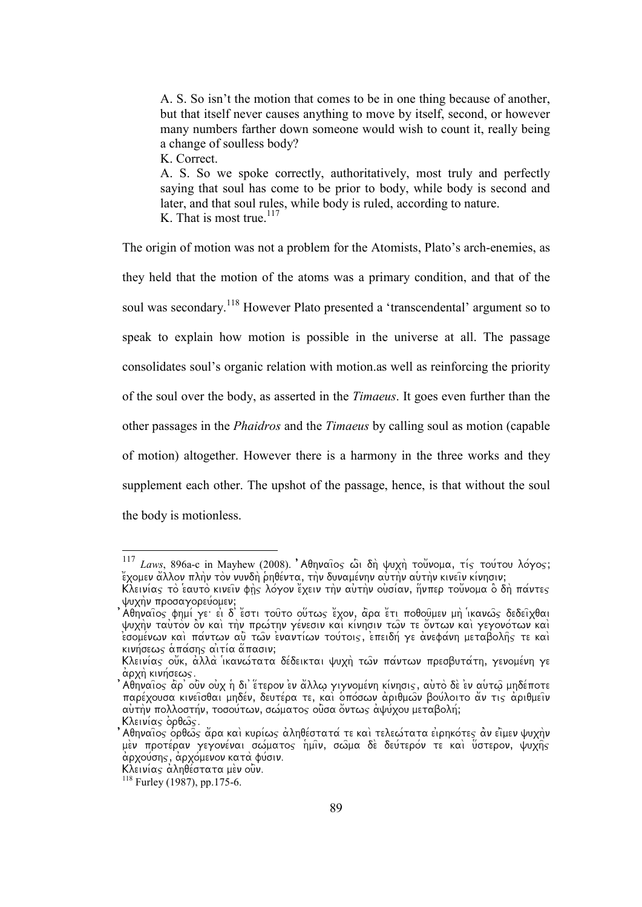A. S. So isn't the motion that comes to be in one thing because of another, but that itself never causes anything to move by itself, second, or however many numbers farther down someone would wish to count it, really being a change of soulless body?

K. Correct.

A. S. So we spoke correctly, authoritatively, most truly and perfectly saying that soul has come to be prior to body, while body is second and later, and that soul rules, while body is ruled, according to nature. K. That is most true.<sup>117</sup>

The origin of motion was not a problem for the Atomists, Plato's arch-enemies, as

they held that the motion of the atoms was a primary condition, and that of the soul was secondary.<sup>118</sup> However Plato presented a 'transcendental' argument so to speak to explain how motion is possible in the universe at all. The passage consolidates soul's organic relation with motion.as well as reinforcing the priority of the soul over the body, as asserted in the *Timaeus*. It goes even further than the other passages in the *Phaidros* and the *Timaeus* by calling soul as motion (capable of motion) altogether. However there is a harmony in the three works and they supplement each other. The upshot of the passage, hence, is that without the soul the body is motionless.

<sup>117</sup> *Laws*, 896a-c in Mayhew (2008). 'Αθηναΐος ωτ δή ψυχή τοὔνομα, τίς τούτου λόγος;  $\widetilde{\epsilon}$ χομεν ἄλλον πλὴν τὸν νυνδὴ ῥηθέντα, τὴν δυναμένην αὐτὴν αὑτὴν κινεῖν κίνησιν;

*Kλεινίας τὸ* εαυτὸ κινεῖν φὴς λόγον ἔχειν τὴν αὐτὴν οὐσίαν, ἥνπερ τοὔνομα ὃ δὴ πάντες *yuxh\n prosagoreu/omen;* 

*<sup>)</sup>Aqhnai=oj ) fhmi/ ge: ei) d' e)/sti tou=to ou(/twj e)/xon, a)=ra e)/ti poqou=men mh\ i(kanw=j dedei=xqai yuxh\n tau)to\n o)\n kai\ th\n prw/thn ge/nesin kai\ ki/nhsin tw=n te o)/ntwn kai\ gegono/twn kai\ e)some/nwn kai\ pa/ntwn au)= tw=n e)nanti/wn tou/toij, e)peidh/ ge a)nefa/nh metabolh=j te kai\ kinh/sewj a(pa/shj ai)ti/a a(/pasin;* 

*Kλεινίας ούκ, άλλα ικανώτατα δέδεικται ψυχή τών πάντων πρεσβυτάτη, γενομένη γε*  $\acute{\alpha}$ ρχὴ κινήσεως.  $\,$ 

*<sup>)</sup>Aqhnai=oj )a)=r' ou)=n ou)x h( di' e(/teron e)n a)/llw| gignome/nh ki/nhsij, au)to\ de\ e)n au(tw=| mhde/pote παρέχουσα κινεισθαι μηδέν, δευτέρα τε, και οπόσων αριθμών βούλοιτο αν τις αριθμειν au)th\n pollosth/n, tosou/twn, sw/matoj ou)=sa o)/ntwj a)yu/xou metabolh/; Kλεινίας ορθώς.* 

*Aθηναΐος ορθώς άρα και κυρίως αληθέστατά τε και τελεώτατα ειρηκότες αν είμεν ψυχην* μεν προτέραν γεγονέναι σωματος ημιν, σωμα δε δεύτερον τε και ύστερον, ψυχης  $\alpha$ ρχούσης, αρχόμενον κατα φύσιν.

*Kλεινίας άληθέστατα μεν ούν.* 

 $118$  Furley (1987), pp.175-6.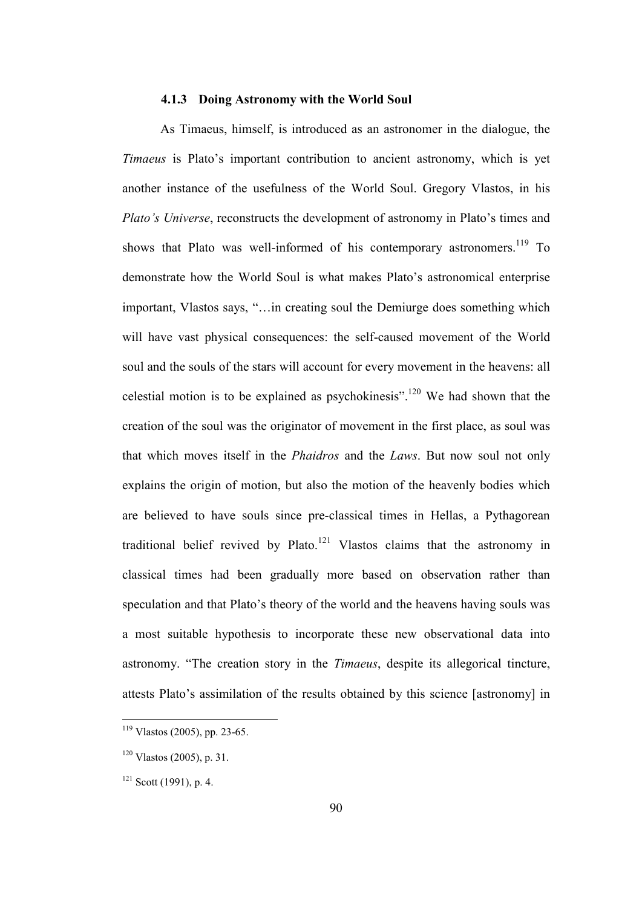#### **4.1.3 Doing Astronomy with the World Soul**

As Timaeus, himself, is introduced as an astronomer in the dialogue, the *Timaeus* is Plato's important contribution to ancient astronomy, which is yet another instance of the usefulness of the World Soul. Gregory Vlastos, in his *Plato's Universe*, reconstructs the development of astronomy in Plato's times and shows that Plato was well-informed of his contemporary astronomers.<sup>119</sup> To demonstrate how the World Soul is what makes Plato's astronomical enterprise important, Vlastos says, "…in creating soul the Demiurge does something which will have vast physical consequences: the self-caused movement of the World soul and the souls of the stars will account for every movement in the heavens: all celestial motion is to be explained as psychokinesis".<sup>120</sup> We had shown that the creation of the soul was the originator of movement in the first place, as soul was that which moves itself in the *Phaidros* and the *Laws*. But now soul not only explains the origin of motion, but also the motion of the heavenly bodies which are believed to have souls since pre-classical times in Hellas, a Pythagorean traditional belief revived by Plato.<sup>121</sup> Vlastos claims that the astronomy in classical times had been gradually more based on observation rather than speculation and that Plato's theory of the world and the heavens having souls was a most suitable hypothesis to incorporate these new observational data into astronomy. "The creation story in the *Timaeus*, despite its allegorical tincture, attests Plato's assimilation of the results obtained by this science [astronomy] in

 $119$  Vlastos (2005), pp. 23-65.

 $120$  Vlastos (2005), p. 31.

 $121$  Scott (1991), p. 4.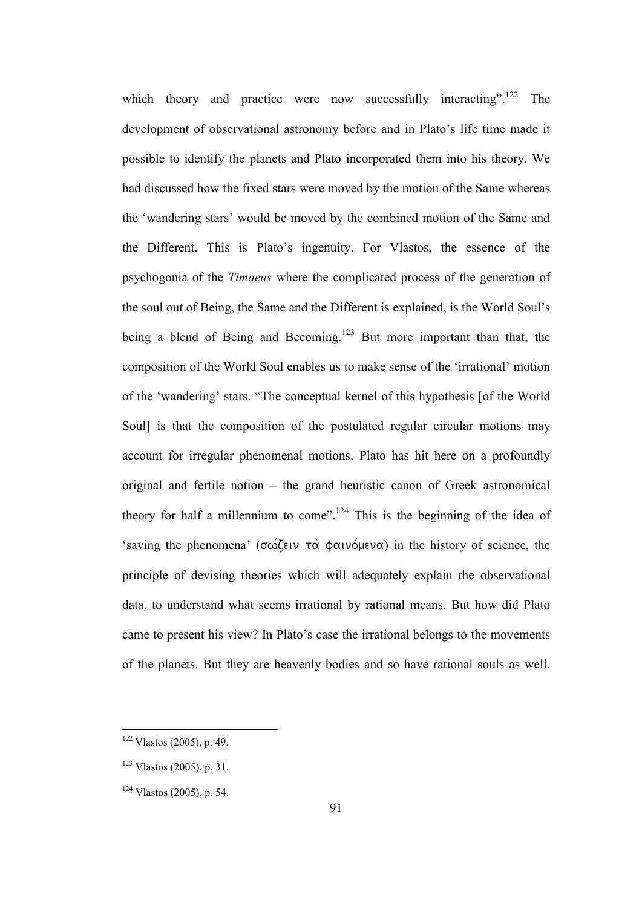which theory and practice were now successfully interacting".<sup>122</sup> The development of observational astronomy before and in Plato's life time made it possible to identify the planets and Plato incorporated them into his theory. We had discussed how the fixed stars were moved by the motion of the Same whereas the 'wandering stars' would be moved by the combined motion of the Same and the Different. This is Plato's ingenuity. For Vlastos, the essence of the psychogonia of the *Timaeus* where the complicated process of the generation of the soul out of Being, the Same and the Different is explained, is the World Soul's being a blend of Being and Becoming.<sup>123</sup> But more important than that, the composition of the World Soul enables us to make sense of the 'irrational' motion of the 'wandering' stars. "The conceptual kernel of this hypothesis [of the World Soul] is that the composition of the postulated regular circular motions may account for irregular phenomenal motions. Plato has hit here on a profoundly original and fertile notion – the grand heuristic canon of Greek astronomical theory for half a millennium to come".<sup>124</sup> This is the beginning of the idea of 'saving the phenomena' ( $\sigma \omega \zeta \in V$   $\pi \alpha$   $\phi \alpha \nu \omega \equiv \pi$ ) in the history of science, the principle of devising theories which will adequately explain the observational data, to understand what seems irrational by rational means. But how did Plato came to present his view? In Plato's case the irrational belongs to the movements of the planets. But they are heavenly bodies and so have rational souls as well.

<sup>&</sup>lt;sup>122</sup> Vlastos (2005), p. 49.

 $123$  Vlastos (2005), p. 31.

<sup>124</sup> Vlastos (2005), p. 54.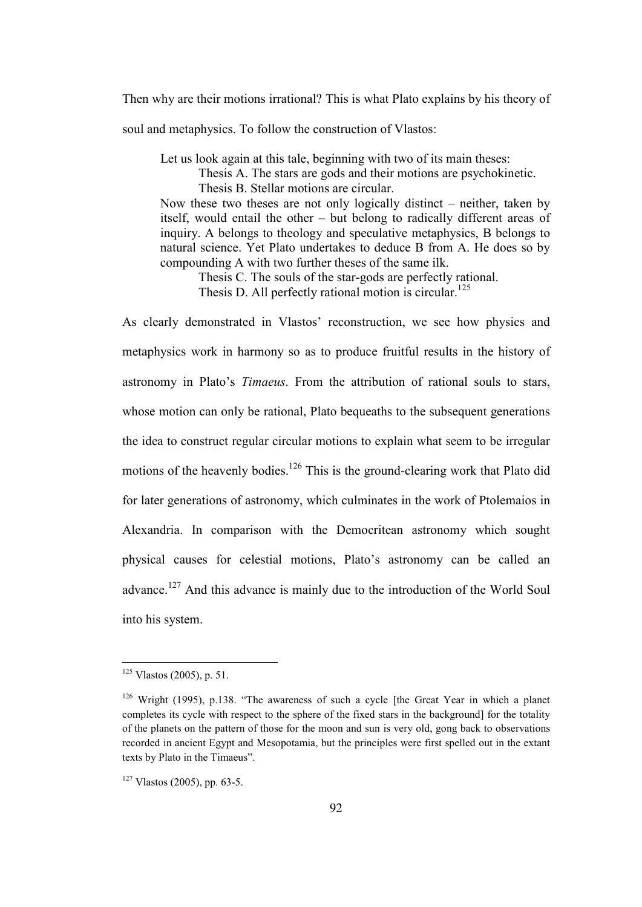Then why are their motions irrational? This is what Plato explains by his theory of soul and metaphysics. To follow the construction of Vlastos:

Let us look again at this tale, beginning with two of its main theses:

 Thesis A. The stars are gods and their motions are psychokinetic. Thesis B. Stellar motions are circular.

Now these two theses are not only logically distinct – neither, taken by itself, would entail the other – but belong to radically different areas of inquiry. A belongs to theology and speculative metaphysics, B belongs to natural science. Yet Plato undertakes to deduce B from A. He does so by compounding A with two further theses of the same ilk.

 Thesis C. The souls of the star-gods are perfectly rational. Thesis D. All perfectly rational motion is circular.<sup>125</sup>

As clearly demonstrated in Vlastos' reconstruction, we see how physics and metaphysics work in harmony so as to produce fruitful results in the history of astronomy in Plato's *Timaeus*. From the attribution of rational souls to stars, whose motion can only be rational, Plato bequeaths to the subsequent generations the idea to construct regular circular motions to explain what seem to be irregular motions of the heavenly bodies.<sup>126</sup> This is the ground-clearing work that Plato did for later generations of astronomy, which culminates in the work of Ptolemaios in Alexandria. In comparison with the Democritean astronomy which sought physical causes for celestial motions, Plato's astronomy can be called an advance.<sup>127</sup> And this advance is mainly due to the introduction of the World Soul into his system.

<sup>&</sup>lt;sup>125</sup> Vlastos (2005), p. 51.

<sup>126</sup> Wright (1995), p.138. "The awareness of such a cycle [the Great Year in which a planet completes its cycle with respect to the sphere of the fixed stars in the background] for the totality of the planets on the pattern of those for the moon and sun is very old, gong back to observations recorded in ancient Egypt and Mesopotamia, but the principles were first spelled out in the extant texts by Plato in the Timaeus".

<sup>127</sup> Vlastos (2005), pp. 63-5.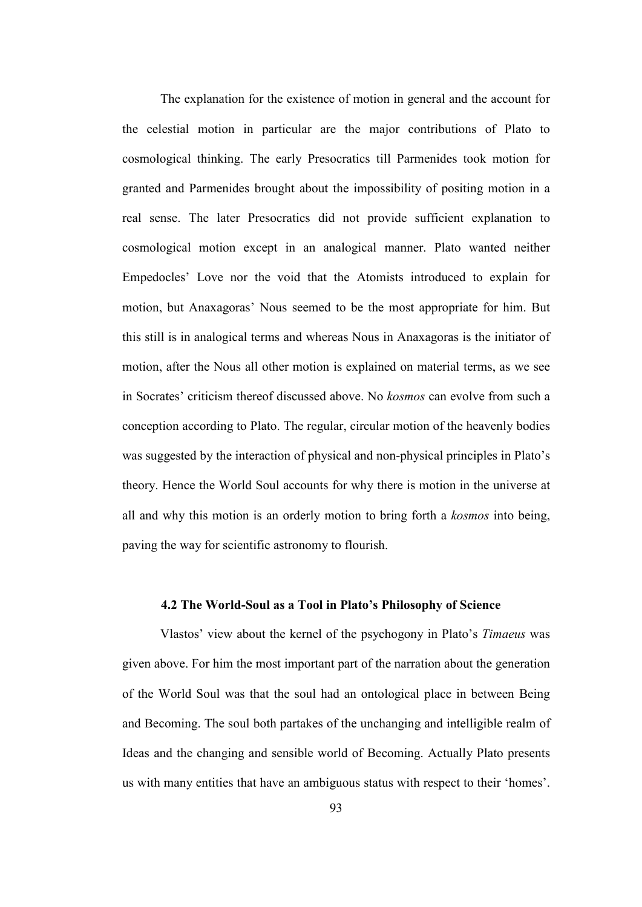The explanation for the existence of motion in general and the account for the celestial motion in particular are the major contributions of Plato to cosmological thinking. The early Presocratics till Parmenides took motion for granted and Parmenides brought about the impossibility of positing motion in a real sense. The later Presocratics did not provide sufficient explanation to cosmological motion except in an analogical manner. Plato wanted neither Empedocles' Love nor the void that the Atomists introduced to explain for motion, but Anaxagoras' Nous seemed to be the most appropriate for him. But this still is in analogical terms and whereas Nous in Anaxagoras is the initiator of motion, after the Nous all other motion is explained on material terms, as we see in Socrates' criticism thereof discussed above. No *kosmos* can evolve from such a conception according to Plato. The regular, circular motion of the heavenly bodies was suggested by the interaction of physical and non-physical principles in Plato's theory. Hence the World Soul accounts for why there is motion in the universe at all and why this motion is an orderly motion to bring forth a *kosmos* into being, paving the way for scientific astronomy to flourish.

## **4.2 The World-Soul as a Tool in Plato's Philosophy of Science**

Vlastos' view about the kernel of the psychogony in Plato's *Timaeus* was given above. For him the most important part of the narration about the generation of the World Soul was that the soul had an ontological place in between Being and Becoming. The soul both partakes of the unchanging and intelligible realm of Ideas and the changing and sensible world of Becoming. Actually Plato presents us with many entities that have an ambiguous status with respect to their 'homes'.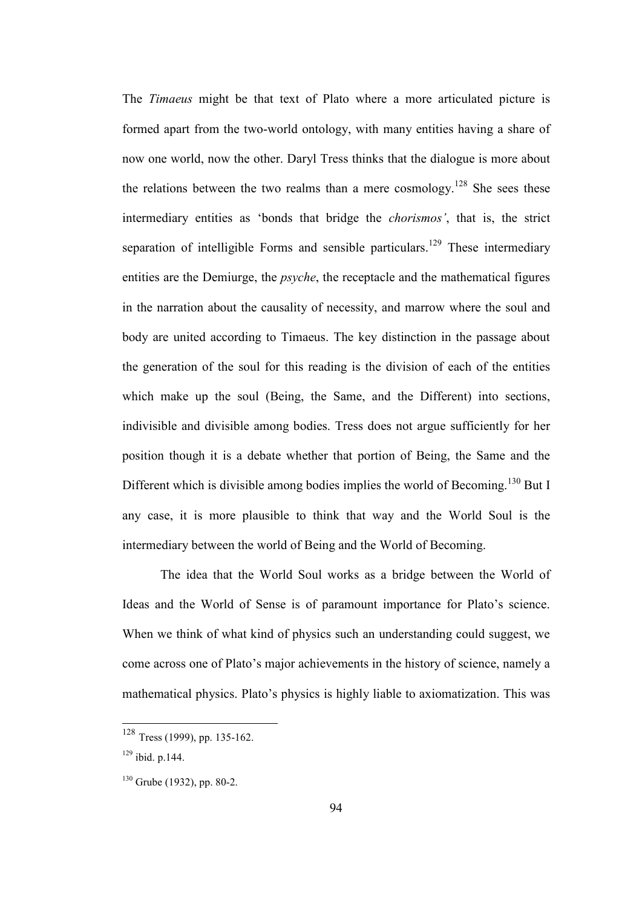The *Timaeus* might be that text of Plato where a more articulated picture is formed apart from the two-world ontology, with many entities having a share of now one world, now the other. Daryl Tress thinks that the dialogue is more about the relations between the two realms than a mere cosmology.<sup>128</sup> She sees these intermediary entities as 'bonds that bridge the *chorismos'*, that is, the strict separation of intelligible Forms and sensible particulars.<sup>129</sup> These intermediary entities are the Demiurge, the *psyche*, the receptacle and the mathematical figures in the narration about the causality of necessity, and marrow where the soul and body are united according to Timaeus. The key distinction in the passage about the generation of the soul for this reading is the division of each of the entities which make up the soul (Being, the Same, and the Different) into sections, indivisible and divisible among bodies. Tress does not argue sufficiently for her position though it is a debate whether that portion of Being, the Same and the Different which is divisible among bodies implies the world of Becoming.<sup>130</sup> But I any case, it is more plausible to think that way and the World Soul is the intermediary between the world of Being and the World of Becoming.

 The idea that the World Soul works as a bridge between the World of Ideas and the World of Sense is of paramount importance for Plato's science. When we think of what kind of physics such an understanding could suggest, we come across one of Plato's major achievements in the history of science, namely a mathematical physics. Plato's physics is highly liable to axiomatization. This was

<sup>128</sup> Tress (1999), pp. 135-162.

<sup>129</sup> ibid. p.144.

 $130$  Grube (1932), pp. 80-2.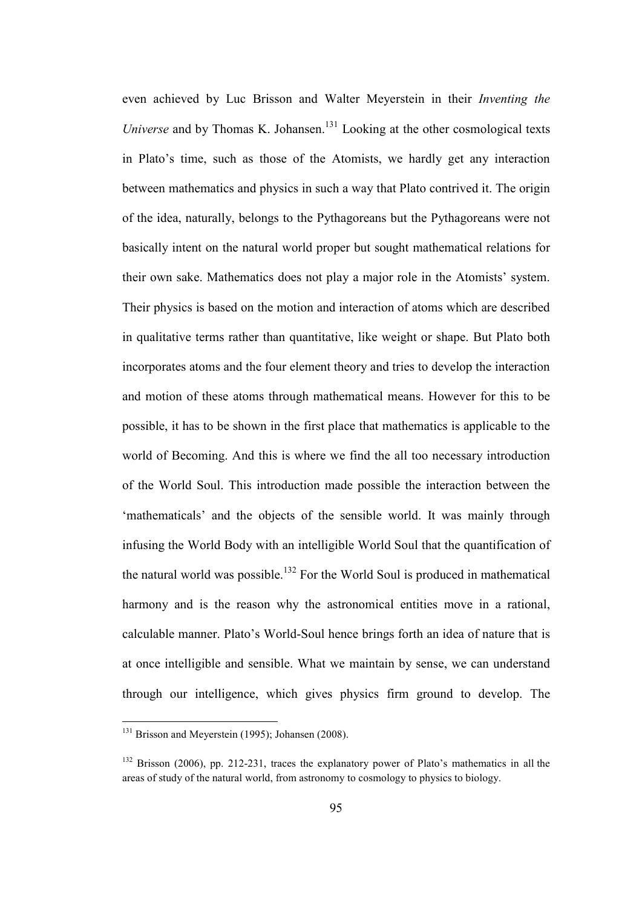even achieved by Luc Brisson and Walter Meyerstein in their *Inventing the Universe* and by Thomas K. Johansen.<sup>131</sup> Looking at the other cosmological texts in Plato's time, such as those of the Atomists, we hardly get any interaction between mathematics and physics in such a way that Plato contrived it. The origin of the idea, naturally, belongs to the Pythagoreans but the Pythagoreans were not basically intent on the natural world proper but sought mathematical relations for their own sake. Mathematics does not play a major role in the Atomists' system. Their physics is based on the motion and interaction of atoms which are described in qualitative terms rather than quantitative, like weight or shape. But Plato both incorporates atoms and the four element theory and tries to develop the interaction and motion of these atoms through mathematical means. However for this to be possible, it has to be shown in the first place that mathematics is applicable to the world of Becoming. And this is where we find the all too necessary introduction of the World Soul. This introduction made possible the interaction between the 'mathematicals' and the objects of the sensible world. It was mainly through infusing the World Body with an intelligible World Soul that the quantification of the natural world was possible.<sup>132</sup> For the World Soul is produced in mathematical harmony and is the reason why the astronomical entities move in a rational, calculable manner. Plato's World-Soul hence brings forth an idea of nature that is at once intelligible and sensible. What we maintain by sense, we can understand through our intelligence, which gives physics firm ground to develop. The

<sup>&</sup>lt;sup>131</sup> Brisson and Meyerstein (1995); Johansen (2008).

<sup>&</sup>lt;sup>132</sup> Brisson (2006), pp. 212-231, traces the explanatory power of Plato's mathematics in all the areas of study of the natural world, from astronomy to cosmology to physics to biology.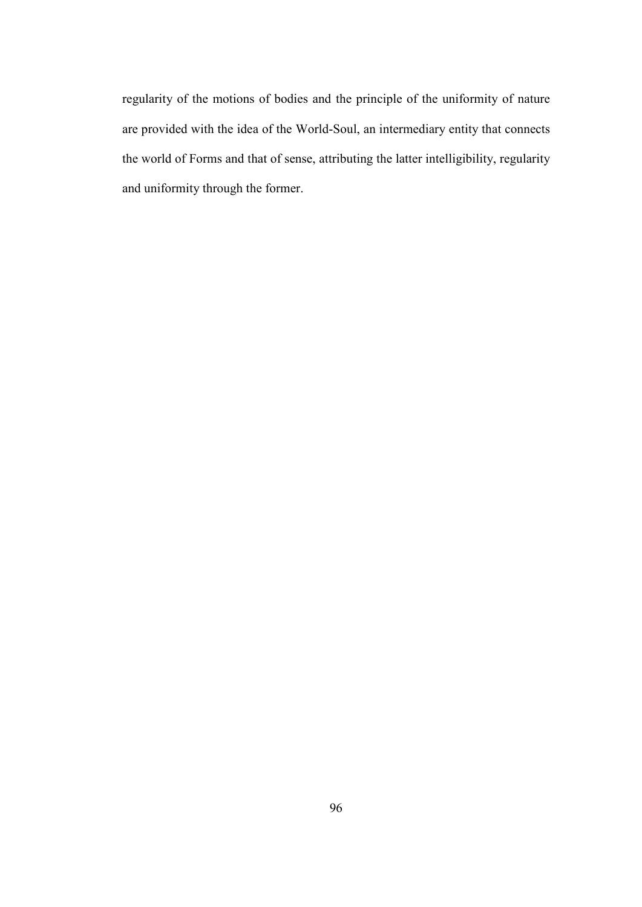regularity of the motions of bodies and the principle of the uniformity of nature are provided with the idea of the World-Soul, an intermediary entity that connects the world of Forms and that of sense, attributing the latter intelligibility, regularity and uniformity through the former.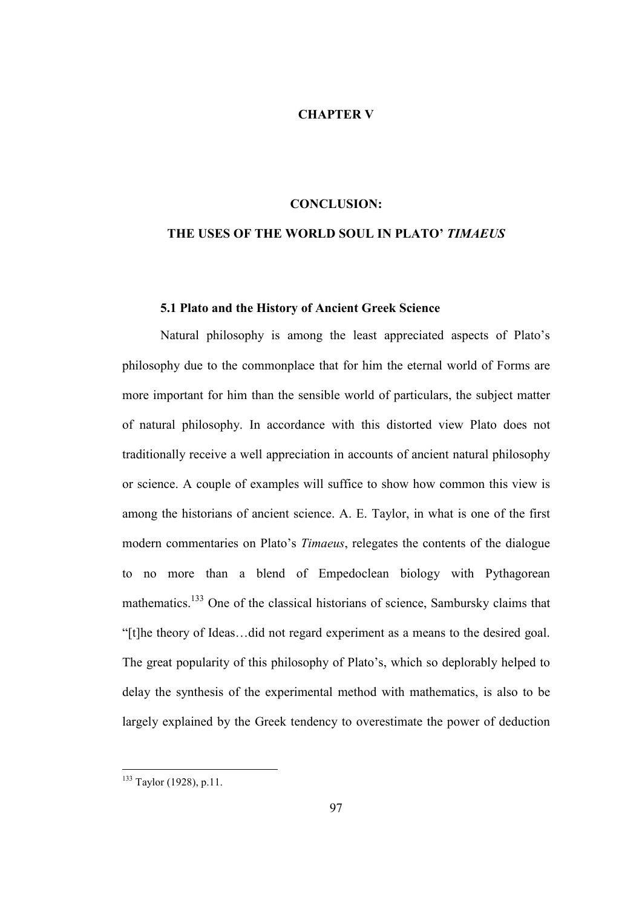## **CHAPTER V**

#### **CONCLUSION:**

## **THE USES OF THE WORLD SOUL IN PLATO'** *TIMAEUS*

#### **5.1 Plato and the History of Ancient Greek Science**

Natural philosophy is among the least appreciated aspects of Plato's philosophy due to the commonplace that for him the eternal world of Forms are more important for him than the sensible world of particulars, the subject matter of natural philosophy. In accordance with this distorted view Plato does not traditionally receive a well appreciation in accounts of ancient natural philosophy or science. A couple of examples will suffice to show how common this view is among the historians of ancient science. A. E. Taylor, in what is one of the first modern commentaries on Plato's *Timaeus*, relegates the contents of the dialogue to no more than a blend of Empedoclean biology with Pythagorean mathematics.<sup>133</sup> One of the classical historians of science, Sambursky claims that "[t]he theory of Ideas…did not regard experiment as a means to the desired goal. The great popularity of this philosophy of Plato's, which so deplorably helped to delay the synthesis of the experimental method with mathematics, is also to be largely explained by the Greek tendency to overestimate the power of deduction

<sup>&</sup>lt;sup>133</sup> Taylor (1928), p.11.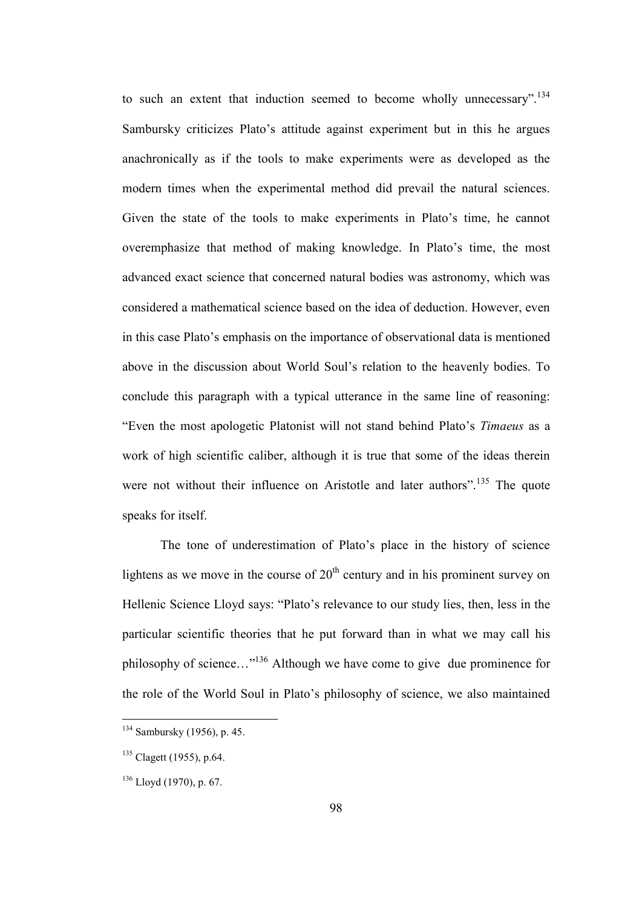to such an extent that induction seemed to become wholly unnecessary".<sup>134</sup> Sambursky criticizes Plato's attitude against experiment but in this he argues anachronically as if the tools to make experiments were as developed as the modern times when the experimental method did prevail the natural sciences. Given the state of the tools to make experiments in Plato's time, he cannot overemphasize that method of making knowledge. In Plato's time, the most advanced exact science that concerned natural bodies was astronomy, which was considered a mathematical science based on the idea of deduction. However, even in this case Plato's emphasis on the importance of observational data is mentioned above in the discussion about World Soul's relation to the heavenly bodies. To conclude this paragraph with a typical utterance in the same line of reasoning: "Even the most apologetic Platonist will not stand behind Plato's *Timaeus* as a work of high scientific caliber, although it is true that some of the ideas therein were not without their influence on Aristotle and later authors".<sup>135</sup> The quote speaks for itself.

The tone of underestimation of Plato's place in the history of science lightens as we move in the course of  $20<sup>th</sup>$  century and in his prominent survey on Hellenic Science Lloyd says: "Plato's relevance to our study lies, then, less in the particular scientific theories that he put forward than in what we may call his philosophy of science…"<sup>136</sup> Although we have come to give due prominence for the role of the World Soul in Plato's philosophy of science, we also maintained

<sup>&</sup>lt;sup>134</sup> Sambursky (1956), p. 45.

<sup>&</sup>lt;sup>135</sup> Clagett (1955), p.64.

 $136$  Lloyd (1970), p. 67.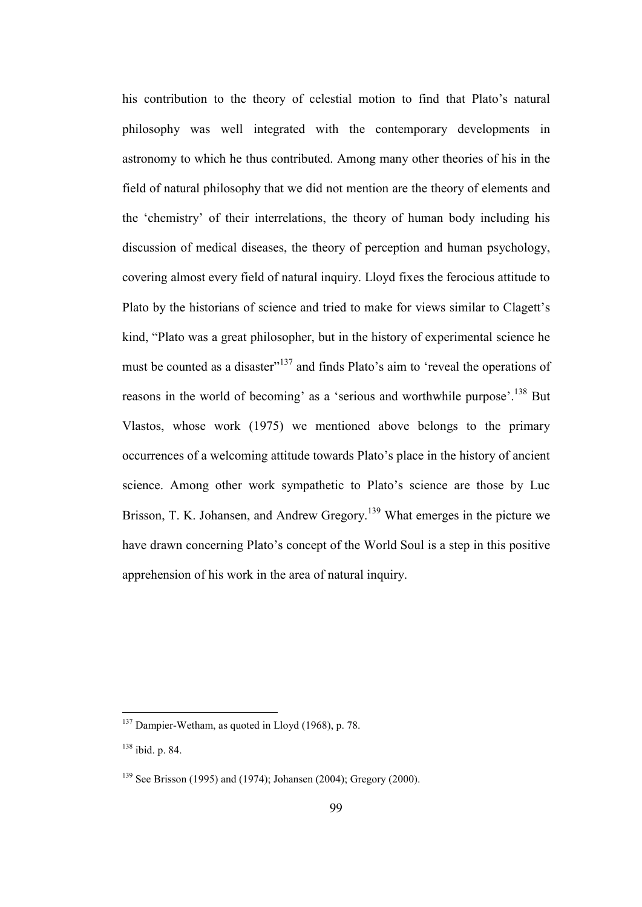his contribution to the theory of celestial motion to find that Plato's natural philosophy was well integrated with the contemporary developments in astronomy to which he thus contributed. Among many other theories of his in the field of natural philosophy that we did not mention are the theory of elements and the 'chemistry' of their interrelations, the theory of human body including his discussion of medical diseases, the theory of perception and human psychology, covering almost every field of natural inquiry. Lloyd fixes the ferocious attitude to Plato by the historians of science and tried to make for views similar to Clagett's kind, "Plato was a great philosopher, but in the history of experimental science he must be counted as a disaster"<sup>137</sup> and finds Plato's aim to 'reveal the operations of reasons in the world of becoming' as a 'serious and worthwhile purpose'.<sup>138</sup> But Vlastos, whose work (1975) we mentioned above belongs to the primary occurrences of a welcoming attitude towards Plato's place in the history of ancient science. Among other work sympathetic to Plato's science are those by Luc Brisson, T. K. Johansen, and Andrew Gregory.<sup>139</sup> What emerges in the picture we have drawn concerning Plato's concept of the World Soul is a step in this positive apprehension of his work in the area of natural inquiry.

<sup>&</sup>lt;sup>137</sup> Dampier-Wetham, as quoted in Lloyd (1968), p. 78.

<sup>138</sup> ibid. p. 84.

<sup>139</sup> See Brisson (1995) and (1974); Johansen (2004); Gregory (2000).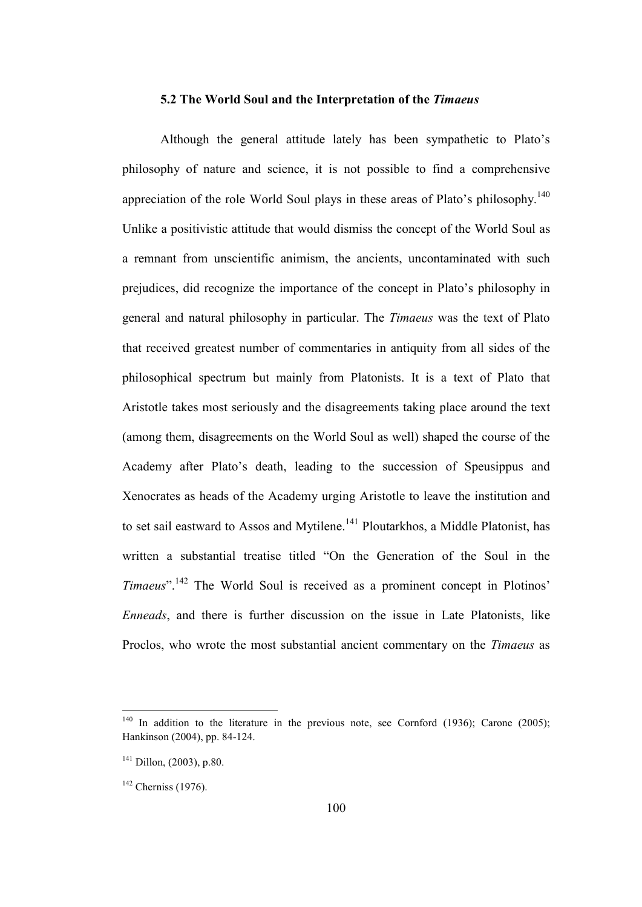## **5.2 The World Soul and the Interpretation of the** *Timaeus*

Although the general attitude lately has been sympathetic to Plato's philosophy of nature and science, it is not possible to find a comprehensive appreciation of the role World Soul plays in these areas of Plato's philosophy.<sup>140</sup> Unlike a positivistic attitude that would dismiss the concept of the World Soul as a remnant from unscientific animism, the ancients, uncontaminated with such prejudices, did recognize the importance of the concept in Plato's philosophy in general and natural philosophy in particular. The *Timaeus* was the text of Plato that received greatest number of commentaries in antiquity from all sides of the philosophical spectrum but mainly from Platonists. It is a text of Plato that Aristotle takes most seriously and the disagreements taking place around the text (among them, disagreements on the World Soul as well) shaped the course of the Academy after Plato's death, leading to the succession of Speusippus and Xenocrates as heads of the Academy urging Aristotle to leave the institution and to set sail eastward to Assos and Mytilene.<sup>141</sup> Ploutarkhos, a Middle Platonist, has written a substantial treatise titled "On the Generation of the Soul in the *Timaeus*".<sup>142</sup> The World Soul is received as a prominent concept in Plotinos' *Enneads*, and there is further discussion on the issue in Late Platonists, like Proclos, who wrote the most substantial ancient commentary on the *Timaeus* as

 $140$  In addition to the literature in the previous note, see Cornford (1936); Carone (2005); Hankinson (2004), pp. 84-124.

 $141$  Dillon, (2003), p.80.

 $142$  Cherniss (1976).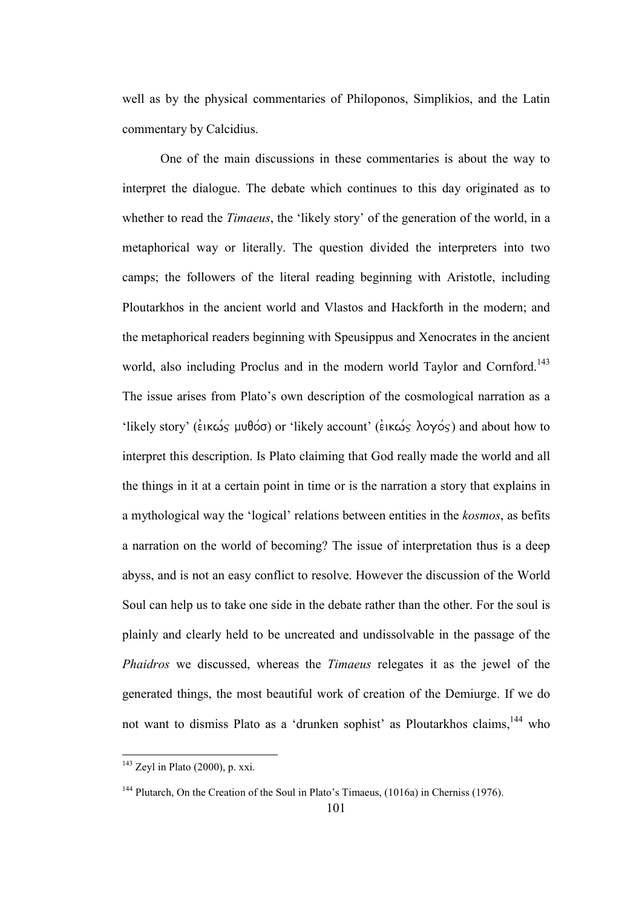well as by the physical commentaries of Philoponos, Simplikios, and the Latin commentary by Calcidius.

One of the main discussions in these commentaries is about the way to interpret the dialogue. The debate which continues to this day originated as to whether to read the *Timaeus*, the 'likely story' of the generation of the world, in a metaphorical way or literally. The question divided the interpreters into two camps; the followers of the literal reading beginning with Aristotle, including Ploutarkhos in the ancient world and Vlastos and Hackforth in the modern; and the metaphorical readers beginning with Speusippus and Xenocrates in the ancient world, also including Proclus and in the modern world Taylor and Cornford.<sup>143</sup> The issue arises from Plato's own description of the cosmological narration as a 'likely story' (εικώς μυθόσ) or 'likely account' (εικώς λογός) and about how to interpret this description. Is Plato claiming that God really made the world and all the things in it at a certain point in time or is the narration a story that explains in a mythological way the 'logical' relations between entities in the *kosmos*, as befits a narration on the world of becoming? The issue of interpretation thus is a deep abyss, and is not an easy conflict to resolve. However the discussion of the World Soul can help us to take one side in the debate rather than the other. For the soul is plainly and clearly held to be uncreated and undissolvable in the passage of the *Phaidros* we discussed, whereas the *Timaeus* relegates it as the jewel of the generated things, the most beautiful work of creation of the Demiurge. If we do not want to dismiss Plato as a 'drunken sophist' as Ploutarkhos claims,<sup>144</sup> who

 $143$  Zeyl in Plato (2000), p. xxi.

<sup>&</sup>lt;sup>144</sup> Plutarch, On the Creation of the Soul in Plato's Timaeus, (1016a) in Cherniss (1976).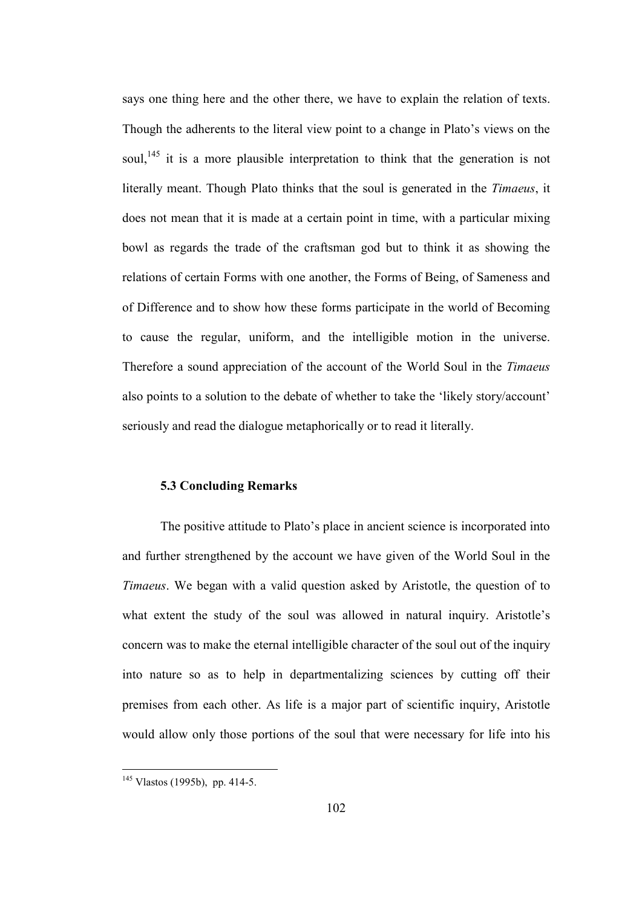says one thing here and the other there, we have to explain the relation of texts. Though the adherents to the literal view point to a change in Plato's views on the soul,<sup>145</sup> it is a more plausible interpretation to think that the generation is not literally meant. Though Plato thinks that the soul is generated in the *Timaeus*, it does not mean that it is made at a certain point in time, with a particular mixing bowl as regards the trade of the craftsman god but to think it as showing the relations of certain Forms with one another, the Forms of Being, of Sameness and of Difference and to show how these forms participate in the world of Becoming to cause the regular, uniform, and the intelligible motion in the universe. Therefore a sound appreciation of the account of the World Soul in the *Timaeus* also points to a solution to the debate of whether to take the 'likely story/account' seriously and read the dialogue metaphorically or to read it literally.

## **5.3 Concluding Remarks**

The positive attitude to Plato's place in ancient science is incorporated into and further strengthened by the account we have given of the World Soul in the *Timaeus*. We began with a valid question asked by Aristotle, the question of to what extent the study of the soul was allowed in natural inquiry. Aristotle's concern was to make the eternal intelligible character of the soul out of the inquiry into nature so as to help in departmentalizing sciences by cutting off their premises from each other. As life is a major part of scientific inquiry, Aristotle would allow only those portions of the soul that were necessary for life into his

<sup>&</sup>lt;sup>145</sup> Vlastos (1995b), pp. 414-5.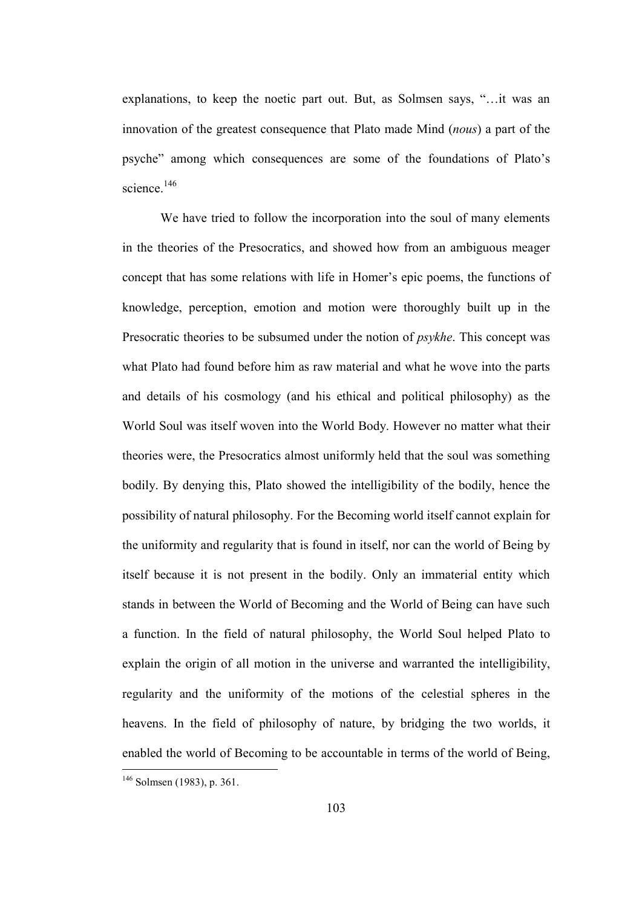explanations, to keep the noetic part out. But, as Solmsen says, "…it was an innovation of the greatest consequence that Plato made Mind (*nous*) a part of the psyche" among which consequences are some of the foundations of Plato's science.<sup>146</sup>

We have tried to follow the incorporation into the soul of many elements in the theories of the Presocratics, and showed how from an ambiguous meager concept that has some relations with life in Homer's epic poems, the functions of knowledge, perception, emotion and motion were thoroughly built up in the Presocratic theories to be subsumed under the notion of *psykhe*. This concept was what Plato had found before him as raw material and what he wove into the parts and details of his cosmology (and his ethical and political philosophy) as the World Soul was itself woven into the World Body. However no matter what their theories were, the Presocratics almost uniformly held that the soul was something bodily. By denying this, Plato showed the intelligibility of the bodily, hence the possibility of natural philosophy. For the Becoming world itself cannot explain for the uniformity and regularity that is found in itself, nor can the world of Being by itself because it is not present in the bodily. Only an immaterial entity which stands in between the World of Becoming and the World of Being can have such a function. In the field of natural philosophy, the World Soul helped Plato to explain the origin of all motion in the universe and warranted the intelligibility, regularity and the uniformity of the motions of the celestial spheres in the heavens. In the field of philosophy of nature, by bridging the two worlds, it enabled the world of Becoming to be accountable in terms of the world of Being,

<sup>&</sup>lt;sup>146</sup> Solmsen (1983), p. 361.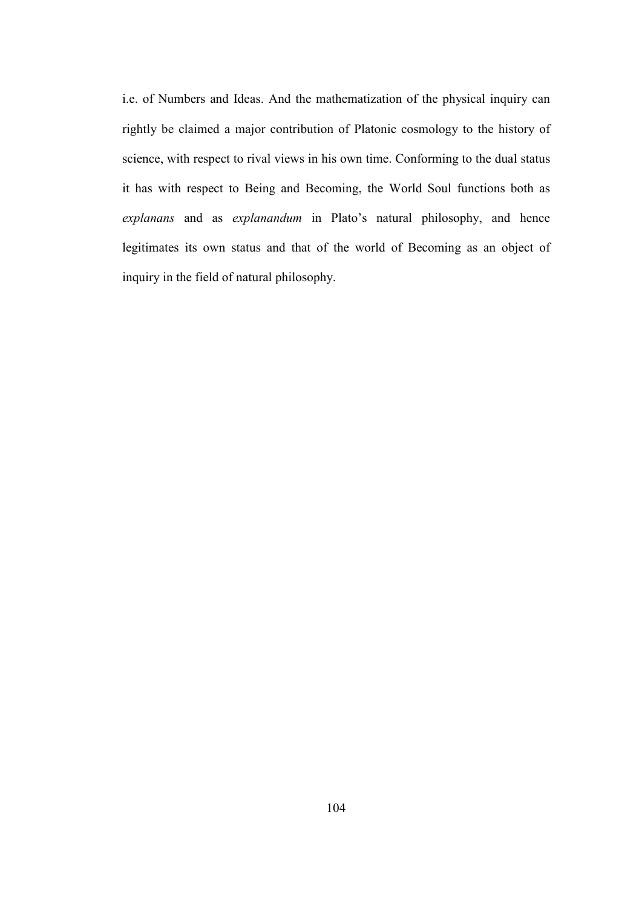i.e. of Numbers and Ideas. And the mathematization of the physical inquiry can rightly be claimed a major contribution of Platonic cosmology to the history of science, with respect to rival views in his own time. Conforming to the dual status it has with respect to Being and Becoming, the World Soul functions both as *explanans* and as *explanandum* in Plato's natural philosophy, and hence legitimates its own status and that of the world of Becoming as an object of inquiry in the field of natural philosophy.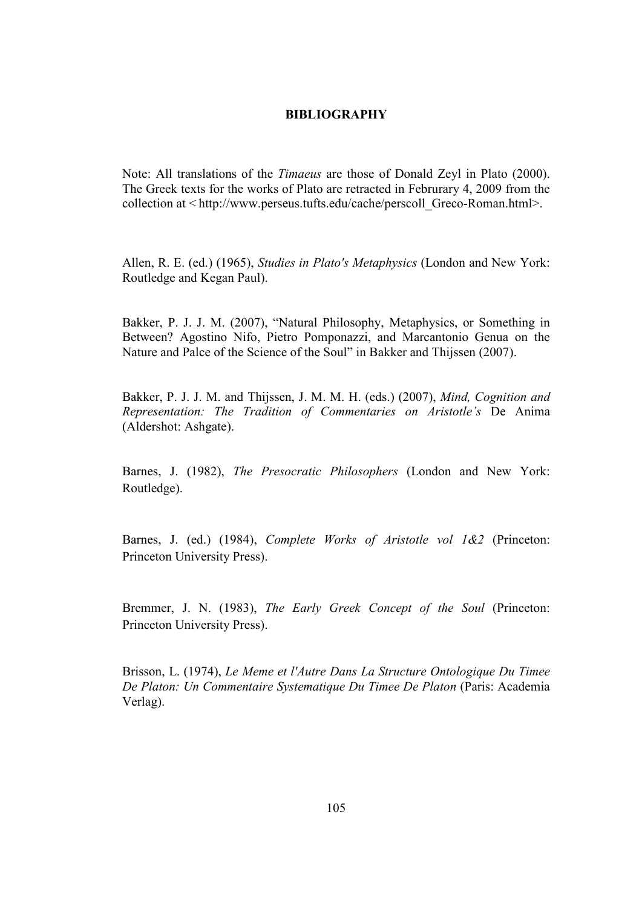## **BIBLIOGRAPHY**

Note: All translations of the *Timaeus* are those of Donald Zeyl in Plato (2000). The Greek texts for the works of Plato are retracted in Februrary 4, 2009 from the collection at < http://www.perseus.tufts.edu/cache/perscoll\_Greco-Roman.html>.

Allen, R. E. (ed.) (1965), *Studies in Plato's Metaphysics* (London and New York: Routledge and Kegan Paul).

Bakker, P. J. J. M. (2007), "Natural Philosophy, Metaphysics, or Something in Between? Agostino Nifo, Pietro Pomponazzi, and Marcantonio Genua on the Nature and Palce of the Science of the Soul" in Bakker and Thijssen (2007).

Bakker, P. J. J. M. and Thijssen, J. M. M. H. (eds.) (2007), *Mind, Cognition and Representation: The Tradition of Commentaries on Aristotle's* De Anima (Aldershot: Ashgate).

Barnes, J. (1982), *The Presocratic Philosophers* (London and New York: Routledge).

Barnes, J. (ed.) (1984), *Complete Works of Aristotle vol 1&2* (Princeton: Princeton University Press).

Bremmer, J. N. (1983), *The Early Greek Concept of the Soul* (Princeton: Princeton University Press).

Brisson, L. (1974), *Le Meme et l'Autre Dans La Structure Ontologique Du Timee De Platon: Un Commentaire Systematique Du Timee De Platon* (Paris: Academia Verlag).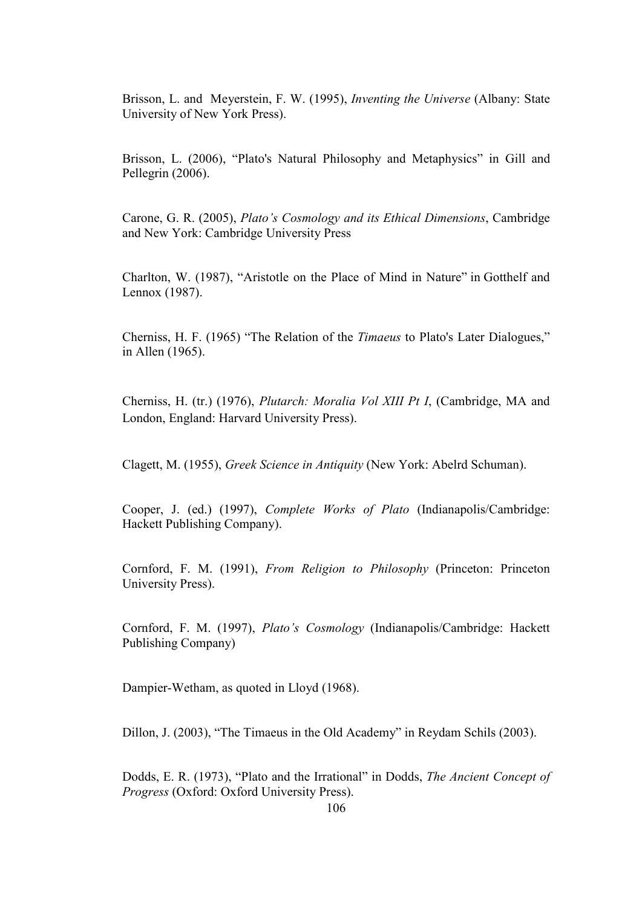Brisson, L. and Meyerstein, F. W. (1995), *Inventing the Universe* (Albany: State University of New York Press).

Brisson, L. (2006), "Plato's Natural Philosophy and Metaphysics" in Gill and Pellegrin (2006).

Carone, G. R. (2005), *Plato's Cosmology and its Ethical Dimensions*, Cambridge and New York: Cambridge University Press

Charlton, W. (1987), "Aristotle on the Place of Mind in Nature" in Gotthelf and Lennox (1987).

Cherniss, H. F. (1965) "The Relation of the *Timaeus* to Plato's Later Dialogues," in Allen (1965).

Cherniss, H. (tr.) (1976), *Plutarch: Moralia Vol XIII Pt I*, (Cambridge, MA and London, England: Harvard University Press).

Clagett, M. (1955), *Greek Science in Antiquity* (New York: Abelrd Schuman).

Cooper, J. (ed.) (1997), *Complete Works of Plato* (Indianapolis/Cambridge: Hackett Publishing Company).

Cornford, F. M. (1991), *From Religion to Philosophy* (Princeton: Princeton University Press).

Cornford, F. M. (1997), *Plato's Cosmology* (Indianapolis/Cambridge: Hackett Publishing Company)

Dampier-Wetham, as quoted in Lloyd (1968).

Dillon, J. (2003), "The Timaeus in the Old Academy" in Reydam Schils (2003).

Dodds, E. R. (1973), "Plato and the Irrational" in Dodds, *The Ancient Concept of Progress* (Oxford: Oxford University Press).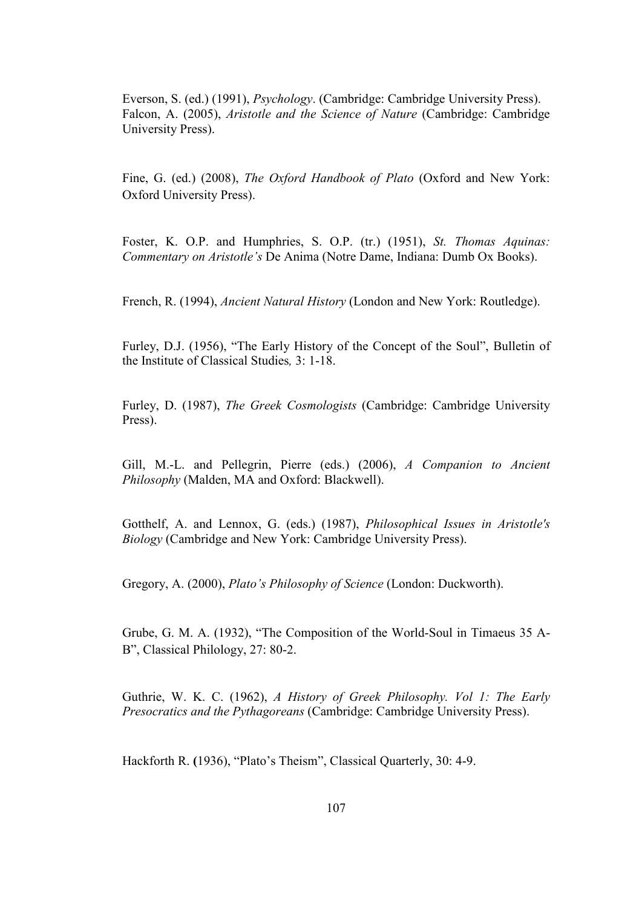Everson, S. (ed.) (1991), *Psychology*. (Cambridge: Cambridge University Press). Falcon, A. (2005), *Aristotle and the Science of Nature* (Cambridge: Cambridge University Press).

Fine, G. (ed.) (2008), *The Oxford Handbook of Plato* (Oxford and New York: Oxford University Press).

Foster, K. O.P. and Humphries, S. O.P. (tr.) (1951), *St. Thomas Aquinas: Commentary on Aristotle's* De Anima (Notre Dame, Indiana: Dumb Ox Books).

French, R. (1994), *Ancient Natural History* (London and New York: Routledge).

Furley, D.J. (1956), "The Early History of the Concept of the Soul", Bulletin of the Institute of Classical Studies*,* 3: 1-18.

Furley, D. (1987), *The Greek Cosmologists* (Cambridge: Cambridge University Press).

Gill, M.-L. and Pellegrin, Pierre (eds.) (2006), *A Companion to Ancient Philosophy* (Malden, MA and Oxford: Blackwell).

Gotthelf, A. and Lennox, G. (eds.) (1987), *Philosophical Issues in Aristotle's Biology* (Cambridge and New York: Cambridge University Press).

Gregory, A. (2000), *Plato's Philosophy of Science* (London: Duckworth).

Grube, G. M. A. (1932), "The Composition of the World-Soul in Timaeus 35 A-B", Classical Philology, 27: 80-2.

Guthrie, W. K. C. (1962), *A History of Greek Philosophy. Vol 1: The Early Presocratics and the Pythagoreans* (Cambridge: Cambridge University Press).

Hackforth R. **(**1936), "Plato's Theism", Classical Quarterly, 30: 4-9.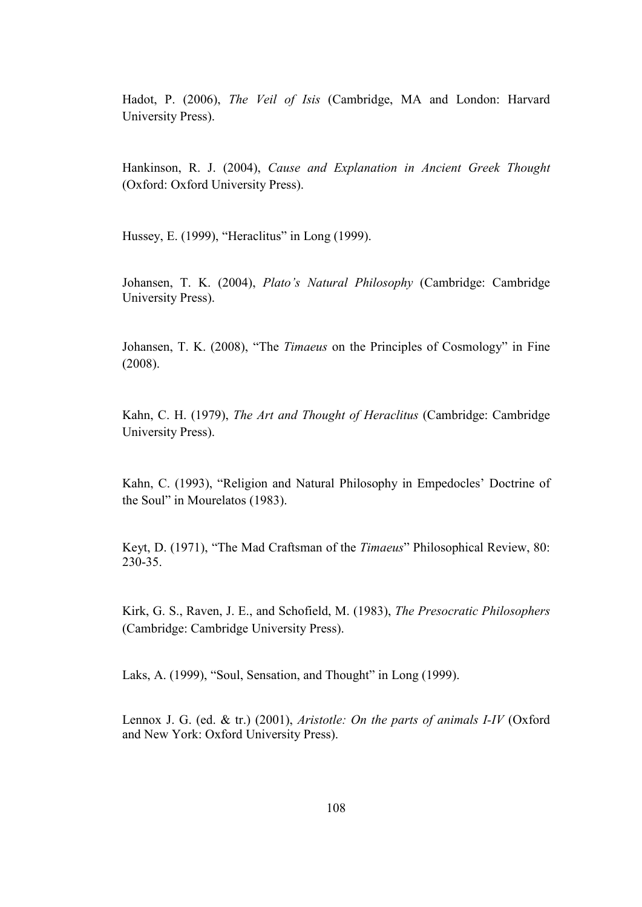Hadot, P. (2006), *The Veil of Isis* (Cambridge, MA and London: Harvard University Press).

Hankinson, R. J. (2004), *Cause and Explanation in Ancient Greek Thought* (Oxford: Oxford University Press).

Hussey, E. (1999), "Heraclitus" in Long (1999).

Johansen, T. K. (2004), *Plato's Natural Philosophy* (Cambridge: Cambridge University Press).

Johansen, T. K. (2008), "The *Timaeus* on the Principles of Cosmology" in Fine (2008).

Kahn, C. H. (1979), *The Art and Thought of Heraclitus* (Cambridge: Cambridge University Press).

Kahn, C. (1993), "Religion and Natural Philosophy in Empedocles' Doctrine of the Soul" in Mourelatos (1983).

Keyt, D. (1971), "The Mad Craftsman of the *Timaeus*" Philosophical Review, 80: 230-35.

Kirk, G. S., Raven, J. E., and Schofield, M. (1983), *The Presocratic Philosophers* (Cambridge: Cambridge University Press).

Laks, A. (1999), "Soul, Sensation, and Thought" in Long (1999).

Lennox J. G. (ed. & tr.) (2001), *Aristotle: On the parts of animals I-IV* (Oxford and New York: Oxford University Press).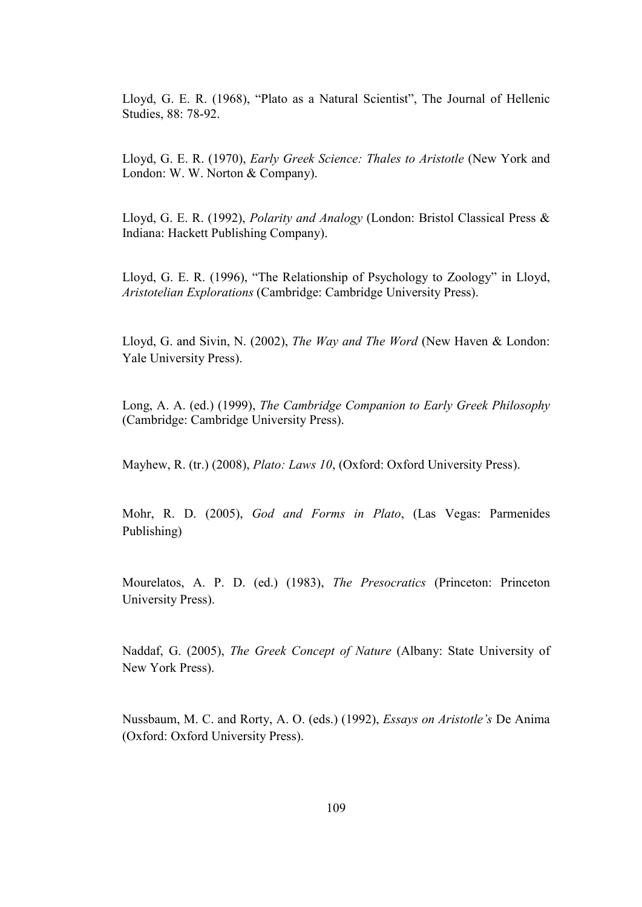Lloyd, G. E. R. (1968), "Plato as a Natural Scientist", The Journal of Hellenic Studies, 88: 78-92.

Lloyd, G. E. R. (1970), *Early Greek Science: Thales to Aristotle* (New York and London: W. W. Norton & Company).

Lloyd, G. E. R. (1992), *Polarity and Analogy* (London: Bristol Classical Press & Indiana: Hackett Publishing Company).

Lloyd, G. E. R. (1996), "The Relationship of Psychology to Zoology" in Lloyd, *Aristotelian Explorations* (Cambridge: Cambridge University Press).

Lloyd, G. and Sivin, N. (2002), *The Way and The Word* (New Haven & London: Yale University Press).

Long, A. A. (ed.) (1999), *The Cambridge Companion to Early Greek Philosophy* (Cambridge: Cambridge University Press).

Mayhew, R. (tr.) (2008), *Plato: Laws 10*, (Oxford: Oxford University Press).

Mohr, R. D. (2005), *God and Forms in Plato*, (Las Vegas: Parmenides Publishing)

Mourelatos, A. P. D. (ed.) (1983), *The Presocratics* (Princeton: Princeton University Press).

Naddaf, G. (2005), *The Greek Concept of Nature* (Albany: State University of New York Press).

Nussbaum, M. C. and Rorty, A. O. (eds.) (1992), *Essays on Aristotle's* De Anima (Oxford: Oxford University Press).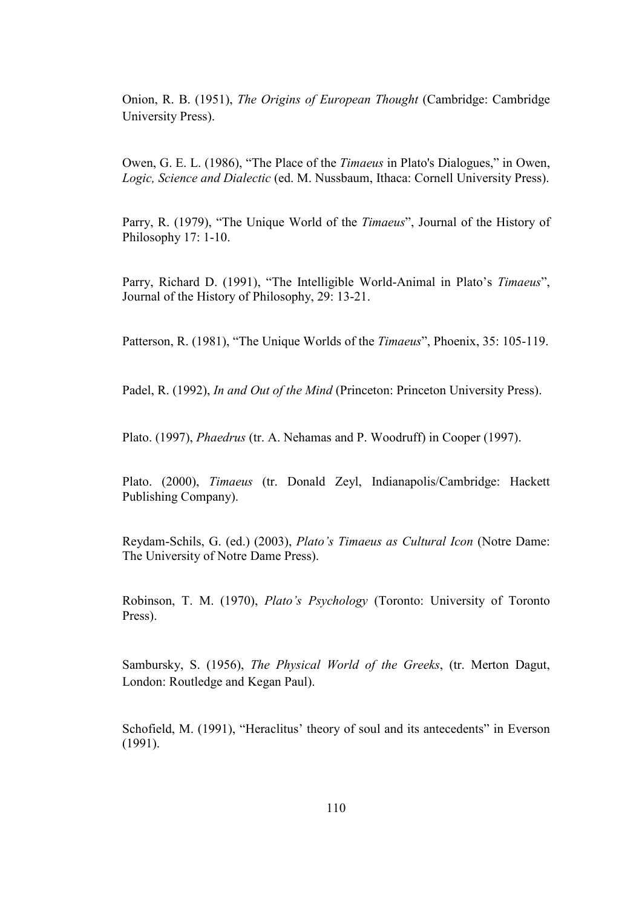Onion, R. B. (1951), *The Origins of European Thought* (Cambridge: Cambridge University Press).

Owen, G. E. L. (1986), "The Place of the *Timaeus* in Plato's Dialogues," in Owen, *Logic, Science and Dialectic* (ed. M. Nussbaum, Ithaca: Cornell University Press).

Parry, R. (1979), "The Unique World of the *Timaeus*", Journal of the History of Philosophy 17: 1-10.

Parry, Richard D. (1991), "The Intelligible World-Animal in Plato's *Timaeus*", Journal of the History of Philosophy, 29: 13-21.

Patterson, R. (1981), "The Unique Worlds of the *Timaeus*", Phoenix, 35: 105-119.

Padel, R. (1992), *In and Out of the Mind* (Princeton: Princeton University Press).

Plato. (1997), *Phaedrus* (tr. A. Nehamas and P. Woodruff) in Cooper (1997).

Plato. (2000), *Timaeus* (tr. Donald Zeyl, Indianapolis/Cambridge: Hackett Publishing Company).

Reydam-Schils, G. (ed.) (2003), *Plato's Timaeus as Cultural Icon* (Notre Dame: The University of Notre Dame Press).

Robinson, T. M. (1970), *Plato's Psychology* (Toronto: University of Toronto Press).

Sambursky, S. (1956), *The Physical World of the Greeks*, (tr. Merton Dagut, London: Routledge and Kegan Paul).

Schofield, M. (1991), "Heraclitus' theory of soul and its antecedents" in Everson (1991).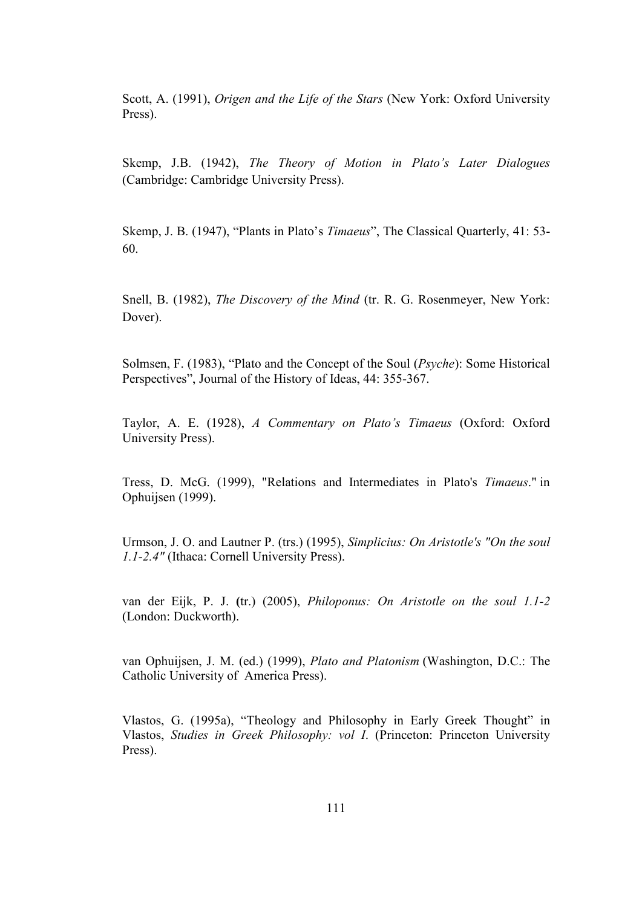Scott, A. (1991), *Origen and the Life of the Stars* (New York: Oxford University Press).

Skemp, J.B. (1942), *The Theory of Motion in Plato's Later Dialogues* (Cambridge: Cambridge University Press).

Skemp, J. B. (1947), "Plants in Plato's *Timaeus*", The Classical Quarterly, 41: 53- 60.

Snell, B. (1982), *The Discovery of the Mind* (tr. R. G. Rosenmeyer, New York: Dover).

Solmsen, F. (1983), "Plato and the Concept of the Soul (*Psyche*): Some Historical Perspectives", Journal of the History of Ideas, 44: 355-367.

Taylor, A. E. (1928), *A Commentary on Plato's Timaeus* (Oxford: Oxford University Press).

Tress, D. McG. (1999), "Relations and Intermediates in Plato's *Timaeus*." in Ophuijsen (1999).

Urmson, J. O. and Lautner P. (trs.) (1995), *Simplicius: On Aristotle's "On the soul 1.1-2.4"* (Ithaca: Cornell University Press).

van der Eijk, P. J. **(**tr.) (2005), *Philoponus: On Aristotle on the soul 1.1-2* (London: Duckworth).

van Ophuijsen, J. M. (ed.) (1999), *Plato and Platonism* (Washington, D.C.: The Catholic University of America Press).

Vlastos, G. (1995a), "Theology and Philosophy in Early Greek Thought" in Vlastos, *Studies in Greek Philosophy: vol I*. (Princeton: Princeton University Press).